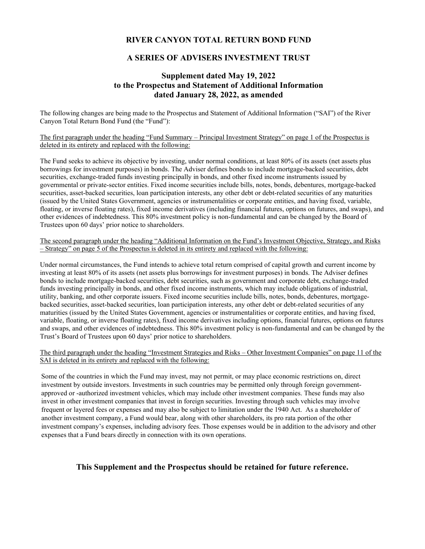### **RIVER CANYON TOTAL RETURN BOND FUND**

### **A SERIES OF ADVISERS INVESTMENT TRUST**

### **Supplement dated May 19, 2022 to the Prospectus and Statement of Additional Information dated January 28, 2022, as amended**

The following changes are being made to the Prospectus and Statement of Additional Information ("SAI") of the River Canyon Total Return Bond Fund (the "Fund"):

The first paragraph under the heading "Fund Summary – Principal Investment Strategy" on page 1 of the Prospectus is deleted in its entirety and replaced with the following:

The Fund seeks to achieve its objective by investing, under normal conditions, at least 80% of its assets (net assets plus borrowings for investment purposes) in bonds. The Adviser defines bonds to include mortgage-backed securities, debt securities, exchange-traded funds investing principally in bonds, and other fixed income instruments issued by governmental or private-sector entities. Fixed income securities include bills, notes, bonds, debentures, mortgage-backed securities, asset-backed securities, loan participation interests, any other debt or debt-related securities of any maturities (issued by the United States Government, agencies or instrumentalities or corporate entities, and having fixed, variable, floating, or inverse floating rates), fixed income derivatives (including financial futures, options on futures, and swaps), and other evidences of indebtedness. This 80% investment policy is non-fundamental and can be changed by the Board of Trustees upon 60 days' prior notice to shareholders.

The second paragraph under the heading "Additional Information on the Fund's Investment Objective, Strategy, and Risks – Strategy" on page 5 of the Prospectus is deleted in its entirety and replaced with the following:

Under normal circumstances, the Fund intends to achieve total return comprised of capital growth and current income by investing at least 80% of its assets (net assets plus borrowings for investment purposes) in bonds. The Adviser defines bonds to include mortgage-backed securities, debt securities, such as government and corporate debt, exchange-traded funds investing principally in bonds, and other fixed income instruments, which may include obligations of industrial, utility, banking, and other corporate issuers. Fixed income securities include bills, notes, bonds, debentures, mortgagebacked securities, asset-backed securities, loan participation interests, any other debt or debt-related securities of any maturities (issued by the United States Government, agencies or instrumentalities or corporate entities, and having fixed, variable, floating, or inverse floating rates), fixed income derivatives including options, financial futures, options on futures and swaps, and other evidences of indebtedness. This 80% investment policy is non-fundamental and can be changed by the Trust's Board of Trustees upon 60 days' prior notice to shareholders.

The third paragraph under the heading "Investment Strategies and Risks – Other Investment Companies" on page 11 of the SAI is deleted in its entirety and replaced with the following:

Some of the countries in which the Fund may invest, may not permit, or may place economic restrictions on, direct investment by outside investors. Investments in such countries may be permitted only through foreign governmentapproved or -authorized investment vehicles, which may include other investment companies. These funds may also invest in other investment companies that invest in foreign securities. Investing through such vehicles may involve frequent or layered fees or expenses and may also be subject to limitation under the 1940 Act. As a shareholder of another investment company, a Fund would bear, along with other shareholders, its pro rata portion of the other investment company's expenses, including advisory fees. Those expenses would be in addition to the advisory and other expenses that a Fund bears directly in connection with its own operations.

### **This Supplement and the Prospectus should be retained for future reference.**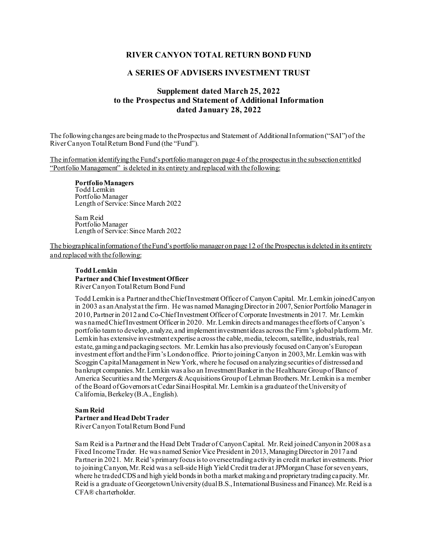### **RIVER CANYON TOTAL RETURN BOND FUND**

### **A SERIES OF ADVISERS INVESTMENT TRUST**

### **Supplement dated March 25, 2022 to the Prospectus and Statement of Additional Information dated January 28, 2022**

The following changes are being made to the Prospectus and Statement of Additional Information("SAI") of the River Canyon Total Return Bond Fund (the "Fund").

The information identifying the Fund's portfolio manager on page 4 of the prospectus in the subsectionentitled "Portfolio Management" is deleted in its entirety and replaced with the following:

**PortfolioManagers** Todd Lemkin Portfolio Manager Length of Service: Since March 2022

Sam Reid Portfolio Manager Length of Service: Since March 2022

The biographical information of the Fund's portfolio manager on page 12 of the Prospectus is deleted in its entirety and replaced with the following:

#### **Todd Lemkin Partner and Chief Investment Officer** River Canyon Total Return Bond Fund

Todd Lemkin is a Partner and the Chief Investment Officer of Canyon Capital. Mr. Lemkin joined Canyon in 2003 as an Analyst at the firm. He was named Managing Director in 2007, Senior Portfolio Manager in 2010, Partner in 2012 and Co-Chief Investment Officer of Corporate Investments in 2017. Mr. Lemkin was named Chief Investment Officer in 2020. Mr. Lemkin directs and manages the efforts of Canyon's portfolio team to develop, analyze, and implement investment ideas across the Firm's global platform. Mr. Lemkin has extensive investment expertise across the cable, media, telecom, satellite, industrials, real estate, gaming and packaging sectors. Mr. Lemkin has also previously focused on Canyon's European investment effort and the Firm's London office. Prior to joining Canyon in 2003, Mr. Lemkin was with Scoggin Capital Management in New York, where he focused on analyzing securities of distressed and bankrupt companies. Mr. Lemkin was also an Investment Banker in the Healthcare Group of Banc of America Securities and the Mergers & Acquisitions Group of Lehman Brothers. Mr. Lemkin is a member of the Board of Governors at Cedar Sinai Hospital. Mr. Lemkin is a graduate of the University of California, Berkeley (B.A., English).

## **Sam Reid Partner and Head Debt Trader**

River Canyon Total Return Bond Fund

Sam Reid is a Partner and the Head Debt Trader of Canyon Capital. Mr. Reid joined Canyon in 2008 as a Fixed Income Trader. He was named Senior Vice President in 2013, Managing Director in 2017 and Partner in 2021. Mr. Reid's primary focus is to oversee trading activity in credit market investments. Prior to joining Canyon, Mr. Reid was a sell-side High Yield Credit trader at JPMorgan Chase for seven years, where he traded CDS and high yield bonds in both a market making and proprietary trading capacity. Mr. Reid is a graduate of Georgetown University (dual B.S., International Business and Finance). Mr. Reid is a CFA® charterholder.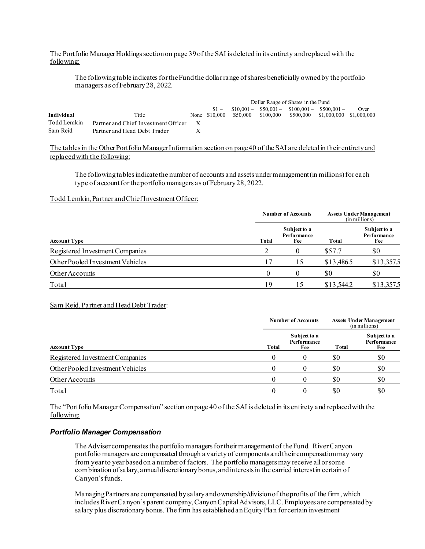### The Portfolio Manager Holdings section on page 39of the SAI is deleted in its entirety and replaced with the following:

The following table indicates for the Fund the dollar range of shares beneficially owned by the portfolio managers as of February 28, 2022.

|             |                                      |   | Dollar Range of Shares in the Fund |          |           |  |                                             |      |
|-------------|--------------------------------------|---|------------------------------------|----------|-----------|--|---------------------------------------------|------|
|             |                                      |   | $$1 -$                             |          |           |  | $$10,001 - $50,001 - $100,001 - $500,001 -$ | Over |
| Individual  | Title                                |   | None \$10,000                      | \$50.000 | \$100,000 |  | \$500,000 \$1,000,000 \$1,000,000           |      |
| Todd Lemkin | Partner and Chief Investment Officer |   |                                    |          |           |  |                                             |      |
| Sam Reid    | Partner and Head Debt Trader         | X |                                    |          |           |  |                                             |      |

The tablesin the Other Portfolio Manager Information section on page 40 of the SAI are deleted in their entirety and replaced with the following:

The following tables indicate the number of accounts and assets under management (in millions) for each type of account for the portfolio managers as of February 28, 2022.

#### Todd Lemkin, Partner and Chief Investment Officer:

|                                  | <b>Number of Accounts</b> | <b>Assets Under Management</b><br>(in millions) |            |                                    |
|----------------------------------|---------------------------|-------------------------------------------------|------------|------------------------------------|
| <b>Account Type</b>              | Total                     | Subject to a<br>Performance<br>Fee              | Total      | Subject to a<br>Performance<br>Fee |
| Registered Investment Companies  | 2                         |                                                 | \$57.7     | \$0                                |
| Other Pooled Investment Vehicles |                           | 15                                              | \$13,486.5 | \$13,357.5                         |
| Other Accounts                   |                           |                                                 | \$0        | \$0                                |
| Total                            | 19                        | 15                                              | \$13,544.2 | \$13,357.5                         |

### Sam Reid, Partner and Head Debt Trader:

|                                  | <b>Number of Accounts</b> | <b>Assets Under Management</b><br>(in millions) |       |                                    |
|----------------------------------|---------------------------|-------------------------------------------------|-------|------------------------------------|
| <b>Account Type</b>              | Total                     | Subject to a<br>Performance<br>Fee              | Total | Subject to a<br>Performance<br>Fee |
| Registered Investment Companies  |                           |                                                 | \$0   | \$0                                |
| Other Pooled Investment Vehicles |                           |                                                 | \$0   | \$0                                |
| Other Accounts                   |                           |                                                 | \$0   | \$0                                |
| Total                            |                           |                                                 | S0    | \$0                                |

The "Portfolio Manager Compensation" section on page 40 of the SAI is deleted in its entirety and replaced with the following:

### *Portfolio Manager Compensation*

The Adviser compensates the portfolio managers for their management of the Fund. River Canyon portfolio managers are compensated through a variety of components and their compensation may vary from year to year based on a number of factors. The portfolio managers may receive all or some combination of salary, annual discretionary bonus, and interests in the carried interest in certain of Canyon's funds.

Managing Partners are compensated by salary and ownership/division of the profits of the firm, which includes River Canyon's parent company, Canyon Capital Advisors, LLC. Employees are compensated by salary plus discretionary bonus. The firm has established an Equity Plan for certain investment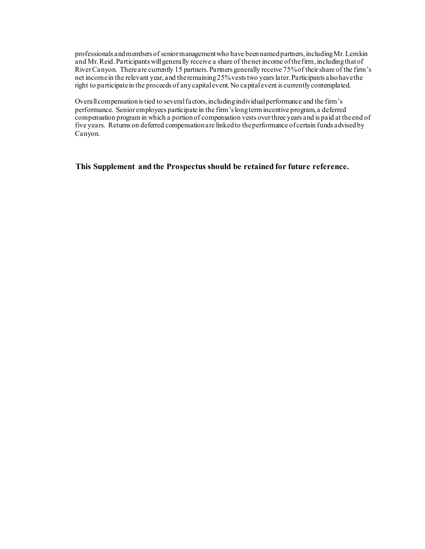professionals and members of senior management who have been named partners, includingMr. Lemkin and Mr. Reid. Participants will generally receive a share of the net income of the firm, including that of River Canyon. There are currently 15 partners. Partners generally receive 75% of their share of the firm's net income in the relevant year, and the remaining 25% vests two years later. Participants also have the right to participate in the proceeds of any capital event. No capital event is currently contemplated.

Overall compensation is tied to several factors, including individual performance and the firm's performance. Senior employees participate in the firm's long term incentive program, a deferred compensation program in which a portion of compensation vests over three years and is paid at the end of five years. Returns on deferred compensation are linked to the performance of certain funds advised by Canyon.

**This Supplement and the Prospectus should be retained for future reference.**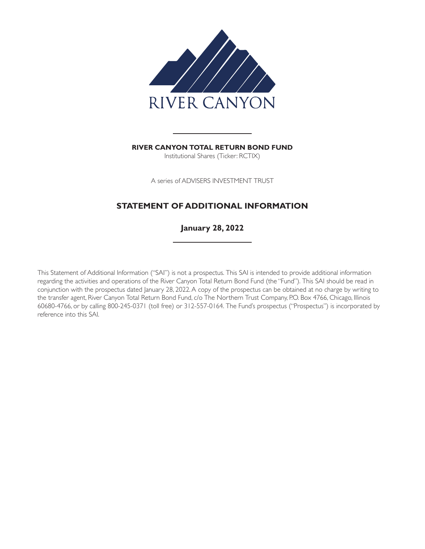

**RIVER CANYON TOTAL RETURN BOND FUND** Institutional Shares (Ticker: RCTIX)

A series of ADVISERS INVESTMENT TRUST

## **STATEMENT OF ADDITIONAL INFORMATION**

**January 28, 2022**

This Statement of Additional Information ("SAI") is not a prospectus. This SAI is intended to provide additional information regarding the activities and operations of the River Canyon Total Return Bond Fund (the "Fund"). This SAI should be read in conjunction with the prospectus dated January 28, 2022. A copy of the prospectus can be obtained at no charge by writing to the transfer agent, River Canyon Total Return Bond Fund, c/o The Northern Trust Company, P.O. Box 4766, Chicago, Illinois 60680-4766, or by calling 800-245-0371 (toll free) or 312-557-0164. The Fund's prospectus ("Prospectus") is incorporated by reference into this SAI.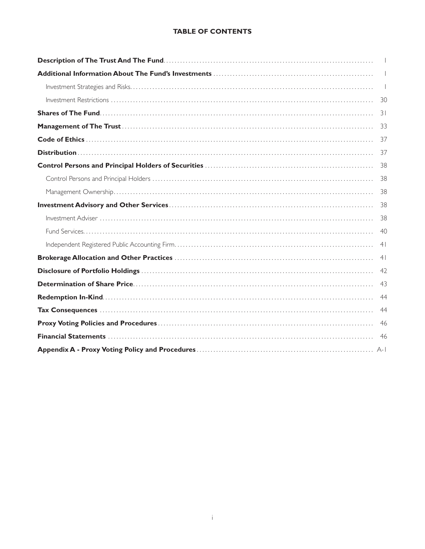### **TABLE OF CONTENTS**

| $\mathbf{1}$   |
|----------------|
| $\perp$        |
|                |
|                |
|                |
|                |
|                |
|                |
| 38             |
| 38             |
|                |
|                |
|                |
| 40             |
| 4 <sup>1</sup> |
| 4 <sup>1</sup> |
| 42             |
| 43             |
| 44             |
| 44             |
| 46             |
|                |
|                |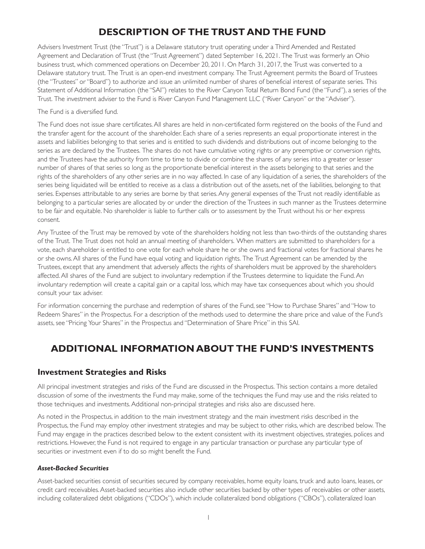# **DESCRIPTION OF THE TRUST AND THE FUND**

<span id="page-6-0"></span>Advisers Investment Trust (the "Trust") is a Delaware statutory trust operating under a Third Amended and Restated Agreement and Declaration of Trust (the "Trust Agreement") dated September 16, 2021. The Trust was formerly an Ohio business trust, which commenced operations on December 20, 2011. On March 31, 2017, the Trust was converted to a Delaware statutory trust. The Trust is an open-end investment company. The Trust Agreement permits the Board of Trustees (the "Trustees" or "Board") to authorize and issue an unlimited number of shares of beneficial interest of separate series. This Statement of Additional Information (the "SAI") relates to the River Canyon Total Return Bond Fund (the "Fund"), a series of the Trust. The investment adviser to the Fund is River Canyon Fund Management LLC ("River Canyon" or the "Adviser").

The Fund is a diversified fund.

The Fund does not issue share certificates. All shares are held in non-certificated form registered on the books of the Fund and the transfer agent for the account of the shareholder. Each share of a series represents an equal proportionate interest in the assets and liabilities belonging to that series and is entitled to such dividends and distributions out of income belonging to the series as are declared by the Trustees. The shares do not have cumulative voting rights or any preemptive or conversion rights, and the Trustees have the authority from time to time to divide or combine the shares of any series into a greater or lesser number of shares of that series so long as the proportionate beneficial interest in the assets belonging to that series and the rights of the shareholders of any other series are in no way affected. In case of any liquidation of a series, the shareholders of the series being liquidated will be entitled to receive as a class a distribution out of the assets, net of the liabilities, belonging to that series. Expenses attributable to any series are borne by that series. Any general expenses of the Trust not readily identifiable as belonging to a particular series are allocated by or under the direction of the Trustees in such manner as the Trustees determine to be fair and equitable. No shareholder is liable to fur ther calls or to assessment by the Trust without his or her express consent.

Any Trustee of the Trust may be removed by vote of the shareholders holding not less than two-thirds of the outstanding shares of the Trust. The Trust does not hold an annual meeting of shareholders. When matters are submitted to shareholders for a vote, each shareholder is entitled to one vote for each whole share he or she owns and fractional votes for fractional shares he or she owns. All shares of the Fund have equal voting and liquidation rights. The Trust Agreement can be amended by the Trustees, except that any amendment that adversely affects the rights of shareholders must be approved by the shareholders affected. All shares of the Fund are subject to involuntary redemption if the Trustees determine to liquidate the Fund. An involuntary redemption will create a capital gain or a capital loss, which may have tax consequences about which you should consult your tax adviser.

For information concerning the purchase and redemption of shares of the Fund, see "How to Purchase Shares" and "How to Redeem Shares" in the Prospectus. For a description of the methods used to determine the share price and value of the Fund's assets, see "Pricing Your Shares" in the Prospectus and "Determination of Share Price" in this SAI.

# **ADDITIONAL INFORMATION ABOUT THE FUND'S INVESTMENTS**

### **Investment Strategies and Risks**

All principal investment strategies and risks of the Fund are discussed in the Prospectus. This section contains a more detailed discussion of some of the investments the Fund may make, some of the techniques the Fund may use and the risks related to those techniques and investments. Additional non-principal strategies and risks also are discussed here.

As noted in the Prospectus, in addition to the main investment strategy and the main investment risks described in the Prospectus, the Fund may employ other investment strategies and may be subject to other risks, which are described below. The Fund may engage in the practices described below to the extent consistent with its investment objectives, strategies, polices and restrictions. However, the Fund is not required to engage in any particular transaction or purchase any particular type of securities or investment even if to do so might benefit the Fund.

### *Asset-Backed Securities*

Asset-backed securities consist of securities secured by company receivables, home equity loans, truck and auto loans, leases, or credit card receivables. Asset-backed securities also include other securities backed by other types of receivables or other assets, including collateralized debt obligations ("CDOs"), which include collateralized bond obligations ("CBOs"), collateralized loan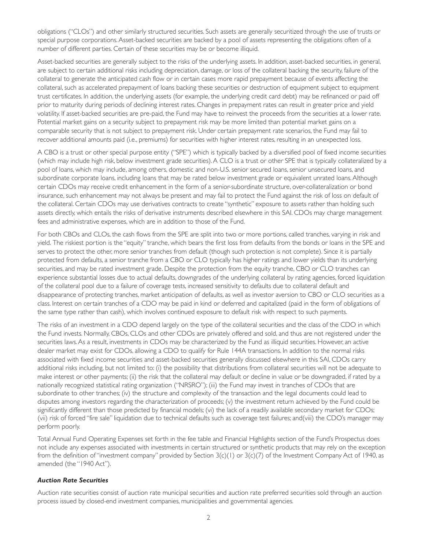obligations ("CLOs") and other similarly structured securities. Such assets are generally securitized through the use of trusts or special purpose corporations. Asset-backed securities are backed by a pool of assets representing the obligations often of a number of different parties. Certain of these securities may be or become illiquid.

Asset-backed securities are generally subject to the risks of the underlying assets. In addition, asset-backed securities, in general, are subject to certain additional risks including depreciation, damage, or loss of the collateral backing the security, failure of the collateral to generate the anticipated cash flow or in certain cases more rapid prepayment because of events affecting the collateral, such as accelerated prepayment of loans backing these securities or destruction of equipment subject to equipment trust certificates. In addition, the underlying assets (for example, the underlying credit card debt) may be refinanced or paid off prior to maturity during periods of declining interest rates. Changes in prepayment rates can result in greater price and yield volatility. If asset-backed securities are pre-paid, the Fund may have to reinvest the proceeds from the securities at a lower rate. Potential market gains on a security subject to prepayment risk may be more limited than potential market gains on a comparable security that is not subject to prepayment risk. Under cer tain prepayment rate scenarios, the Fund may fail to recover additional amounts paid (i.e., premiums) for securities with higher interest rates, resulting in an unexpected loss.

A CBO is a trust or other special purpose entity ("SPE") which is typically backed by a diversified pool of fixed income securities (which may include high risk, below investment grade securities). A CLO is a trust or other SPE that is typically collateralized by a pool of loans, which may include, among others, domestic and non-U.S. senior secured loans, senior unsecured loans, and subordinate corporate loans, including loans that may be rated below investment grade or equivalent unrated loans. Although certain CDOs may receive credit enhancement in the form of a senior-subordinate structure, over-collateralization or bond insurance, such enhancement may not always be present and may fail to protect the Fund against the risk of loss on default of the collateral. Certain CDOs may use derivatives contracts to create "synthetic" exposure to assets rather than holding such assets directly, which entails the risks of derivative instruments described elsewhere in this SAI. CDOs may charge management fees and administrative expenses, which are in addition to those of the Fund.

For both CBOs and CLOs, the cash flows from the SPE are split into two or more portions, called tranches, varying in risk and yield. The riskiest portion is the "equity" tranche, which bears the first loss from defaults from the bonds or loans in the SPE and serves to protect the other, more senior tranches from default (though such protection is not complete). Since it is partially protected from defaults, a senior tranche from a CBO or CLO typically has higher ratings and lower yields than its underlying securities, and may be rated investment grade. Despite the protection from the equity tranche, CBO or CLO tranches can experience substantial losses due to actual defaults, downgrades of the underlying collateral by rating agencies, forced liquidation of the collateral pool due to a failure of coverage tests, increased sensitivity to defaults due to collateral default and disappearance of protecting tranches, market anticipation of defaults, as well as investor aversion to CBO or CLO securities as a class. Interest on cer tain tranches of a CDO may be paid in kind or deferred and capitalized (paid in the form of obligations of the same type rather than cash), which involves continued exposure to default risk with respect to such payments.

The risks of an investment in a CDO depend largely on the type of the collateral securities and the class of the CDO in which the Fund invests. Normally, CBOs, CLOs and other CDOs are privately offered and sold, and thus are not registered under the securities laws. As a result, investments in CDOs may be characterized by the Fund as illiquid securities. However, an active dealer market may exist for CDOs, allowing a CDO to qualify for Rule 144A transactions. In addition to the normal risks associated with fixed income securities and asset-backed securities generally discussed elsewhere in this SAI, CDOs carry additional risks including, but not limited to: (i) the possibility that distributions from collateral securities will not be adequate to make interest or other payments; (ii) the risk that the collateral may default or decline in value or be downgraded, if rated by a nationally recognized statistical rating organization ("NRSRO"); (iii) the Fund may invest in tranches of CDOs that are subordinate to other tranches; (iv) the structure and complexity of the transaction and the legal documents could lead to disputes among investors regarding the characterization of proceeds; (v) the investment return achieved by the Fund could be significantly different than those predicted by financial models; (vi) the lack of a readily available secondary market for CDOs; (vii) risk of forced "fire sale" liquidation due to technical defaults such as coverage test failures; and(viii) the CDO's manager may perform poorly.

Total Annual Fund Operating Expenses set forth in the fee table and Financial Highlights section of the Fund's Prospectus does not include any expenses associated with investments in certain structured or synthetic products that may rely on the exception from the definition of "investment company" provided by Section  $3(c)(1)$  or  $3(c)(7)$  of the Investment Company Act of 1940, as amended (the "1940 Act").

### *Auction Rate Securities*

Auction rate securities consist of auction rate municipal securities and auction rate preferred securities sold through an auction process issued by closed-end investment companies, municipalities and governmental agencies.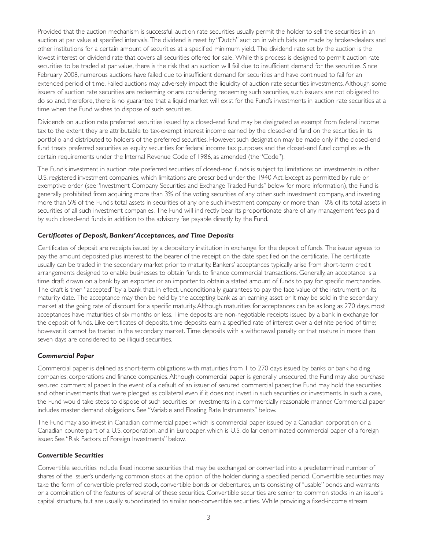Provided that the auction mechanism is successful, auction rate securities usually permit the holder to sell the securities in an auction at par value at specified intervals. The dividend is reset by "Dutch" auction in which bids are made by broker-dealers and other institutions for a cer tain amount of securities at a specified minimum yield. The dividend rate set by the auction is the lowest interest or dividend rate that covers all securities offered for sale. While this process is designed to permit auction rate securities to be traded at par value, there is the risk that an auction will fail due to insufficient demand for the securities. Since February 2008, numerous auctions have failed due to insufficient demand for securities and have continued to fail for an extended period of time. Failed auctions may adversely impact the liquidity of auction rate securities investments. Although some issuers of auction rate securities are redeeming or are considering redeeming such securities, such issuers are not obligated to do so and, therefore, there is no guarantee that a liquid market will exist for the Fund's investments in auction rate securities at a time when the Fund wishes to dispose of such securities.

Dividends on auction rate preferred securities issued by a closed-end fund may be designated as exempt from federal income tax to the extent they are attributable to tax-exempt interest income earned by the closed-end fund on the securities in its portfolio and distributed to holders of the preferred securities. However, such designation may be made only if the closed-end fund treats preferred securities as equity securities for federal income tax purposes and the closed-end fund complies with cer tain requirements under the Internal Revenue Code of 1986, as amended (the "Code").

The Fund's investment in auction rate preferred securities of closed-end funds is subject to limitations on investments in other U.S. registered investment companies, which limitations are prescribed under the 1940 Act. Except as permitted by rule or exemptive order (see "Investment Company Securities and Exchange Traded Funds" below for more information), the Fund is generally prohibited from acquiring more than 3% of the voting securities of any other such investment company, and investing more than 5% of the Fund's total assets in securities of any one such investment company or more than 10% of its total assets in securities of all such investment companies. The Fund will indirectly bear its proportionate share of any management fees paid by such closed-end funds in addition to the advisory fee payable directly by the Fund.

### *Certificates of Deposit, Bankers'Acceptances, and Time Deposits*

Cer tificates of deposit are receipts issued by a depository institution in exchange for the deposit of funds. The issuer agrees to pay the amount deposited plus interest to the bearer of the receipt on the date specified on the certificate. The certificate usually can be traded in the secondary market prior to maturity. Bankers' acceptances typically arise from short-term credit arrangements designed to enable businesses to obtain funds to finance commercial transactions. Generally, an acceptance is a time draft drawn on a bank by an exporter or an importer to obtain a stated amount of funds to pay for specific merchandise. The draft is then "accepted" by a bank that, in effect, unconditionally guarantees to pay the face value of the instrument on its maturity date. The acceptance may then be held by the accepting bank as an earning asset or it may be sold in the secondary market at the going rate of discount for a specific maturity. Although maturities for acceptances can be as long as 270 days, most acceptances have maturities of six months or less. Time deposits are non-negotiable receipts issued by a bank in exchange for the deposit of funds. Like certificates of deposits, time deposits earn a specified rate of interest over a definite period of time; however, it cannot be traded in the secondary market. Time deposits with a withdrawal penalty or that mature in more than seven days are considered to be illiquid securities.

### *Commercial Paper*

Commercial paper is defined as short-term obligations with maturities from 1 to 270 days issued by banks or bank holding companies, corporations and finance companies. Although commercial paper is generally unsecured, the Fund may also purchase secured commercial paper. In the event of a default of an issuer of secured commercial paper, the Fund may hold the securities and other investments that were pledged as collateral even if it does not invest in such securities or investments. In such a case, the Fund would take steps to dispose of such securities or investments in a commercially reasonable manner. Commercial paper includes master demand obligations. See "Variable and Floating Rate Instruments" below.

The Fund may also invest in Canadian commercial paper, which is commercial paper issued by a Canadian corporation or a Canadian counterpart of a U.S. corporation, and in Europaper, which is U.S. dollar denominated commercial paper of a foreign issuer. See "Risk Factors of Foreign Investments" below.

### *Convertible Securities*

Conver tible securities include fixed income securities that may be exchanged or conver ted into a predetermined number of shares of the issuer's underlying common stock at the option of the holder during a specified period. Convertible securities may take the form of convertible preferred stock, convertible bonds or debentures, units consisting of "usable" bonds and warrants or a combination of the features of several of these securities. Conver tible securities are senior to common stocks in an issuer's capital structure, but are usually subordinated to similar non-conver tible securities. While providing a fixed-income stream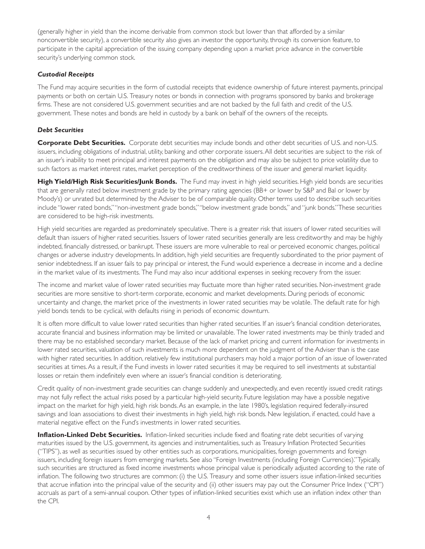(generally higher in yield than the income derivable from common stock but lower than that afforded by a similar nonconvertible security), a convertible security also gives an investor the opportunity, through its conversion feature, to participate in the capital appreciation of the issuing company depending upon a market price advance in the convertible security's underlying common stock.

### *Custodial Receipts*

The Fund may acquire securities in the form of custodial receipts that evidence ownership of future interest payments, principal payments or both on certain U.S. Treasury notes or bonds in connection with programs sponsored by banks and brokerage firms. These are not considered U.S. government securities and are not backed by the full faith and credit of the U.S. government. These notes and bonds are held in custody by a bank on behalf of the owners of the receipts.

### *Debt Securities*

**Corporate Debt Securities.** Corporate debt securities may include bonds and other debt securities of U.S. and non-U.S. issuers, including obligations of industrial, utility, banking and other corporate issuers. All debt securities are subject to the risk of an issuer's inability to meet principal and interest payments on the obligation and may also be subject to price volatility due to such factors as market interest rates, market perception of the creditworthiness of the issuer and general market liquidity.

**High Yield/High Risk Securities/Junk Bonds.** The Fund may invest in high yield securities. High yield bonds are securities that are generally rated below investment grade by the primary rating agencies (BB+ or lower by S&P and Bal or lower by Moody's) or unrated but determined by the Adviser to be of comparable quality. Other terms used to describe such securities include "lower rated bonds,""non-investment grade bonds,""below investment grade bonds," and "junk bonds."These securities are considered to be high-risk investments.

High yield securities are regarded as predominately speculative. There is a greater risk that issuers of lower rated securities will default than issuers of higher rated securities. Issuers of lower rated securities generally are less creditworthy and may be highly indebted, financially distressed, or bankrupt. These issuers are more vulnerable to real or perceived economic changes, political changes or adverse industry developments. In addition, high yield securities are frequently subordinated to the prior payment of senior indebtedness. If an issuer fails to pay principal or interest, the Fund would experience a decrease in income and a decline in the market value of its investments. The Fund may also incur additional expenses in seeking recovery from the issuer.

The income and market value of lower rated securities may fluctuate more than higher rated securities. Non-investment grade securities are more sensitive to short-term corporate, economic and market developments. During periods of economic uncertainty and change, the market price of the investments in lower rated securities may be volatile. The default rate for high yield bonds tends to be cyclical, with defaults rising in periods of economic downturn.

It is often more difficult to value lower rated securities than higher rated securities. If an issuer's financial condition deteriorates, accurate financial and business information may be limited or unavailable. The lower rated investments may be thinly traded and there may be no established secondary market. Because of the lack of market pricing and current information for investments in lower rated securities, valuation of such investments is much more dependent on the judgment of the Adviser than is the case with higher rated securities. In addition, relatively few institutional purchasers may hold a major portion of an issue of lower-rated securities at times. As a result, if the Fund invests in lower rated securities it may be required to sell investments at substantial losses or retain them indefinitely even where an issuer's financial condition is deteriorating.

Credit quality of non-investment grade securities can change suddenly and unexpectedly, and even recently issued credit ratings may not fully reflect the actual risks posed by a particular high-yield security. Future legislation may have a possible negative impact on the market for high yield, high risk bonds. As an example, in the late 1980's, legislation required federally-insured savings and loan associations to divest their investments in high yield, high risk bonds. New legislation, if enacted, could have a material negative effect on the Fund's investments in lower rated securities.

**Inflation-Linked Debt Securities.** Inflation-linked securities include fixed and floating rate debt securities of varying maturities issued by the U.S. government, its agencies and instrumentalities, such as Treasury Inflation Protected Securities ("TIPS"), as well as securities issued by other entities such as corporations, municipalities, foreign governments and foreign issuers, including foreign issuers from emerging markets. See also "Foreign Investments (including Foreign Currencies)."Typically, such securities are structured as fixed income investments whose principal value is periodically adjusted according to the rate of inflation. The following two structures are common: (i) the U.S. Treasury and some other issuers issue inflation-linked securities that accrue inflation into the principal value of the security and (ii) other issuers may pay out the Consumer Price Index ("CPI") accruals as part of a semi-annual coupon. Other types of inflation-linked securities exist which use an inflation index other than the CPI.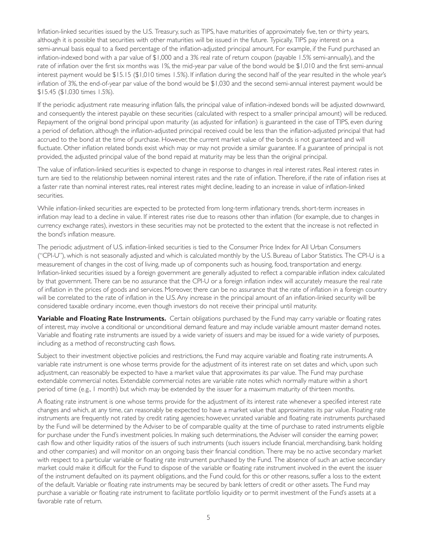Inflation-linked securities issued by the U.S. Treasury, such as TIPS, have maturities of approximately five, ten or thirty years, although it is possible that securities with other maturities will be issued in the future. Typically, TIPS pay interest on a semi-annual basis equal to a fixed percentage of the inflation-adjusted principal amount. For example, if the Fund purchased an inflation-indexed bond with a par value of \$1,000 and a 3% real rate of return coupon (payable 1.5% semi-annually), and the rate of inflation over the first six months was 1%, the mid-year par value of the bond would be \$1,010 and the first semi-annual interest payment would be \$15.15 (\$1,010 times 1.5%). If inflation during the second half of the year resulted in the whole year's inflation of 3%, the end-of-year par value of the bond would be \$1,030 and the second semi-annual interest payment would be \$15.45 (\$1,030 times 1.5%).

If the periodic adjustment rate measuring inflation falls, the principal value of inflation-indexed bonds will be adjusted downward, and consequently the interest payable on these securities (calculated with respect to a smaller principal amount) will be reduced. Repayment of the original bond principal upon maturity (as adjusted for inflation) is guaranteed in the case of TIPS, even during a period of deflation, although the inflation-adjusted principal received could be less than the inflation-adjusted principal that had accrued to the bond at the time of purchase. However, the current market value of the bonds is not guaranteed and will fluctuate. Other inflation related bonds exist which may or may not provide a similar guarantee. If a guarantee of principal is not provided, the adjusted principal value of the bond repaid at maturity may be less than the original principal.

The value of inflation-linked securities is expected to change in response to changes in real interest rates. Real interest rates in turn are tied to the relationship between nominal interest rates and the rate of inflation. Therefore, if the rate of inflation rises at a faster rate than nominal interest rates, real interest rates might decline, leading to an increase in value of inflation-linked securities.

While inflation-linked securities are expected to be protected from long-term inflationary trends, short-term increases in inflation may lead to a decline in value. If interest rates rise due to reasons other than inflation (for example, due to changes in currency exchange rates), investors in these securities may not be protected to the extent that the increase is not reflected in the bond's inflation measure.

The periodic adjustment of U.S. inflation-linked securities is tied to the Consumer Price Index for All Urban Consumers ("CPI-U"), which is not seasonally adjusted and which is calculated monthly by the U.S. Bureau of Labor Statistics. The CPI-U is a measurement of changes in the cost of living, made up of components such as housing, food, transportation and energy. Inflation-linked securities issued by a foreign government are generally adjusted to reflect a comparable inflation index calculated by that government. There can be no assurance that the CPI-U or a foreign inflation index will accurately measure the real rate of inflation in the prices of goods and services. Moreover, there can be no assurance that the rate of inflation in a foreign country will be correlated to the rate of inflation in the U.S. Any increase in the principal amount of an inflation-linked security will be considered taxable ordinary income, even though investors do not receive their principal until maturity.

**Variable and Floating Rate Instruments.** Certain obligations purchased by the Fund may carry variable or floating rates of interest, may involve a conditional or unconditional demand feature and may include variable amount master demand notes. Variable and floating rate instruments are issued by a wide variety of issuers and may be issued for a wide variety of purposes, including as a method of reconstructing cash flows.

Subject to their investment objective policies and restrictions, the Fund may acquire variable and floating rate instruments. A variable rate instrument is one whose terms provide for the adjustment of its interest rate on set dates and which, upon such adjustment, can reasonably be expected to have a market value that approximates its par value. The Fund may purchase extendable commercial notes. Extendable commercial notes are variable rate notes which normally mature within a short period of time (e.g., 1 month) but which may be extended by the issuer for a maximum maturity of thirteen months.

A floating rate instrument is one whose terms provide for the adjustment of its interest rate whenever a specified interest rate changes and which, at any time, can reasonably be expected to have a market value that approximates its par value. Floating rate instruments are frequently not rated by credit rating agencies; however, unrated variable and floating rate instruments purchased by the Fund will be determined by the Adviser to be of comparable quality at the time of purchase to rated instruments eligible for purchase under the Fund's investment policies. In making such determinations, the Adviser will consider the earning power, cash flow and other liquidity ratios of the issuers of such instruments (such issuers include financial, merchandising, bank holding and other companies) and will monitor on an ongoing basis their financial condition. There may be no active secondary market with respect to a particular variable or floating rate instrument purchased by the Fund. The absence of such an active secondary market could make it difficult for the Fund to dispose of the variable or floating rate instrument involved in the event the issuer of the instrument defaulted on its payment obligations, and the Fund could, for this or other reasons, suffer a loss to the extent of the default. Variable or floating rate instruments may be secured by bank letters of credit or other assets. The Fund may purchase a variable or floating rate instrument to facilitate portfolio liquidity or to permit investment of the Fund's assets at a favorable rate of return.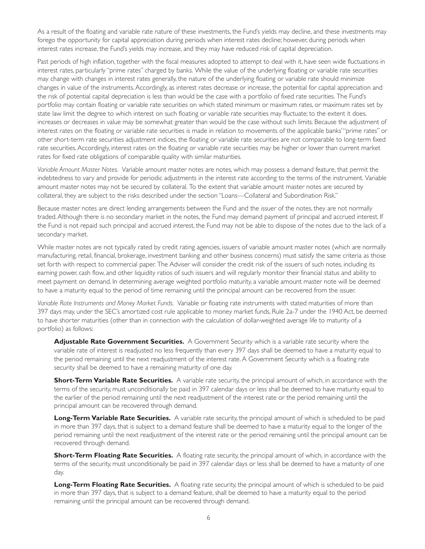As a result of the floating and variable rate nature of these investments, the Fund's yields may decline, and these investments may forego the opportunity for capital appreciation during periods when interest rates decline; however, during periods when interest rates increase, the Fund's yields may increase, and they may have reduced risk of capital depreciation.

Past periods of high inflation, together with the fiscal measures adopted to attempt to deal with it, have seen wide fluctuations in interest rates, particularly "prime rates" charged by banks. While the value of the underlying floating or variable rate securities may change with changes in interest rates generally, the nature of the underlying floating or variable rate should minimize changes in value of the instruments. Accordingly, as interest rates decrease or increase, the potential for capital appreciation and the risk of potential capital depreciation is less than would be the case with a por tfolio of fixed rate securities. The Fund's portfolio may contain floating or variable rate securities on which stated minimum or maximum rates, or maximum rates set by state law limit the degree to which interest on such floating or variable rate securities may fluctuate; to the extent it does, increases or decreases in value may be somewhat greater than would be the case without such limits. Because the adjustment of interest rates on the floating or variable rate securities is made in relation to movements of the applicable banks'"prime rates" or other shor t-term rate securities adjustment indices, the floating or variable rate securities are not comparable to long-term fixed rate securities. Accordingly, interest rates on the floating or variable rate securities may be higher or lower than current market rates for fixed rate obligations of comparable quality with similar maturities.

*Variable Amount Master Notes.* Variable amount master notes are notes, which may possess a demand feature, that permit the indebtedness to vary and provide for periodic adjustments in the interest rate according to the terms of the instrument. Variable amount master notes may not be secured by collateral. To the extent that variable amount master notes are secured by collateral, they are subject to the risks described under the section "Loans—Collateral and Subordination Risk."

Because master notes are direct lending arrangements between the Fund and the issuer of the notes, they are not normally traded. Although there is no secondary market in the notes, the Fund may demand payment of principal and accrued interest. If the Fund is not repaid such principal and accrued interest, the Fund may not be able to dispose of the notes due to the lack of a secondary market.

While master notes are not typically rated by credit rating agencies, issuers of variable amount master notes (which are normally manufacturing, retail, financial, brokerage, investment banking and other business concerns) must satisfy the same criteria as those set forth with respect to commercial paper. The Adviser will consider the credit risk of the issuers of such notes, including its earning power, cash flow, and other liquidity ratios of such issuers and will regularly monitor their financial status and ability to meet payment on demand. In determining average weighted portfolio maturity, a variable amount master note will be deemed to have a maturity equal to the period of time remaining until the principal amount can be recovered from the issuer.

*Variable Rate Instruments and Money Market Funds.* Variable or floating rate instruments with stated maturities of more than 397 days may, under the SEC's amortized cost rule applicable to money market funds, Rule 2a-7 under the 1940 Act, be deemed to have shorter maturities (other than in connection with the calculation of dollar-weighted average life to maturity of a portfolio) as follows:

**Adjustable Rate Government Securities.** A Government Security which is a variable rate security where the variable rate of interest is readjusted no less frequently than every 397 days shall be deemed to have a maturity equal to the period remaining until the next readjustment of the interest rate. A Government Security which is a floating rate security shall be deemed to have a remaining maturity of one day.

**Short-Term Variable Rate Securities.** A variable rate security, the principal amount of which, in accordance with the terms of the security, must unconditionally be paid in 397 calendar days or less shall be deemed to have maturity equal to the earlier of the period remaining until the next readjustment of the interest rate or the period remaining until the principal amount can be recovered through demand.

**Long-Term Variable Rate Securities.** A variable rate security, the principal amount of which is scheduled to be paid in more than 397 days, that is subject to a demand feature shall be deemed to have a maturity equal to the longer of the period remaining until the next readjustment of the interest rate or the period remaining until the principal amount can be recovered through demand.

**Short-Term Floating Rate Securities.** A floating rate security, the principal amount of which, in accordance with the terms of the security, must unconditionally be paid in 397 calendar days or less shall be deemed to have a maturity of one day.

**Long-Term Floating Rate Securities.** A floating rate security, the principal amount of which is scheduled to be paid in more than 397 days, that is subject to a demand feature, shall be deemed to have a maturity equal to the period remaining until the principal amount can be recovered through demand.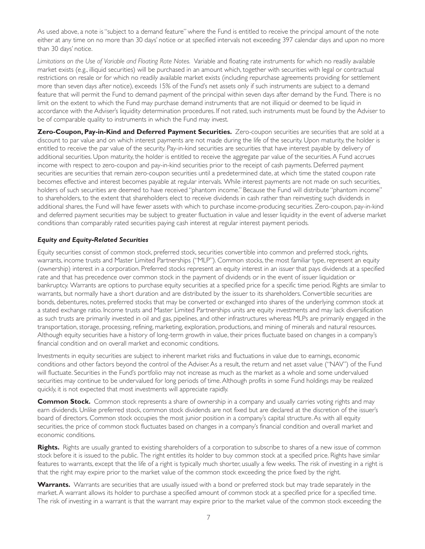As used above, a note is "subject to a demand feature" where the Fund is entitled to receive the principal amount of the note either at any time on no more than 30 days' notice or at specified intervals not exceeding 397 calendar days and upon no more than 30 days' notice.

*Limitations on the Use of Variable and Floating Rate Notes.* Variable and floating rate instruments for which no readily available market exists (e.g., illiquid securities) will be purchased in an amount which, together with securities with legal or contractual restrictions on resale or for which no readily available market exists (including repurchase agreements providing for settlement more than seven days after notice), exceeds 15% of the Fund's net assets only if such instruments are subject to a demand feature that will permit the Fund to demand payment of the principal within seven days after demand by the Fund. There is no limit on the extent to which the Fund may purchase demand instruments that are not illiquid or deemed to be liquid in accordance with the Adviser's liquidity determination procedures. If not rated, such instruments must be found by the Adviser to be of comparable quality to instruments in which the Fund may invest.

**Zero-Coupon, Pay-in-Kind and Deferred Payment Securities.** Zero-coupon securities are securities that are sold at a discount to par value and on which interest payments are not made during the life of the security. Upon maturity, the holder is entitled to receive the par value of the security. Pay-in-kind securities are securities that have interest payable by delivery of additional securities. Upon maturity, the holder is entitled to receive the aggregate par value of the securities. A Fund accrues income with respect to zero-coupon and pay-in-kind securities prior to the receipt of cash payments. Deferred payment securities are securities that remain zero-coupon securities until a predetermined date, at which time the stated coupon rate becomes effective and interest becomes payable at regular intervals. While interest payments are not made on such securities, holders of such securities are deemed to have received "phantom income." Because the Fund will distribute "phantom income" to shareholders, to the extent that shareholders elect to receive dividends in cash rather than reinvesting such dividends in additional shares, the Fund will have fewer assets with which to purchase income-producing securities. Zero-coupon, pay-in-kind and deferred payment securities may be subject to greater fluctuation in value and lesser liquidity in the event of adverse market conditions than comparably rated securities paying cash interest at regular interest payment periods.

### *Equity and Equity-Related Securities*

Equity securities consist of common stock, preferred stock, securities conver tible into common and preferred stock, rights, warrants, income trusts and Master Limited Partnerships ("MLP"). Common stocks, the most familiar type, represent an equity (ownership) interest in a corporation. Preferred stocks represent an equity interest in an issuer that pays dividends at a specified rate and that has precedence over common stock in the payment of dividends or in the event of issuer liquidation or bankruptcy. Warrants are options to purchase equity securities at a specified price for a specific time period. Rights are similar to warrants, but normally have a short duration and are distributed by the issuer to its shareholders. Convertible securities are bonds, debentures, notes, preferred stocks that may be conver ted or exchanged into shares of the underlying common stock at a stated exchange ratio. Income trusts and Master Limited Partnerships units are equity investments and may lack diversification as such trusts are primarily invested in oil and gas, pipelines, and other infrastructures whereas MLPs are primarily engaged in the transpor tation, storage, processing, refining, marketing, exploration, productions, and mining of minerals and natural resources. Although equity securities have a history of long-term growth in value, their prices fluctuate based on changes in a company's financial condition and on overall market and economic conditions.

Investments in equity securities are subject to inherent market risks and fluctuations in value due to earnings, economic conditions and other factors beyond the control of the Adviser. As a result, the return and net asset value ("NAV") of the Fund will fluctuate. Securities in the Fund's portfolio may not increase as much as the market as a whole and some undervalued securities may continue to be undervalued for long periods of time. Although profits in some Fund holdings may be realized quickly, it is not expected that most investments will appreciate rapidly.

**Common Stock.** Common stock represents a share of ownership in a company and usually carries voting rights and may earn dividends. Unlike preferred stock, common stock dividends are not fixed but are declared at the discretion of the issuer's board of directors. Common stock occupies the most junior position in a company's capital structure. As with all equity securities, the price of common stock fluctuates based on changes in a company's financial condition and overall market and economic conditions.

**Rights.** Rights are usually granted to existing shareholders of a corporation to subscribe to shares of a new issue of common stock before it is issued to the public. The right entitles its holder to buy common stock at a specified price. Rights have similar features to warrants, except that the life of a right is typically much shorter, usually a few weeks. The risk of investing in a right is that the right may expire prior to the market value of the common stock exceeding the price fixed by the right.

**Warrants.** Warrants are securities that are usually issued with a bond or preferred stock but may trade separately in the market. A warrant allows its holder to purchase a specified amount of common stock at a specified price for a specified time. The risk of investing in a warrant is that the warrant may expire prior to the market value of the common stock exceeding the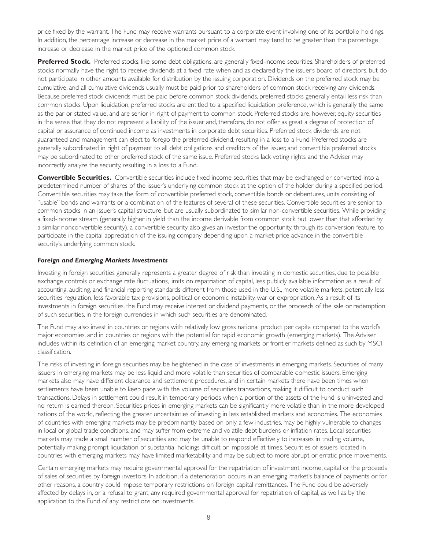price fixed by the warrant. The Fund may receive warrants pursuant to a corporate event involving one of its portfolio holdings. In addition, the percentage increase or decrease in the market price of a warrant may tend to be greater than the percentage increase or decrease in the market price of the optioned common stock.

**Preferred Stock.** Preferred stocks, like some debt obligations, are generally fixed-income securities. Shareholders of preferred stocks normally have the right to receive dividends at a fixed rate when and as declared by the issuer's board of directors, but do not participate in other amounts available for distribution by the issuing corporation. Dividends on the preferred stock may be cumulative, and all cumulative dividends usually must be paid prior to shareholders of common stock receiving any dividends. Because preferred stock dividends must be paid before common stock dividends, preferred stocks generally entail less risk than common stocks. Upon liquidation, preferred stocks are entitled to a specified liquidation preference, which is generally the same as the par or stated value, and are senior in right of payment to common stock. Preferred stocks are, however, equity securities in the sense that they do not represent a liability of the issuer and, therefore, do not offer as great a degree of protection of capital or assurance of continued income as investments in corporate debt securities. Preferred stock dividends are not guaranteed and management can elect to forego the preferred dividend, resulting in a loss to a Fund. Preferred stocks are generally subordinated in right of payment to all debt obligations and creditors of the issuer, and conver tible preferred stocks may be subordinated to other preferred stock of the same issue. Preferred stocks lack voting rights and the Adviser may incorrectly analyze the security, resulting in a loss to a Fund.

**Convertible Securities.** Convertible securities include fixed income securities that may be exchanged or converted into a predetermined number of shares of the issuer's underlying common stock at the option of the holder during a specified period. Convertible securities may take the form of convertible preferred stock, convertible bonds or debentures, units consisting of "usable" bonds and warrants or a combination of the features of several of these securities. Conver tible securities are senior to common stocks in an issuer's capital structure, but are usually subordinated to similar non-conver tible securities. While providing a fixed-income stream (generally higher in yield than the income derivable from common stock but lower than that afforded by a similar nonconvertible security), a convertible security also gives an investor the opportunity, through its conversion feature, to participate in the capital appreciation of the issuing company depending upon a market price advance in the convertible security's underlying common stock.

#### *Foreign and Emerging Markets Investments*

Investing in foreign securities generally represents a greater degree of risk than investing in domestic securities, due to possible exchange controls or exchange rate fluctuations, limits on repatriation of capital, less publicly available information as a result of accounting, auditing, and financial reporting standards different from those used in the U.S., more volatile markets, potentially less securities regulation, less favorable tax provisions, political or economic instability, war or expropriation. As a result of its investments in foreign securities, the Fund may receive interest or dividend payments, or the proceeds of the sale or redemption of such securities, in the foreign currencies in which such securities are denominated.

The Fund may also invest in countries or regions with relatively low gross national product per capita compared to the world's major economies, and in countries or regions with the potential for rapid economic growth (emerging markets). The Adviser includes within its definition of an emerging market country, any emerging markets or frontier markets defined as such by MSCI classification.

The risks of investing in foreign securities may be heightened in the case of investments in emerging markets. Securities of many issuers in emerging markets may be less liquid and more volatile than securities of comparable domestic issuers. Emerging markets also may have different clearance and settlement procedures, and in certain markets there have been times when settlements have been unable to keep pace with the volume of securities transactions, making it difficult to conduct such transactions. Delays in settlement could result in temporary periods when a portion of the assets of the Fund is uninvested and no return is earned thereon. Securities prices in emerging markets can be significantly more volatile than in the more developed nations of the world, reflecting the greater uncertainties of investing in less established markets and economies. The economies of countries with emerging markets may be predominantly based on only a few industries, may be highly vulnerable to changes in local or global trade conditions, and may suffer from extreme and volatile debt burdens or inflation rates. Local securities markets may trade a small number of securities and may be unable to respond effectively to increases in trading volume, potentially making prompt liquidation of substantial holdings difficult or impossible at times. Securities of issuers located in countries with emerging markets may have limited marketability and may be subject to more abrupt or erratic price movements.

Certain emerging markets may require governmental approval for the repatriation of investment income, capital or the proceeds of sales of securities by foreign investors. In addition, if a deterioration occurs in an emerging market's balance of payments or for other reasons, a country could impose temporary restrictions on foreign capital remittances. The Fund could be adversely affected by delays in, or a refusal to grant, any required governmental approval for repatriation of capital, as well as by the application to the Fund of any restrictions on investments.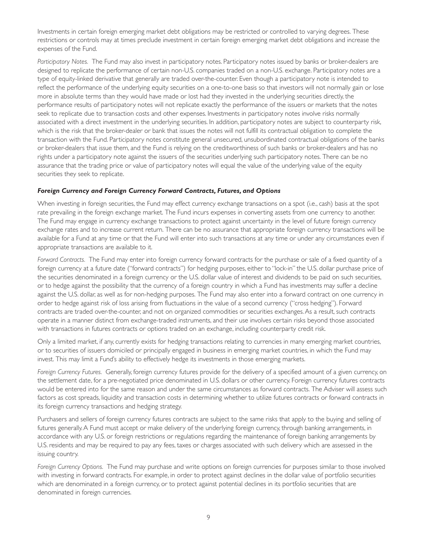Investments in certain foreign emerging market debt obligations may be restricted or controlled to varying degrees. These restrictions or controls may at times preclude investment in certain foreign emerging market debt obligations and increase the expenses of the Fund.

*Participatory Notes.* The Fund may also invest in participatory notes. Participatory notes issued by banks or broker-dealers are designed to replicate the performance of certain non-U.S. companies traded on a non-U.S. exchange. Participatory notes are a type of equity-linked derivative that generally are traded over-the-counter. Even though a par ticipatory note is intended to reflect the performance of the underlying equity securities on a one-to-one basis so that investors will not normally gain or lose more in absolute terms than they would have made or lost had they invested in the underlying securities directly, the performance results of participatory notes will not replicate exactly the performance of the issuers or markets that the notes seek to replicate due to transaction costs and other expenses. Investments in participatory notes involve risks normally associated with a direct investment in the underlying securities. In addition, participatory notes are subject to counterparty risk, which is the risk that the broker-dealer or bank that issues the notes will not fulfill its contractual obligation to complete the transaction with the Fund. Par ticipatory notes constitute general unsecured, unsubordinated contractual obligations of the banks or broker-dealers that issue them, and the Fund is relying on the creditwor thiness of such banks or broker-dealers and has no rights under a participatory note against the issuers of the securities underlying such participatory notes. There can be no assurance that the trading price or value of participatory notes will equal the value of the underlying value of the equity securities they seek to replicate.

### *Foreign Currency and Foreign Currency Forward Contracts, Futures, and Options*

When investing in foreign securities, the Fund may effect currency exchange transactions on a spot (i.e., cash) basis at the spot rate prevailing in the foreign exchange market. The Fund incurs expenses in converting assets from one currency to another. The Fund may engage in currency exchange transactions to protect against uncertainty in the level of future foreign currency exchange rates and to increase current return. There can be no assurance that appropriate foreign currency transactions will be available for a Fund at any time or that the Fund will enter into such transactions at any time or under any circumstances even if appropriate transactions are available to it.

*Forward Contracts.* The Fund may enter into foreign currency forward contracts for the purchase or sale of a fixed quantity of a foreign currency at a future date ("forward contracts") for hedging purposes, either to "lock-in" the U.S. dollar purchase price of the securities denominated in a foreign currency or the U.S. dollar value of interest and dividends to be paid on such securities, or to hedge against the possibility that the currency of a foreign country in which a Fund has investments may suffer a decline against the U.S. dollar, as well as for non-hedging purposes. The Fund may also enter into a forward contract on one currency in order to hedge against risk of loss arising from fluctuations in the value of a second currency ("cross hedging"). Forward contracts are traded over-the-counter, and not on organized commodities or securities exchanges. As a result, such contracts operate in a manner distinct from exchange-traded instruments, and their use involves cer tain risks beyond those associated with transactions in futures contracts or options traded on an exchange, including counterparty credit risk.

Only a limited market, if any, currently exists for hedging transactions relating to currencies in many emerging market countries, or to securities of issuers domiciled or principally engaged in business in emerging market countries, in which the Fund may invest. This may limit a Fund's ability to effectively hedge its investments in those emerging markets.

*Foreign Currency Futures.* Generally, foreign currency futures provide for the delivery of a specified amount of a given currency, on the settlement date, for a pre-negotiated price denominated in U.S. dollars or other currency. Foreign currency futures contracts would be entered into for the same reason and under the same circumstances as forward contracts. The Adviser will assess such factors as cost spreads, liquidity and transaction costs in determining whether to utilize futures contracts or forward contracts in its foreign currency transactions and hedging strategy.

Purchasers and sellers of foreign currency futures contracts are subject to the same risks that apply to the buying and selling of futures generally. A Fund must accept or make delivery of the underlying foreign currency, through banking arrangements, in accordance with any U.S. or foreign restrictions or regulations regarding the maintenance of foreign banking arrangements by U.S. residents and may be required to pay any fees, taxes or charges associated with such delivery which are assessed in the issuing country.

*Foreign Currency Options.* The Fund may purchase and write options on foreign currencies for purposes similar to those involved with investing in forward contracts. For example, in order to protect against declines in the dollar value of portfolio securities which are denominated in a foreign currency, or to protect against potential declines in its portfolio securities that are denominated in foreign currencies.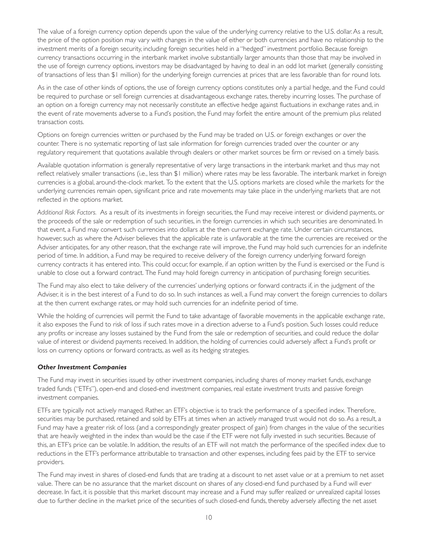The value of a foreign currency option depends upon the value of the underlying currency relative to the U.S. dollar. As a result, the price of the option position may vary with changes in the value of either or both currencies and have no relationship to the investment merits of a foreign security, including foreign securities held in a "hedged" investment por tfolio. Because foreign currency transactions occurring in the interbank market involve substantially larger amounts than those that may be involved in the use of foreign currency options, investors may be disadvantaged by having to deal in an odd lot market (generally consisting of transactions of less than \$1 million) for the underlying foreign currencies at prices that are less favorable than for round lots.

As in the case of other kinds of options, the use of foreign currency options constitutes only a partial hedge, and the Fund could be required to purchase or sell foreign currencies at disadvantageous exchange rates, thereby incurring losses. The purchase of an option on a foreign currency may not necessarily constitute an effective hedge against fluctuations in exchange rates and, in the event of rate movements adverse to a Fund's position, the Fund may forfeit the entire amount of the premium plus related transaction costs.

Options on foreign currencies written or purchased by the Fund may be traded on U.S. or foreign exchanges or over the counter. There is no systematic reporting of last sale information for foreign currencies traded over the counter or any regulatory requirement that quotations available through dealers or other market sources be firm or revised on a timely basis.

Available quotation information is generally representative of very large transactions in the interbank market and thus may not reflect relatively smaller transactions (i.e., less than \$1 million) where rates may be less favorable. The interbank market in foreign currencies is a global, around-the-clock market. To the extent that the U.S. options markets are closed while the markets for the underlying currencies remain open, significant price and rate movements may take place in the underlying markets that are not reflected in the options market.

*Additional Risk Factors.* As a result of its investments in foreign securities, the Fund may receive interest or dividend payments, or the proceeds of the sale or redemption of such securities, in the foreign currencies in which such securities are denominated. In that event, a Fund may convert such currencies into dollars at the then current exchange rate. Under certain circumstances, however, such as where the Adviser believes that the applicable rate is unfavorable at the time the currencies are received or the Adviser anticipates, for any other reason, that the exchange rate will improve, the Fund may hold such currencies for an indefinite period of time. In addition, a Fund may be required to receive delivery of the foreign currency underlying forward foreign currency contracts it has entered into. This could occur, for example, if an option written by the Fund is exercised or the Fund is unable to close out a forward contract. The Fund may hold foreign currency in anticipation of purchasing foreign securities.

The Fund may also elect to take delivery of the currencies' underlying options or forward contracts if, in the judgment of the Adviser, it is in the best interest of a Fund to do so. In such instances as well, a Fund may convert the foreign currencies to dollars at the then current exchange rates, or may hold such currencies for an indefinite period of time.

While the holding of currencies will permit the Fund to take advantage of favorable movements in the applicable exchange rate, it also exposes the Fund to risk of loss if such rates move in a direction adverse to a Fund's position. Such losses could reduce any profits or increase any losses sustained by the Fund from the sale or redemption of securities, and could reduce the dollar value of interest or dividend payments received. In addition, the holding of currencies could adversely affect a Fund's profit or loss on currency options or forward contracts, as well as its hedging strategies.

### *Other Investment Companies*

The Fund may invest in securities issued by other investment companies, including shares of money market funds, exchange traded funds ("ETFs"), open-end and closed-end investment companies, real estate investment trusts and passive foreign investment companies.

ETFs are typically not actively managed. Rather, an ETF's objective is to track the performance of a specified index. Therefore, securities may be purchased, retained and sold by ETFs at times when an actively managed trust would not do so. As a result, a Fund may have a greater risk of loss (and a correspondingly greater prospect of gain) from changes in the value of the securities that are heavily weighted in the index than would be the case if the ETF were not fully invested in such securities. Because of this, an ETF's price can be volatile. In addition, the results of an ETF will not match the performance of the specified index due to reductions in the ETF's performance attributable to transaction and other expenses, including fees paid by the ETF to service providers.

The Fund may invest in shares of closed-end funds that are trading at a discount to net asset value or at a premium to net asset value. There can be no assurance that the market discount on shares of any closed-end fund purchased by a Fund will ever decrease. In fact, it is possible that this market discount may increase and a Fund may suffer realized or unrealized capital losses due to fur ther decline in the market price of the securities of such closed-end funds, thereby adversely affecting the net asset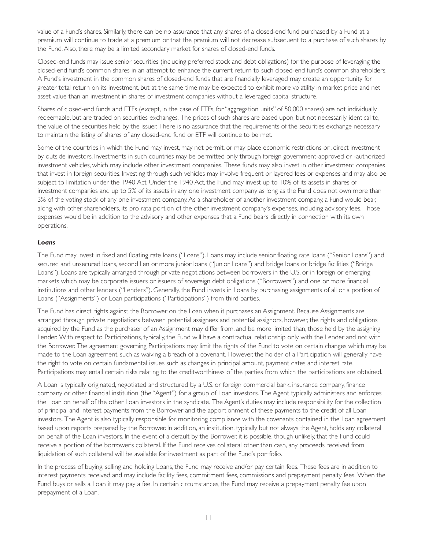value of a Fund's shares. Similarly, there can be no assurance that any shares of a closed-end fund purchased by a Fund at a premium will continue to trade at a premium or that the premium will not decrease subsequent to a purchase of such shares by the Fund. Also, there may be a limited secondary market for shares of closed-end funds.

Closed-end funds may issue senior securities (including preferred stock and debt obligations) for the purpose of leveraging the closed-end fund's common shares in an attempt to enhance the current return to such closed-end fund's common shareholders. A Fund's investment in the common shares of closed-end funds that are financially leveraged may create an opportunity for greater total return on its investment, but at the same time may be expected to exhibit more volatility in market price and net asset value than an investment in shares of investment companies without a leveraged capital structure.

Shares of closed-end funds and ETFs (except, in the case of ETFs, for "aggregation units" of 50,000 shares) are not individually redeemable, but are traded on securities exchanges. The prices of such shares are based upon, but not necessarily identical to, the value of the securities held by the issuer. There is no assurance that the requirements of the securities exchange necessary to maintain the listing of shares of any closed-end fund or ETF will continue to be met.

Some of the countries in which the Fund may invest, may not permit, or may place economic restrictions on, direct investment by outside investors. Investments in such countries may be permitted only through foreign government-approved or -authorized investment vehicles, which may include other investment companies. These funds may also invest in other investment companies that invest in foreign securities. Investing through such vehicles may involve frequent or layered fees or expenses and may also be subject to limitation under the 1940 Act. Under the 1940 Act, the Fund may invest up to 10% of its assets in shares of investment companies and up to 5% of its assets in any one investment company as long as the Fund does not own more than 3% of the voting stock of any one investment company. As a shareholder of another investment company, a Fund would bear, along with other shareholders, its pro rata portion of the other investment company's expenses, including advisory fees. Those expenses would be in addition to the advisory and other expenses that a Fund bears directly in connection with its own operations.

### *Loans*

The Fund may invest in fixed and floating rate loans ("Loans"). Loans may include senior floating rate loans ("Senior Loans") and secured and unsecured loans, second lien or more junior loans ("Junior Loans") and bridge loans or bridge facilities ("Bridge Loans"). Loans are typically arranged through private negotiations between borrowers in the U.S. or in foreign or emerging markets which may be corporate issuers or issuers of sovereign debt obligations ("Borrowers") and one or more financial institutions and other lenders ("Lenders"). Generally, the Fund invests in Loans by purchasing assignments of all or a portion of Loans ("Assignments") or Loan participations ("Participations") from third parties.

The Fund has direct rights against the Borrower on the Loan when it purchases an Assignment. Because Assignments are arranged through private negotiations between potential assignees and potential assignors, however, the rights and obligations acquired by the Fund as the purchaser of an Assignment may differ from, and be more limited than, those held by the assigning Lender. With respect to Participations, typically, the Fund will have a contractual relationship only with the Lender and not with the Borrower. The agreement governing Participations may limit the rights of the Fund to vote on certain changes which may be made to the Loan agreement, such as waiving a breach of a covenant. However, the holder of a Participation will generally have the right to vote on certain fundamental issues such as changes in principal amount, payment dates and interest rate. Participations may entail certain risks relating to the creditworthiness of the parties from which the participations are obtained.

A Loan is typically originated, negotiated and structured by a U.S. or foreign commercial bank, insurance company, finance company or other financial institution (the "Agent") for a group of Loan investors. The Agent typically administers and enforces the Loan on behalf of the other Loan investors in the syndicate. The Agent's duties may include responsibility for the collection of principal and interest payments from the Borrower and the apportionment of these payments to the credit of all Loan investors. The Agent is also typically responsible for monitoring compliance with the covenants contained in the Loan agreement based upon reports prepared by the Borrower. In addition, an institution, typically but not always the Agent, holds any collateral on behalf of the Loan investors. In the event of a default by the Borrower, it is possible, though unlikely, that the Fund could receive a portion of the borrower's collateral. If the Fund receives collateral other than cash, any proceeds received from liquidation of such collateral will be available for investment as part of the Fund's portfolio.

In the process of buying, selling and holding Loans, the Fund may receive and/or pay certain fees. These fees are in addition to interest payments received and may include facility fees, commitment fees, commissions and prepayment penalty fees. When the Fund buys or sells a Loan it may pay a fee. In certain circumstances, the Fund may receive a prepayment penalty fee upon prepayment of a Loan.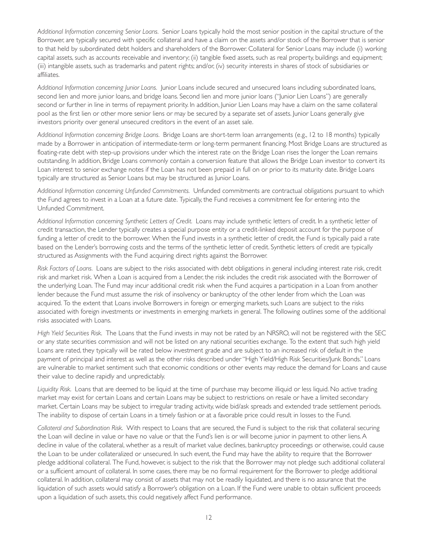*Additional Information concerning Senior Loans.* Senior Loans typically hold the most senior position in the capital structure of the Borrower, are typically secured with specific collateral and have a claim on the assets and/or stock of the Borrower that is senior to that held by subordinated debt holders and shareholders of the Borrower. Collateral for Senior Loans may include (i) working capital assets, such as accounts receivable and inventory; (ii) tangible fixed assets, such as real property, buildings and equipment; (iii) intangible assets, such as trademarks and patent rights; and/or, (iv) security interests in shares of stock of subsidiaries or affiliates.

*Additional Information concerning Junior Loans.* Junior Loans include secured and unsecured loans including subordinated loans, second lien and more junior loans, and bridge loans. Second lien and more junior loans ("Junior Lien Loans") are generally second or further in line in terms of repayment priority. In addition, Junior Lien Loans may have a claim on the same collateral pool as the first lien or other more senior liens or may be secured by a separate set of assets. Junior Loans generally give investors priority over general unsecured creditors in the event of an asset sale.

Additional Information concerning Bridge Loans. Bridge Loans are short-term loan arrangements (e.g., 12 to 18 months) typically made by a Borrower in anticipation of intermediate-term or long-term permanent financing. Most Bridge Loans are structured as floating-rate debt with step-up provisions under which the interest rate on the Bridge Loan rises the longer the Loan remains outstanding. In addition, Bridge Loans commonly contain a conversion feature that allows the Bridge Loan investor to conver t its Loan interest to senior exchange notes if the Loan has not been prepaid in full on or prior to its maturity date. Bridge Loans typically are structured as Senior Loans but may be structured as Junior Loans.

*Additional Information concerning Unfunded Commitments.* Unfunded commitments are contractual obligations pursuant to which the Fund agrees to invest in a Loan at a future date. Typically, the Fund receives a commitment fee for entering into the Unfunded Commitment.

*Additional Information concerning Synthetic Letters of Credit.* Loans may include synthetic letters of credit. In a synthetic letter of credit transaction, the Lender typically creates a special purpose entity or a credit-linked deposit account for the purpose of funding a letter of credit to the borrower. When the Fund invests in a synthetic letter of credit, the Fund is typically paid a rate based on the Lender's borrowing costs and the terms of the synthetic letter of credit. Synthetic letters of credit are typically structured as Assignments with the Fund acquiring direct rights against the Borrower.

*Risk Factors of Loans.* Loans are subject to the risks associated with debt obligations in general including interest rate risk, credit risk and market risk. When a Loan is acquired from a Lender, the risk includes the credit risk associated with the Borrower of the underlying Loan. The Fund may incur additional credit risk when the Fund acquires a participation in a Loan from another lender because the Fund must assume the risk of insolvency or bankruptcy of the other lender from which the Loan was acquired. To the extent that Loans involve Borrowers in foreign or emerging markets, such Loans are subject to the risks associated with foreign investments or investments in emerging markets in general. The following outlines some of the additional risks associated with Loans.

*High Yield Securities Risk.* The Loans that the Fund invests in may not be rated by an NRSRO, will not be registered with the SEC or any state securities commission and will not be listed on any national securities exchange. To the extent that such high yield Loans are rated, they typically will be rated below investment grade and are subject to an increased risk of default in the payment of principal and interest as well as the other risks described under "High Yield/High Risk Securities/Junk Bonds." Loans are vulnerable to market sentiment such that economic conditions or other events may reduce the demand for Loans and cause their value to decline rapidly and unpredictably.

*Liquidity Risk.* Loans that are deemed to be liquid at the time of purchase may become illiquid or less liquid. No active trading market may exist for certain Loans and certain Loans may be subject to restrictions on resale or have a limited secondary market. Cer tain Loans may be subject to irregular trading activity, wide bid/ask spreads and extended trade settlement periods. The inability to dispose of certain Loans in a timely fashion or at a favorable price could result in losses to the Fund.

*Collateral and Subordination Risk.* With respect to Loans that are secured, the Fund is subject to the risk that collateral securing the Loan will decline in value or have no value or that the Fund's lien is or will become junior in payment to other liens. A decline in value of the collateral, whether as a result of market value declines, bankruptcy proceedings or otherwise, could cause the Loan to be under collateralized or unsecured. In such event, the Fund may have the ability to require that the Borrower pledge additional collateral. The Fund, however, is subject to the risk that the Borrower may not pledge such additional collateral or a sufficient amount of collateral. In some cases, there may be no formal requirement for the Borrower to pledge additional collateral. In addition, collateral may consist of assets that may not be readily liquidated, and there is no assurance that the liquidation of such assets would satisfy a Borrower's obligation on a Loan. If the Fund were unable to obtain sufficient proceeds upon a liquidation of such assets, this could negatively affect Fund performance.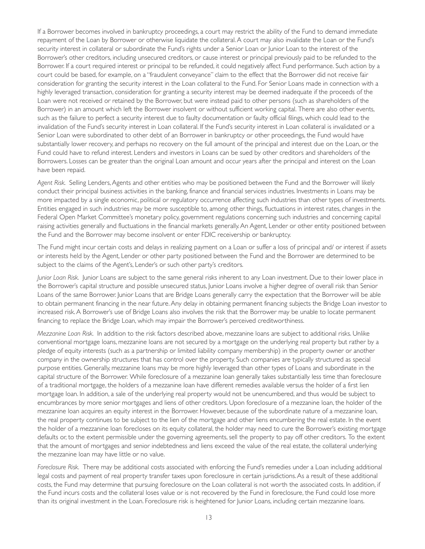If a Borrower becomes involved in bankruptcy proceedings, a court may restrict the ability of the Fund to demand immediate repayment of the Loan by Borrower or otherwise liquidate the collateral. A court may also invalidate the Loan or the Fund's security interest in collateral or subordinate the Fund's rights under a Senior Loan or Junior Loan to the interest of the Borrower's other creditors, including unsecured creditors, or cause interest or principal previously paid to be refunded to the Borrower. If a court required interest or principal to be refunded, it could negatively affect Fund performance. Such action by a court could be based, for example, on a "fraudulent conveyance" claim to the effect that the Borrower did not receive fair consideration for granting the security interest in the Loan collateral to the Fund. For Senior Loans made in connection with a highly leveraged transaction, consideration for granting a security interest may be deemed inadequate if the proceeds of the Loan were not received or retained by the Borrower, but were instead paid to other persons (such as shareholders of the Borrower) in an amount which left the Borrower insolvent or without sufficient working capital. There are also other events, such as the failure to perfect a security interest due to faulty documentation or faulty official filings, which could lead to the invalidation of the Fund's security interest in Loan collateral. If the Fund's security interest in Loan collateral is invalidated or a Senior Loan were subordinated to other debt of an Borrower in bankruptcy or other proceedings, the Fund would have substantially lower recovery, and perhaps no recovery on the full amount of the principal and interest due on the Loan, or the Fund could have to refund interest. Lenders and investors in Loans can be sued by other creditors and shareholders of the Borrowers. Losses can be greater than the original Loan amount and occur years after the principal and interest on the Loan have been repaid.

*Agent Risk.* Selling Lenders, Agents and other entities who may be positioned between the Fund and the Borrower will likely conduct their principal business activities in the banking, finance and financial services industries. Investments in Loans may be more impacted by a single economic, political or regulatory occurrence affecting such industries than other types of investments. Entities engaged in such industries may be more susceptible to, among other things, fluctuations in interest rates, changes in the Federal Open Market Committee's monetary policy, government regulations concerning such industries and concerning capital raising activities generally and fluctuations in the financial markets generally. An Agent, Lender or other entity positioned between the Fund and the Borrower may become insolvent or enter FDIC receivership or bankruptcy.

The Fund might incur certain costs and delays in realizing payment on a Loan or suffer a loss of principal and/ or interest if assets or interests held by the Agent, Lender or other party positioned between the Fund and the Borrower are determined to be subject to the claims of the Agent's, Lender's or such other party's creditors.

*Junior Loan Risk.* Junior Loans are subject to the same general risks inherent to any Loan investment. Due to their lower place in the Borrower's capital structure and possible unsecured status, Junior Loans involve a higher degree of overall risk than Senior Loans of the same Borrower. Junior Loans that are Bridge Loans generally carry the expectation that the Borrower will be able to obtain permanent financing in the near future. Any delay in obtaining permanent financing subjects the Bridge Loan investor to increased risk. A Borrower's use of Bridge Loans also involves the risk that the Borrower may be unable to locate permanent financing to replace the Bridge Loan, which may impair the Borrower's perceived creditworthiness.

*Mezzanine Loan Risk.* In addition to the risk factors described above, mezzanine loans are subject to additional risks. Unlike conventional mortgage loans, mezzanine loans are not secured by a mortgage on the underlying real property but rather by a pledge of equity interests (such as a partnership or limited liability company membership) in the property owner or another company in the ownership structures that has control over the property. Such companies are typically structured as special purpose entities. Generally, mezzanine loans may be more highly leveraged than other types of Loans and subordinate in the capital structure of the Borrower. While foreclosure of a mezzanine loan generally takes substantially less time than foreclosure of a traditional mor tgage, the holders of a mezzanine loan have different remedies available versus the holder of a first lien mortgage loan. In addition, a sale of the underlying real property would not be unencumbered, and thus would be subject to encumbrances by more senior mortgages and liens of other creditors. Upon foreclosure of a mezzanine loan, the holder of the mezzanine loan acquires an equity interest in the Borrower. However, because of the subordinate nature of a mezzanine loan, the real property continues to be subject to the lien of the mortgage and other liens encumbering the real estate. In the event the holder of a mezzanine loan forecloses on its equity collateral, the holder may need to cure the Borrower's existing mortgage defaults or, to the extent permissible under the governing agreements, sell the property to pay off other creditors. To the extent that the amount of mortgages and senior indebtedness and liens exceed the value of the real estate, the collateral underlying the mezzanine loan may have little or no value.

*Foreclosure Risk.* There may be additional costs associated with enforcing the Fund's remedies under a Loan including additional legal costs and payment of real property transfer taxes upon foreclosure in certain jurisdictions. As a result of these additional costs, the Fund may determine that pursuing foreclosure on the Loan collateral is not wor th the associated costs. In addition, if the Fund incurs costs and the collateral loses value or is not recovered by the Fund in foreclosure, the Fund could lose more than its original investment in the Loan. Foreclosure risk is heightened for Junior Loans, including cer tain mezzanine loans.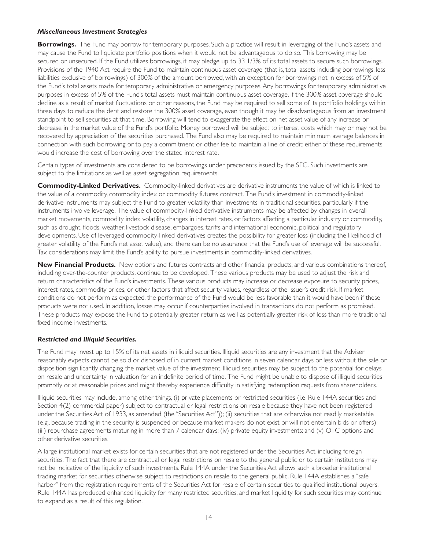#### *Miscellaneous Investment Strategies*

**Borrowings.** The Fund may borrow for temporary purposes. Such a practice will result in leveraging of the Fund's assets and may cause the Fund to liquidate por tfolio positions when it would not be advantageous to do so. This borrowing may be secured or unsecured. If the Fund utilizes borrowings, it may pledge up to 33 1/3% of its total assets to secure such borrowings. Provisions of the 1940 Act require the Fund to maintain continuous asset coverage (that is, total assets including borrowings, less liabilities exclusive of borrowings) of 300% of the amount borrowed, with an exception for borrowings not in excess of 5% of the Fund's total assets made for temporary administrative or emergency purposes. Any borrowings for temporary administrative purposes in excess of 5% of the Fund's total assets must maintain continuous asset coverage. If the 300% asset coverage should decline as a result of market fluctuations or other reasons, the Fund may be required to sell some of its portfolio holdings within three days to reduce the debt and restore the 300% asset coverage, even though it may be disadvantageous from an investment standpoint to sell securities at that time. Borrowing will tend to exaggerate the effect on net asset value of any increase or decrease in the market value of the Fund's portfolio. Money borrowed will be subject to interest costs which may or may not be recovered by appreciation of the securities purchased. The Fund also may be required to maintain minimum average balances in connection with such borrowing or to pay a commitment or other fee to maintain a line of credit; either of these requirements would increase the cost of borrowing over the stated interest rate.

Certain types of investments are considered to be borrowings under precedents issued by the SEC. Such investments are subject to the limitations as well as asset segregation requirements.

**Commodity-Linked Derivatives.** Commodity-linked derivatives are derivative instruments the value of which is linked to the value of a commodity, commodity index or commodity futures contract. The Fund's investment in commodity-linked derivative instruments may subject the Fund to greater volatility than investments in traditional securities, particularly if the instruments involve leverage. The value of commodity-linked derivative instruments may be affected by changes in overall market movements, commodity index volatility, changes in interest rates, or factors affecting a particular industry or commodity, such as drought, floods, weather, livestock disease, embargoes, tariffs and international economic, political and regulatory developments. Use of leveraged commodity-linked derivatives creates the possibility for greater loss (including the likelihood of greater volatility of the Fund's net asset value), and there can be no assurance that the Fund's use of leverage will be successful. Tax considerations may limit the Fund's ability to pursue investments in commodity-linked derivatives.

**New Financial Products.** New options and futures contracts and other financial products, and various combinations thereof, including over-the-counter products, continue to be developed. These various products may be used to adjust the risk and return characteristics of the Fund's investments. These various products may increase or decrease exposure to security prices, interest rates, commodity prices, or other factors that affect security values, regardless of the issuer's credit risk. If market conditions do not perform as expected, the performance of the Fund would be less favorable than it would have been if these products were not used. In addition, losses may occur if counterparties involved in transactions do not perform as promised. These products may expose the Fund to potentially greater return as well as potentially greater risk of loss than more traditional fixed income investments.

### *Restricted and Illiquid Securities.*

The Fund may invest up to 15% of its net assets in illiquid securities. Illiquid securities are any investment that the Adviser reasonably expects cannot be sold or disposed of in current market conditions in seven calendar days or less without the sale or disposition significantly changing the market value of the investment. Illiquid securities may be subject to the potential for delays on resale and uncertainty in valuation for an indefinite period of time. The Fund might be unable to dispose of illiquid securities promptly or at reasonable prices and might thereby experience difficulty in satisfying redemption requests from shareholders.

Illiquid securities may include, among other things, (i) private placements or restricted securities (i.e. Rule 144A securities and Section 4(2) commercial paper) subject to contractual or legal restrictions on resale because they have not been registered under the Securities Act of 1933, as amended (the "Securities Act")); (ii) securities that are otherwise not readily marketable (e.g., because trading in the security is suspended or because market makers do not exist or will not enter tain bids or offers) (iii) repurchase agreements maturing in more than 7 calendar days; (iv) private equity investments; and (v) OTC options and other derivative securities.

A large institutional market exists for certain securities that are not registered under the Securities Act, including foreign securities. The fact that there are contractual or legal restrictions on resale to the general public or to certain institutions may not be indicative of the liquidity of such investments. Rule 144A under the Securities Act allows such a broader institutional trading market for securities otherwise subject to restrictions on resale to the general public. Rule 144A establishes a "safe harbor" from the registration requirements of the Securities Act for resale of certain securities to qualified institutional buyers. Rule 144A has produced enhanced liquidity for many restricted securities, and market liquidity for such securities may continue to expand as a result of this regulation.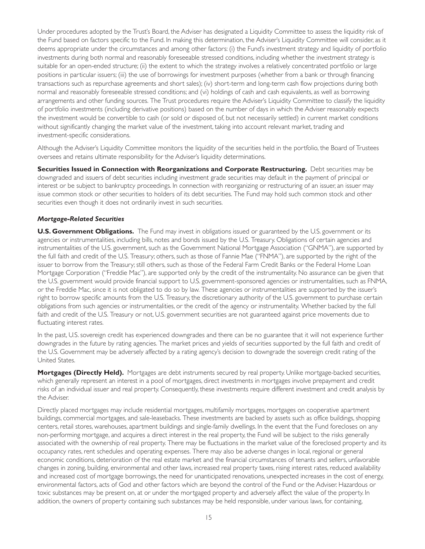Under procedures adopted by the Trust's Board, the Adviser has designated a Liquidity Committee to assess the liquidity risk of the Fund based on factors specific to the Fund. In making this determination, the Adviser's Liquidity Committee will consider, as it deems appropriate under the circumstances and among other factors: (i) the Fund's investment strategy and liquidity of portfolio investments during both normal and reasonably foreseeable stressed conditions, including whether the investment strategy is suitable for an open-ended structure; (ii) the extent to which the strategy involves a relatively concentrated portfolio or large positions in particular issuers; (iii) the use of borrowings for investment purposes (whether from a bank or through financing transactions such as repurchase agreements and short sales); (iv) short-term and long-term cash flow projections during both normal and reasonably foreseeable stressed conditions; and (vi) holdings of cash and cash equivalents, as well as borrowing arrangements and other funding sources. The Trust procedures require the Adviser's Liquidity Committee to classify the liquidity of por tfolio investments (including derivative positions) based on the number of days in which the Adviser reasonably expects the investment would be convertible to cash (or sold or disposed of, but not necessarily settled) in current market conditions without significantly changing the market value of the investment, taking into account relevant market, trading and investment-specific considerations.

Although the Adviser's Liquidity Committee monitors the liquidity of the securities held in the portfolio, the Board of Trustees oversees and retains ultimate responsibility for the Adviser's liquidity determinations.

**Securities Issued in Connection with Reorganizations and Corporate Restructuring.** Debt securities may be downgraded and issuers of debt securities including investment grade securities may default in the payment of principal or interest or be subject to bankruptcy proceedings. In connection with reorganizing or restructuring of an issuer, an issuer may issue common stock or other securities to holders of its debt securities. The Fund may hold such common stock and other securities even though it does not ordinarily invest in such securities.

### *Mortgage-Related Securities*

**U.S. Government Obligations.** The Fund may invest in obligations issued or guaranteed by the U.S. government or its agencies or instrumentalities, including bills, notes and bonds issued by the U.S. Treasury. Obligations of certain agencies and instrumentalities of the U.S. government, such as the Government National Mortgage Association ("GNMA"), are supported by the full faith and credit of the U.S. Treasury; others, such as those of Fannie Mae ("FNMA"), are supported by the right of the issuer to borrow from the Treasury; still others, such as those of the Federal Farm Credit Banks or the Federal Home Loan Mortgage Corporation ("Freddie Mac"), are supported only by the credit of the instrumentality. No assurance can be given that the U.S. government would provide financial support to U.S. government-sponsored agencies or instrumentalities, such as FNMA, or the Freddie Mac, since it is not obligated to do so by law. These agencies or instrumentalities are supported by the issuer's right to borrow specific amounts from the U.S. Treasury, the discretionary authority of the U.S. government to purchase certain obligations from such agencies or instrumentalities, or the credit of the agency or instrumentality. Whether backed by the full faith and credit of the U.S. Treasury or not, U.S. government securities are not guaranteed against price movements due to fluctuating interest rates.

In the past, U.S. sovereign credit has experienced downgrades and there can be no guarantee that it will not experience further downgrades in the future by rating agencies. The market prices and yields of securities supported by the full faith and credit of the U.S. Government may be adversely affected by a rating agency's decision to downgrade the sovereign credit rating of the United States.

Mortgages (Directly Held). Mortgages are debt instruments secured by real property. Unlike mortgage-backed securities, which generally represent an interest in a pool of mortgages, direct investments in mortgages involve prepayment and credit risks of an individual issuer and real property. Consequently, these investments require different investment and credit analysis by the Adviser.

Directly placed mortgages may include residential mortgages, multifamily mortgages, mortgages on cooperative apartment buildings, commercial mortgages, and sale-leasebacks. These investments are backed by assets such as office buildings, shopping centers, retail stores, warehouses, apartment buildings and single-family dwellings. In the event that the Fund forecloses on any non-performing mortgage, and acquires a direct interest in the real property, the Fund will be subject to the risks generally associated with the ownership of real property. There may be fluctuations in the market value of the foreclosed property and its occupancy rates, rent schedules and operating expenses. There may also be adverse changes in local, regional or general economic conditions, deterioration of the real estate market and the financial circumstances of tenants and sellers, unfavorable changes in zoning, building, environmental and other laws, increased real property taxes, rising interest rates, reduced availability and increased cost of mortgage borrowings, the need for unanticipated renovations, unexpected increases in the cost of energy, environmental factors, acts of God and other factors which are beyond the control of the Fund or the Adviser. Hazardous or toxic substances may be present on, at or under the mortgaged property and adversely affect the value of the property. In addition, the owners of property containing such substances may be held responsible, under various laws, for containing,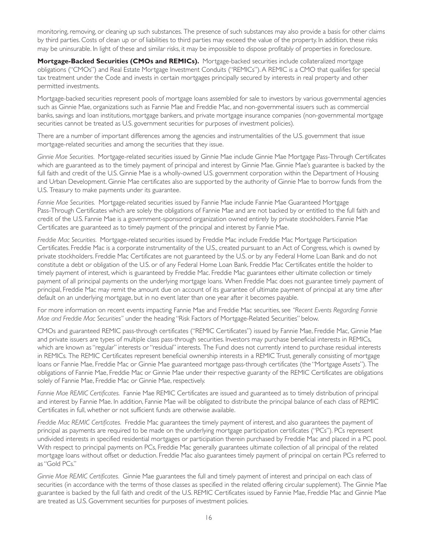monitoring, removing, or cleaning up such substances. The presence of such substances may also provide a basis for other claims by third parties. Costs of clean up or of liabilities to third parties may exceed the value of the property. In addition, these risks may be uninsurable. In light of these and similar risks, it may be impossible to dispose profitably of properties in foreclosure.

Mortgage-Backed Securities (CMOs and REMICs). Mortgage-backed securities include collateralized mortgage obligations ("CMOs") and Real Estate Mortgage Investment Conduits ("REMICs"). A REMIC is a CMO that qualifies for special tax treatment under the Code and invests in certain mortgages principally secured by interests in real property and other permitted investments.

Mortgage-backed securities represent pools of mortgage loans assembled for sale to investors by various governmental agencies such as Ginnie Mae, organizations such as Fannie Mae and Freddie Mac, and non-governmental issuers such as commercial banks, savings and loan institutions, mortgage bankers, and private mortgage insurance companies (non-governmental mortgage securities cannot be treated as U.S. government securities for purposes of investment policies).

There are a number of important differences among the agencies and instrumentalities of the U.S. government that issue mortgage-related securities and among the securities that they issue.

Ginnie Mae Securities. Mortgage-related securities issued by Ginnie Mae include Ginnie Mae Mortgage Pass-Through Certificates which are guaranteed as to the timely payment of principal and interest by Ginnie Mae. Ginnie Mae's guarantee is backed by the full faith and credit of the U.S. Ginnie Mae is a wholly-owned U.S. government corporation within the Department of Housing and Urban Development. Ginnie Mae certificates also are supported by the authority of Ginnie Mae to borrow funds from the U.S. Treasury to make payments under its guarantee.

Fannie Mae Securities. Mortgage-related securities issued by Fannie Mae include Fannie Mae Guaranteed Mortgage Pass-Through Certificates which are solely the obligations of Fannie Mae and are not backed by or entitled to the full faith and credit of the U.S. Fannie Mae is a government-sponsored organization owned entirely by private stockholders. Fannie Mae Cer tificates are guaranteed as to timely payment of the principal and interest by Fannie Mae.

Freddie Mac Securities. Mortgage-related securities issued by Freddie Mac include Freddie Mac Mortgage Participation Cer tificates. Freddie Mac is a corporate instrumentality of the U.S., created pursuant to an Act of Congress, which is owned by private stockholders. Freddie Mac Certificates are not guaranteed by the U.S. or by any Federal Home Loan Bank and do not constitute a debt or obligation of the U.S. or of any Federal Home Loan Bank. Freddie Mac Cer tificates entitle the holder to timely payment of interest, which is guaranteed by Freddie Mac. Freddie Mac guarantees either ultimate collection or timely payment of all principal payments on the underlying mortgage loans. When Freddie Mac does not guarantee timely payment of principal, Freddie Mac may remit the amount due on account of its guarantee of ultimate payment of principal at any time after default on an underlying mortgage, but in no event later than one year after it becomes payable.

For more information on recent events impacting Fannie Mae and Freddie Mac securities, see *"Recent Events Regarding Fannie Mae and Freddie Mac Securities"* under the heading "Risk Factors of Mor tgage-Related Securities" below.

CMOs and guaranteed REMIC pass-through certificates ("REMIC Certificates") issued by Fannie Mae, Freddie Mac, Ginnie Mae and private issuers are types of multiple class pass-through securities. Investors may purchase beneficial interests in REMICs, which are known as "regular" interests or "residual" interests. The Fund does not currently intend to purchase residual interests in REMICs. The REMIC Certificates represent beneficial ownership interests in a REMIC Trust, generally consisting of mortgage loans or Fannie Mae, Freddie Mac or Ginnie Mae guaranteed mortgage pass-through certificates (the "Mortgage Assets"). The obligations of Fannie Mae, Freddie Mac or Ginnie Mae under their respective guaranty of the REMIC Certificates are obligations solely of Fannie Mae, Freddie Mac or Ginnie Mae, respectively.

Fannie Mae REMIC Certificates. Fannie Mae REMIC Certificates are issued and guaranteed as to timely distribution of principal and interest by Fannie Mae. In addition, Fannie Mae will be obligated to distribute the principal balance of each class of REMIC Certificates in full, whether or not sufficient funds are otherwise available.

*Freddie Mac REMIC Certificates.* Freddie Mac guarantees the timely payment of interest, and also guarantees the payment of principal as payments are required to be made on the underlying mortgage participation certificates ("PCs"). PCs represent undivided interests in specified residential mortgages or participation therein purchased by Freddie Mac and placed in a PC pool. With respect to principal payments on PCs, Freddie Mac generally guarantees ultimate collection of all principal of the related mortgage loans without offset or deduction. Freddie Mac also guarantees timely payment of principal on certain PCs referred to as "Gold PCs."

*Ginnie Mae REMIC Certificates.* Ginnie Mae guarantees the full and timely payment of interest and principal on each class of securities (in accordance with the terms of those classes as specified in the related offering circular supplement). The Ginnie Mae guarantee is backed by the full faith and credit of the U.S. REMIC Cer tificates issued by Fannie Mae, Freddie Mac and Ginnie Mae are treated as U.S. Government securities for purposes of investment policies.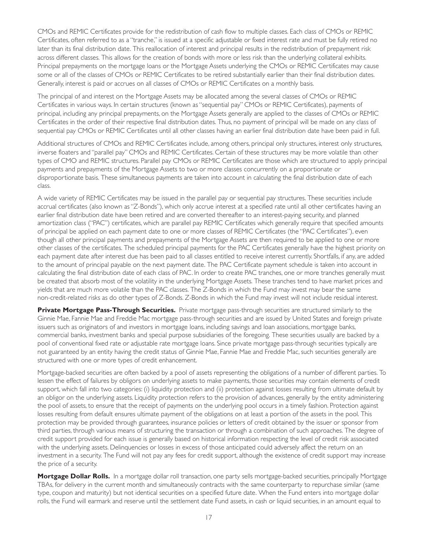CMOs and REMIC Certificates provide for the redistribution of cash flow to multiple classes. Each class of CMOs or REMIC Cer tificates, often referred to as a "tranche," is issued at a specific adjustable or fixed interest rate and must be fully retired no later than its final distribution date. This reallocation of interest and principal results in the redistribution of prepayment risk across different classes. This allows for the creation of bonds with more or less risk than the underlying collateral exhibits. Principal prepayments on the mortgage loans or the Mortgage Assets underlying the CMOs or REMIC Certificates may cause some or all of the classes of CMOs or REMIC Certificates to be retired substantially earlier than their final distribution dates. Generally, interest is paid or accrues on all classes of CMOs or REMIC Certificates on a monthly basis.

The principal of and interest on the Mortgage Assets may be allocated among the several classes of CMOs or REMIC Certificates in various ways. In certain structures (known as "sequential pay" CMOs or REMIC Certificates), payments of principal, including any principal prepayments, on the Mortgage Assets generally are applied to the classes of CMOs or REMIC Cer tificates in the order of their respective final distribution dates. Thus, no payment of principal will be made on any class of sequential pay CMOs or REMIC Certificates until all other classes having an earlier final distribution date have been paid in full.

Additional structures of CMOs and REMIC Certificates include, among others, principal only structures, interest only structures, inverse floaters and "parallel pay" CMOs and REMIC Certificates. Certain of these structures may be more volatile than other types of CMO and REMIC structures. Parallel pay CMOs or REMIC Certificates are those which are structured to apply principal payments and prepayments of the Mortgage Assets to two or more classes concurrently on a proportionate or disproportionate basis. These simultaneous payments are taken into account in calculating the final distribution date of each class.

A wide variety of REMIC Certificates may be issued in the parallel pay or sequential pay structures. These securities include accrual certificates (also known as "Z-Bonds"), which only accrue interest at a specified rate until all other certificates having an earlier final distribution date have been retired and are converted thereafter to an interest-paying security, and planned amortization class ("PAC") certificates, which are parallel pay REMIC Certificates which generally require that specified amounts of principal be applied on each payment date to one or more classes of REMIC Certificates (the "PAC Certificates"), even though all other principal payments and prepayments of the Mortgage Assets are then required to be applied to one or more other classes of the certificates. The scheduled principal payments for the PAC Certificates generally have the highest priority on each payment date after interest due has been paid to all classes entitled to receive interest currently. Shortfalls, if any, are added to the amount of principal payable on the next payment date. The PAC Certificate payment schedule is taken into account in calculating the final distribution date of each class of PAC. In order to create PAC tranches, one or more tranches generally must be created that absorb most of the volatility in the underlying Mortgage Assets. These tranches tend to have market prices and yields that are much more volatile than the PAC classes. The Z-Bonds in which the Fund may invest may bear the same non-credit-related risks as do other types of Z-Bonds. Z-Bonds in which the Fund may invest will not include residual interest.

**Private Mortgage Pass-Through Securities.** Private mortgage pass-through securities are structured similarly to the Ginnie Mae, Fannie Mae and Freddie Mac mortgage pass-through securities and are issued by United States and foreign private issuers such as originators of and investors in mortgage loans, including savings and loan associations, mortgage banks, commercial banks, investment banks and special purpose subsidiaries of the foregoing. These securities usually are backed by a pool of conventional fixed rate or adjustable rate mortgage loans. Since private mortgage pass-through securities typically are not guaranteed by an entity having the credit status of Ginnie Mae, Fannie Mae and Freddie Mac, such securities generally are structured with one or more types of credit enhancement.

Mortgage-backed securities are often backed by a pool of assets representing the obligations of a number of different parties. To lessen the effect of failures by obligors on underlying assets to make payments, those securities may contain elements of credit support, which fall into two categories: (i) liquidity protection and (ii) protection against losses resulting from ultimate default by an obligor on the underlying assets. Liquidity protection refers to the provision of advances, generally by the entity administering the pool of assets, to ensure that the receipt of payments on the underlying pool occurs in a timely fashion. Protection against losses resulting from default ensures ultimate payment of the obligations on at least a portion of the assets in the pool. This protection may be provided through guarantees, insurance policies or letters of credit obtained by the issuer or sponsor from third parties, through various means of structuring the transaction or through a combination of such approaches. The degree of credit support provided for each issue is generally based on historical information respecting the level of credit risk associated with the underlying assets. Delinquencies or losses in excess of those anticipated could adversely affect the return on an investment in a security. The Fund will not pay any fees for credit support, although the existence of credit support may increase the price of a security.

Mortgage Dollar Rolls. In a mortgage dollar roll transaction, one party sells mortgage-backed securities, principally Mortgage TBAs, for delivery in the current month and simultaneously contracts with the same counterparty to repurchase similar (same type, coupon and maturity) but not identical securities on a specified future date. When the Fund enters into mortgage dollar rolls, the Fund will earmark and reserve until the settlement date Fund assets, in cash or liquid securities, in an amount equal to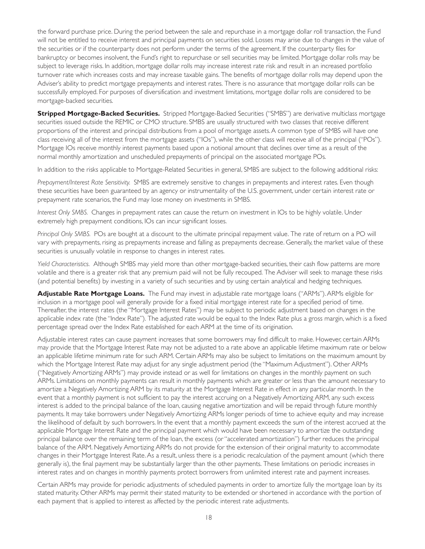the forward purchase price. During the period between the sale and repurchase in a mortgage dollar roll transaction, the Fund will not be entitled to receive interest and principal payments on securities sold. Losses may arise due to changes in the value of the securities or if the counterparty does not perform under the terms of the agreement. If the counterparty files for bankruptcy or becomes insolvent, the Fund's right to repurchase or sell securities may be limited. Mortgage dollar rolls may be subject to leverage risks. In addition, mortgage dollar rolls may increase interest rate risk and result in an increased portfolio turnover rate which increases costs and may increase taxable gains. The benefits of mortgage dollar rolls may depend upon the Adviser's ability to predict mortgage prepayments and interest rates. There is no assurance that mortgage dollar rolls can be successfully employed. For purposes of diversification and investment limitations, mor tgage dollar rolls are considered to be mortgage-backed securities.

**Stripped Mortgage-Backed Securities.** Stripped Mortgage-Backed Securities ("SMBS") are derivative multiclass mortgage securities issued outside the REMIC or CMO structure. SMBS are usually structured with two classes that receive different proportions of the interest and principal distributions from a pool of mortgage assets. A common type of SMBS will have one class receiving all of the interest from the mortgage assets ("IOs"), while the other class will receive all of the principal ("POs"). Mortgage IOs receive monthly interest payments based upon a notional amount that declines over time as a result of the normal monthly amortization and unscheduled prepayments of principal on the associated mortgage POs.

In addition to the risks applicable to Mortgage-Related Securities in general, SMBS are subject to the following additional risks:

*Prepayment/Interest Rate Sensitivity.* SMBS are extremely sensitive to changes in prepayments and interest rates. Even though these securities have been guaranteed by an agency or instrumentality of the U.S. government, under certain interest rate or prepayment rate scenarios, the Fund may lose money on investments in SMBS.

*Interest Only SMBS.* Changes in prepayment rates can cause the return on investment in IOs to be highly volatile. Under extremely high prepayment conditions, IOs can incur significant losses.

*Principal Only SMBS.* POs are bought at a discount to the ultimate principal repayment value. The rate of return on a PO will vary with prepayments, rising as prepayments increase and falling as prepayments decrease. Generally, the market value of these securities is unusually volatile in response to changes in interest rates.

*Yield Characteristics.* Although SMBS may yield more than other mortgage-backed securities, their cash flow patterns are more volatile and there is a greater risk that any premium paid will not be fully recouped. The Adviser will seek to manage these risks (and potential benefits) by investing in a variety of such securities and by using cer tain analytical and hedging techniques.

Adjustable Rate Mortgage Loans. The Fund may invest in adjustable rate mortgage loans ("ARMs"). ARMs eligible for inclusion in a mortgage pool will generally provide for a fixed initial mortgage interest rate for a specified period of time. Thereafter, the interest rates (the "Mortgage Interest Rates") may be subject to periodic adjustment based on changes in the applicable index rate (the "Index Rate"). The adjusted rate would be equal to the Index Rate plus a gross margin, which is a fixed percentage spread over the Index Rate established for each ARM at the time of its origination.

Adjustable interest rates can cause payment increases that some borrowers may find difficult to make. However, certain ARMs may provide that the Mortgage Interest Rate may not be adjusted to a rate above an applicable lifetime maximum rate or below an applicable lifetime minimum rate for such ARM. Certain ARMs may also be subject to limitations on the maximum amount by which the Mortgage Interest Rate may adjust for any single adjustment period (the "Maximum Adjustment"). Other ARMs ("Negatively Amortizing ARMs") may provide instead or as well for limitations on changes in the monthly payment on such ARMs. Limitations on monthly payments can result in monthly payments which are greater or less than the amount necessary to amortize a Negatively Amortizing ARM by its maturity at the Mortgage Interest Rate in effect in any particular month. In the event that a monthly payment is not sufficient to pay the interest accruing on a Negatively Amortizing ARM, any such excess interest is added to the principal balance of the loan, causing negative amortization and will be repaid through future monthly payments. It may take borrowers under Negatively Amortizing ARMs longer periods of time to achieve equity and may increase the likelihood of default by such borrowers. In the event that a monthly payment exceeds the sum of the interest accrued at the applicable Mortgage Interest Rate and the principal payment which would have been necessary to amortize the outstanding principal balance over the remaining term of the loan, the excess (or "accelerated amortization") further reduces the principal balance of the ARM. Negatively Amortizing ARMs do not provide for the extension of their original maturity to accommodate changes in their Mortgage Interest Rate. As a result, unless there is a periodic recalculation of the payment amount (which there generally is), the final payment may be substantially larger than the other payments. These limitations on periodic increases in interest rates and on changes in monthly payments protect borrowers from unlimited interest rate and payment increases.

Certain ARMs may provide for periodic adjustments of scheduled payments in order to amortize fully the mortgage loan by its stated maturity. Other ARMs may permit their stated maturity to be extended or shortened in accordance with the portion of each payment that is applied to interest as affected by the periodic interest rate adjustments.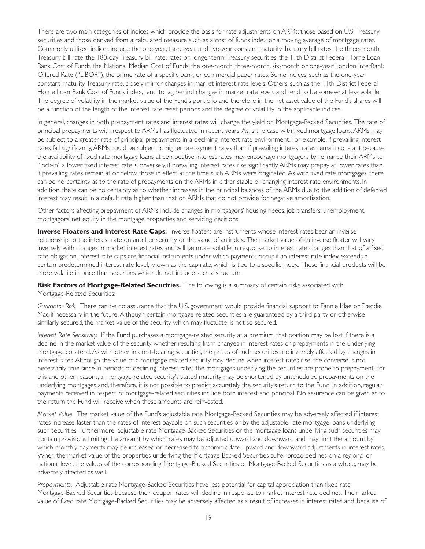There are two main categories of indices which provide the basis for rate adjustments on ARMs: those based on U.S. Treasury securities and those derived from a calculated measure such as a cost of funds index or a moving average of mortgage rates. Commonly utilized indices include the one-year, three-year and five-year constant maturity Treasury bill rates, the three-month Treasury bill rate, the 180-day Treasury bill rate, rates on longer-term Treasury securities, the 11th District Federal Home Loan Bank Cost of Funds, the National Median Cost of Funds, the one-month, three-month, six-month or one-year London InterBank Offered Rate ("LIBOR"), the prime rate of a specific bank, or commercial paper rates. Some indices, such as the one-year constant maturity Treasury rate, closely mirror changes in market interest rate levels. Others, such as the 11th District Federal Home Loan Bank Cost of Funds index, tend to lag behind changes in market rate levels and tend to be somewhat less volatile. The degree of volatility in the market value of the Fund's portfolio and therefore in the net asset value of the Fund's shares will be a function of the length of the interest rate reset periods and the degree of volatility in the applicable indices.

In general, changes in both prepayment rates and interest rates will change the yield on Mortgage-Backed Securities. The rate of principal prepayments with respect to ARMs has fluctuated in recent years. As is the case with fixed mortgage loans, ARMs may be subject to a greater rate of principal prepayments in a declining interest rate environment. For example, if prevailing interest rates fall significantly, ARMs could be subject to higher prepayment rates than if prevailing interest rates remain constant because the availability of fixed rate mortgage loans at competitive interest rates may encourage mortgagors to refinance their ARMs to "lock-in" a lower fixed interest rate. Conversely, if prevailing interest rates rise significantly, ARMs may prepay at lower rates than if prevailing rates remain at or below those in effect at the time such ARMs were originated. As with fixed rate mortgages, there can be no certainty as to the rate of prepayments on the ARMs in either stable or changing interest rate environments. In addition, there can be no certainty as to whether increases in the principal balances of the ARMs due to the addition of deferred interest may result in a default rate higher than that on ARMs that do not provide for negative amortization.

Other factors affecting prepayment of ARMs include changes in mortgagors' housing needs, job transfers, unemployment, mortgagors' net equity in the mortgage properties and servicing decisions.

**Inverse Floaters and Interest Rate Caps.** Inverse floaters are instruments whose interest rates bear an inverse relationship to the interest rate on another security or the value of an index. The market value of an inverse floater will vary inversely with changes in market interest rates and will be more volatile in response to interest rate changes than that of a fixed rate obligation. Interest rate caps are financial instruments under which payments occur if an interest rate index exceeds a cer tain predetermined interest rate level, known as the cap rate, which is tied to a specific index. These financial products will be more volatile in price than securities which do not include such a structure.

Risk Factors of Mortgage-Related Securities. The following is a summary of certain risks associated with Mortgage-Related Securities:

Guarantor Risk. There can be no assurance that the U.S. government would provide financial support to Fannie Mae or Freddie Mac if necessary in the future. Although certain mortgage-related securities are guaranteed by a third party or otherwise similarly secured, the market value of the security, which may fluctuate, is not so secured.

*Interest Rate Sensitivity.* If the Fund purchases a mortgage-related security at a premium, that portion may be lost if there is a decline in the market value of the security whether resulting from changes in interest rates or prepayments in the underlying mortgage collateral. As with other interest-bearing securities, the prices of such securities are inversely affected by changes in interest rates. Although the value of a mortgage-related security may decline when interest rates rise, the converse is not necessarily true since in periods of declining interest rates the mortgages underlying the securities are prone to prepayment. For this and other reasons, a mortgage-related security's stated maturity may be shortened by unscheduled prepayments on the underlying mortgages and, therefore, it is not possible to predict accurately the security's return to the Fund. In addition, regular payments received in respect of mortgage-related securities include both interest and principal. No assurance can be given as to the return the Fund will receive when these amounts are reinvested.

*Market Value.* The market value of the Fund's adjustable rate Mortgage-Backed Securities may be adversely affected if interest rates increase faster than the rates of interest payable on such securities or by the adjustable rate mortgage loans underlying such securities. Furthermore, adjustable rate Mortgage-Backed Securities or the mortgage loans underlying such securities may contain provisions limiting the amount by which rates may be adjusted upward and downward and may limit the amount by which monthly payments may be increased or decreased to accommodate upward and downward adjustments in interest rates. When the market value of the properties underlying the Mortgage-Backed Securities suffer broad declines on a regional or national level, the values of the corresponding Mortgage-Backed Securities or Mortgage-Backed Securities as a whole, may be adversely affected as well.

*Prepayments.* Adjustable rate Mortgage-Backed Securities have less potential for capital appreciation than fixed rate Mortgage-Backed Securities because their coupon rates will decline in response to market interest rate declines. The market value of fixed rate Mortgage-Backed Securities may be adversely affected as a result of increases in interest rates and, because of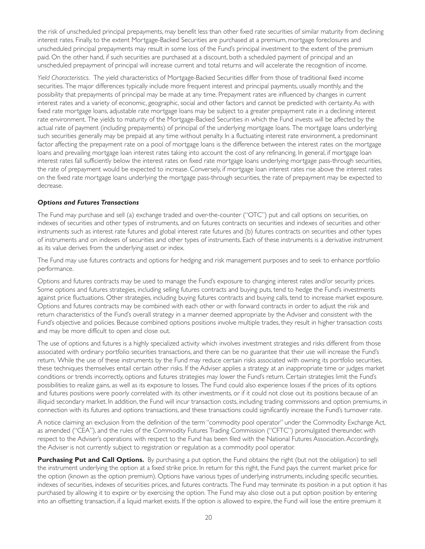the risk of unscheduled principal prepayments, may benefit less than other fixed rate securities of similar maturity from declining interest rates. Finally, to the extent Mortgage-Backed Securities are purchased at a premium, mortgage foreclosures and unscheduled principal prepayments may result in some loss of the Fund's principal investment to the extent of the premium paid. On the other hand, if such securities are purchased at a discount, both a scheduled payment of principal and an unscheduled prepayment of principal will increase current and total returns and will accelerate the recognition of income.

Yield Characteristics. The yield characteristics of Mortgage-Backed Securities differ from those of traditional fixed income securities. The major differences typically include more frequent interest and principal payments, usually monthly, and the possibility that prepayments of principal may be made at any time. Prepayment rates are influenced by changes in current interest rates and a variety of economic, geographic, social and other factors and cannot be predicted with certainty. As with fixed rate mortgage loans, adjustable rate mortgage loans may be subject to a greater prepayment rate in a declining interest rate environment. The yields to maturity of the Mortgage-Backed Securities in which the Fund invests will be affected by the actual rate of payment (including prepayments) of principal of the underlying mortgage loans. The mortgage loans underlying such securities generally may be prepaid at any time without penalty. In a fluctuating interest rate environment, a predominant factor affecting the prepayment rate on a pool of mortgage loans is the difference between the interest rates on the mortgage loans and prevailing mortgage loan interest rates taking into account the cost of any refinancing. In general, if mortgage loan interest rates fall sufficiently below the interest rates on fixed rate mortgage loans underlying mortgage pass-through securities, the rate of prepayment would be expected to increase. Conversely, if mortgage loan interest rates rise above the interest rates on the fixed rate mortgage loans underlying the mortgage pass-through securities, the rate of prepayment may be expected to decrease.

### *Options and Futures Transactions*

The Fund may purchase and sell (a) exchange traded and over-the-counter ("OTC") put and call options on securities, on indexes of securities and other types of instruments, and on futures contracts on securities and indexes of securities and other instruments such as interest rate futures and global interest rate futures and (b) futures contracts on securities and other types of instruments and on indexes of securities and other types of instruments. Each of these instruments is a derivative instrument as its value derives from the underlying asset or index.

The Fund may use futures contracts and options for hedging and risk management purposes and to seek to enhance portfolio performance.

Options and futures contracts may be used to manage the Fund's exposure to changing interest rates and/or security prices. Some options and futures strategies, including selling futures contracts and buying puts, tend to hedge the Fund's investments against price fluctuations. Other strategies, including buying futures contracts and buying calls, tend to increase market exposure. Options and futures contracts may be combined with each other or with forward contracts in order to adjust the risk and return characteristics of the Fund's overall strategy in a manner deemed appropriate by the Adviser and consistent with the Fund's objective and policies. Because combined options positions involve multiple trades, they result in higher transaction costs and may be more difficult to open and close out.

The use of options and futures is a highly specialized activity which involves investment strategies and risks different from those associated with ordinary portfolio securities transactions, and there can be no guarantee that their use will increase the Fund's return. While the use of these instruments by the Fund may reduce certain risks associated with owning its portfolio securities, these techniques themselves entail certain other risks. If the Adviser applies a strategy at an inappropriate time or judges market conditions or trends incorrectly, options and futures strategies may lower the Fund's return. Certain strategies limit the Fund's possibilities to realize gains, as well as its exposure to losses. The Fund could also experience losses if the prices of its options and futures positions were poorly correlated with its other investments, or if it could not close out its positions because of an illiquid secondary market. In addition, the Fund will incur transaction costs, including trading commissions and option premiums, in connection with its futures and options transactions, and these transactions could significantly increase the Fund's turnover rate.

A notice claiming an exclusion from the definition of the term "commodity pool operator" under the Commodity Exchange Act, as amended ("CEA"), and the rules of the Commodity Futures Trading Commission ("CFTC") promulgated thereunder, with respect to the Adviser's operations with respect to the Fund has been filed with the National Futures Association. Accordingly, the Adviser is not currently subject to registration or regulation as a commodity pool operator.

**Purchasing Put and Call Options.** By purchasing a put option, the Fund obtains the right (but not the obligation) to sell the instrument underlying the option at a fixed strike price. In return for this right, the Fund pays the current market price for the option (known as the option premium). Options have various types of underlying instruments, including specific securities, indexes of securities, indexes of securities prices, and futures contracts. The Fund may terminate its position in a put option it has purchased by allowing it to expire or by exercising the option. The Fund may also close out a put option position by entering into an offsetting transaction, if a liquid market exists. If the option is allowed to expire, the Fund will lose the entire premium it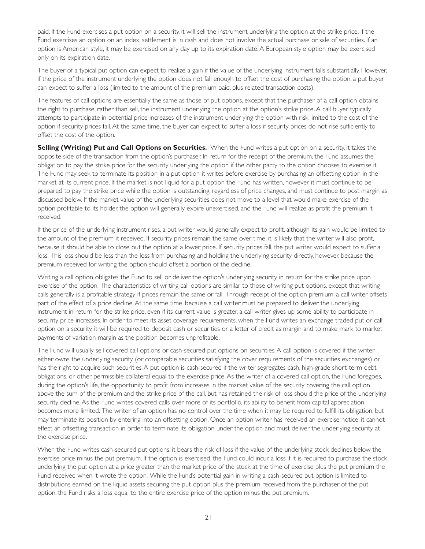paid. If the Fund exercises a put option on a security, it will sell the instrument underlying the option at the strike price. If the Fund exercises an option on an index, settlement is in cash and does not involve the actual purchase or sale of securities. If an option is American style, it may be exercised on any day up to its expiration date. A European style option may be exercised only on its expiration date.

The buyer of a typical put option can expect to realize a gain if the value of the underlying instrument falls substantially. However, if the price of the instrument underlying the option does not fall enough to offset the cost of purchasing the option, a put buyer can expect to suffer a loss (limited to the amount of the premium paid, plus related transaction costs).

The features of call options are essentially the same as those of put options, except that the purchaser of a call option obtains the right to purchase, rather than sell, the instrument underlying the option at the option's strike price. A call buyer typically attempts to participate in potential price increases of the instrument underlying the option with risk limited to the cost of the option if security prices fall. At the same time, the buyer can expect to suffer a loss if security prices do not rise sufficiently to offset the cost of the option.

**Selling (Writing) Put and Call Options on Securities.** When the Fund writes a put option on a security, it takes the opposite side of the transaction from the option's purchaser. In return for the receipt of the premium, the Fund assumes the obligation to pay the strike price for the security underlying the option if the other party to the option chooses to exercise it. The Fund may seek to terminate its position in a put option it writes before exercise by purchasing an offsetting option in the market at its current price. If the market is not liquid for a put option the Fund has written, however, it must continue to be prepared to pay the strike price while the option is outstanding, regardless of price changes, and must continue to post margin as discussed below. If the market value of the underlying securities does not move to a level that would make exercise of the option profitable to its holder, the option will generally expire unexercised, and the Fund will realize as profit the premium it received.

If the price of the underlying instrument rises, a put writer would generally expect to profit, although its gain would be limited to the amount of the premium it received. If security prices remain the same over time, it is likely that the writer will also profit, because it should be able to close out the option at a lower price. If security prices fall, the put writer would expect to suffer a loss. This loss should be less than the loss from purchasing and holding the underlying security directly, however, because the premium received for writing the option should offset a portion of the decline.

Writing a call option obligates the Fund to sell or deliver the option's underlying security in return for the strike price upon exercise of the option. The characteristics of writing call options are similar to those of writing put options, except that writing calls generally is a profitable strategy if prices remain the same or fall. Through receipt of the option premium, a call writer offsets part of the effect of a price decline. At the same time, because a call writer must be prepared to deliver the underlying instrument in return for the strike price, even if its current value is greater, a call writer gives up some ability to participate in security price increases. In order to meet its asset coverage requirements, when the Fund writes an exchange traded put or call option on a security, it will be required to deposit cash or securities or a letter of credit as margin and to make mark to market payments of variation margin as the position becomes unprofitable.

The Fund will usually sell covered call options or cash-secured put options on securities. A call option is covered if the writer either owns the underlying security (or comparable securities satisfying the cover requirements of the securities exchanges) or has the right to acquire such securities. A put option is cash-secured if the writer segregates cash, high-grade short-term debt obligations, or other permissible collateral equal to the exercise price. As the writer of a covered call option, the Fund foregoes, during the option's life, the opportunity to profit from increases in the market value of the security covering the call option above the sum of the premium and the strike price of the call, but has retained the risk of loss should the price of the underlying security decline. As the Fund writes covered calls over more of its portfolio, its ability to benefit from capital appreciation becomes more limited. The writer of an option has no control over the time when it may be required to fulfill its obligation, but may terminate its position by entering into an offsetting option. Once an option writer has received an exercise notice, it cannot effect an offsetting transaction in order to terminate its obligation under the option and must deliver the underlying security at the exercise price.

When the Fund writes cash-secured put options, it bears the risk of loss if the value of the underlying stock declines below the exercise price minus the put premium. If the option is exercised, the Fund could incur a loss if it is required to purchase the stock underlying the put option at a price greater than the market price of the stock at the time of exercise plus the put premium the Fund received when it wrote the option. While the Fund's potential gain in writing a cash-secured put option is limited to distributions earned on the liquid assets securing the put option plus the premium received from the purchaser of the put option, the Fund risks a loss equal to the entire exercise price of the option minus the put premium.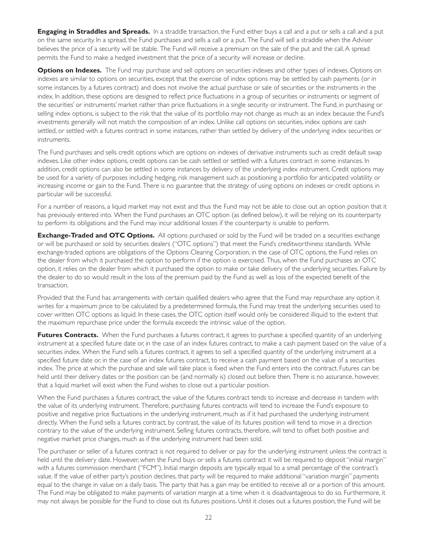**Engaging in Straddles and Spreads.** In a straddle transaction, the Fund either buys a call and a put or sells a call and a put on the same security. In a spread, the Fund purchases and sells a call or a put. The Fund will sell a straddle when the Adviser believes the price of a security will be stable. The Fund will receive a premium on the sale of the put and the call. A spread permits the Fund to make a hedged investment that the price of a security will increase or decline.

**Options on Indexes.** The Fund may purchase and sell options on securities indexes and other types of indexes. Options on indexes are similar to options on securities, except that the exercise of index options may be settled by cash payments (or in some instances by a futures contract) and does not involve the actual purchase or sale of securities or the instruments in the index. In addition, these options are designed to reflect price fluctuations in a group of securities or instruments or segment of the securities' or instruments' market rather than price fluctuations in a single security or instrument. The Fund, in purchasing or selling index options, is subject to the risk that the value of its portfolio may not change as much as an index because the Fund's investments generally will not match the composition of an index. Unlike call options on securities, index options are cash settled, or settled with a futures contract in some instances, rather than settled by delivery of the underlying index securities or instruments.

The Fund purchases and sells credit options which are options on indexes of derivative instruments such as credit default swap indexes. Like other index options, credit options can be cash settled or settled with a futures contract in some instances. In addition, credit options can also be settled in some instances by delivery of the underlying index instrument. Credit options may be used for a variety of purposes including hedging, risk management such as positioning a portfolio for anticipated volatility or increasing income or gain to the Fund. There is no guarantee that the strategy of using options on indexes or credit options in particular will be successful.

For a number of reasons, a liquid market may not exist and thus the Fund may not be able to close out an option position that it has previously entered into. When the Fund purchases an OTC option (as defined below), it will be relying on its counterparty to perform its obligations and the Fund may incur additional losses if the counterparty is unable to perform.

**Exchange-Traded and OTC Options.** All options purchased or sold by the Fund will be traded on a securities exchange or will be purchased or sold by securities dealers ("OTC options") that meet the Fund's creditwor thiness standards. While exchange-traded options are obligations of the Options Clearing Corporation, in the case of OTC options, the Fund relies on the dealer from which it purchased the option to perform if the option is exercised. Thus, when the Fund purchases an OTC option, it relies on the dealer from which it purchased the option to make or take delivery of the underlying securities. Failure by the dealer to do so would result in the loss of the premium paid by the Fund as well as loss of the expected benefit of the transaction.

Provided that the Fund has arrangements with certain qualified dealers who agree that the Fund may repurchase any option it writes for a maximum price to be calculated by a predetermined formula, the Fund may treat the underlying securities used to cover written OTC options as liquid. In these cases, the OTC option itself would only be considered illiquid to the extent that the maximum repurchase price under the formula exceeds the intrinsic value of the option.

Futures Contracts. When the Fund purchases a futures contract, it agrees to purchase a specified quantity of an underlying instrument at a specified future date or, in the case of an index futures contract, to make a cash payment based on the value of a securities index. When the Fund sells a futures contract, it agrees to sell a specified quantity of the underlying instrument at a specified future date or, in the case of an index futures contract, to receive a cash payment based on the value of a securities index. The price at which the purchase and sale will take place is fixed when the Fund enters into the contract. Futures can be held until their delivery dates or the position can be (and normally is) closed out before then. There is no assurance, however, that a liquid market will exist when the Fund wishes to close out a particular position.

When the Fund purchases a futures contract, the value of the futures contract tends to increase and decrease in tandem with the value of its underlying instrument. Therefore, purchasing futures contracts will tend to increase the Fund's exposure to positive and negative price fluctuations in the underlying instrument, much as if it had purchased the underlying instrument directly. When the Fund sells a futures contract, by contrast, the value of its futures position will tend to move in a direction contrary to the value of the underlying instrument. Selling futures contracts, therefore, will tend to offset both positive and negative market price changes, much as if the underlying instrument had been sold.

The purchaser or seller of a futures contract is not required to deliver or pay for the underlying instrument unless the contract is held until the delivery date. However, when the Fund buys or sells a futures contract it will be required to deposit "initial margin" with a futures commission merchant ("FCM"). Initial margin deposits are typically equal to a small percentage of the contract's value. If the value of either party's position declines, that party will be required to make additional "variation margin" payments equal to the change in value on a daily basis. The party that has a gain may be entitled to receive all or a portion of this amount. The Fund may be obligated to make payments of variation margin at a time when it is disadvantageous to do so. Furthermore, it may not always be possible for the Fund to close out its futures positions. Until it closes out a futures position, the Fund will be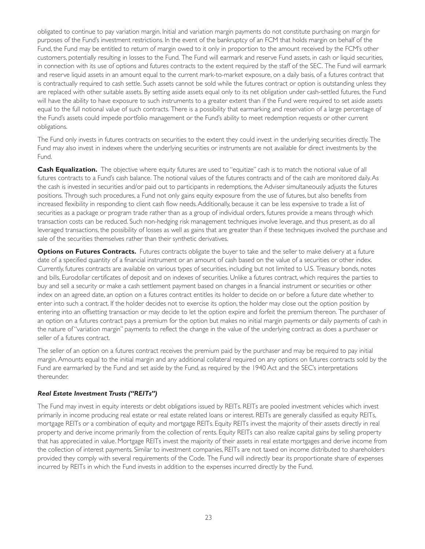obligated to continue to pay variation margin. Initial and variation margin payments do not constitute purchasing on margin for purposes of the Fund's investment restrictions. In the event of the bankruptcy of an FCM that holds margin on behalf of the Fund, the Fund may be entitled to return of margin owed to it only in proportion to the amount received by the FCM's other customers, potentially resulting in losses to the Fund. The Fund will earmark and reserve Fund assets, in cash or liquid securities, in connection with its use of options and futures contracts to the extent required by the staff of the SEC. The Fund will earmark and reserve liquid assets in an amount equal to the current mark-to-market exposure, on a daily basis, of a futures contract that is contractually required to cash settle. Such assets cannot be sold while the futures contract or option is outstanding unless they are replaced with other suitable assets. By setting aside assets equal only to its net obligation under cash-settled futures, the Fund will have the ability to have exposure to such instruments to a greater extent than if the Fund were required to set aside assets equal to the full notional value of such contracts. There is a possibility that earmarking and reservation of a large percentage of the Fund's assets could impede portfolio management or the Fund's ability to meet redemption requests or other current obligations.

The Fund only invests in futures contracts on securities to the extent they could invest in the underlying securities directly. The Fund may also invest in indexes where the underlying securities or instruments are not available for direct investments by the Fund.

**Cash Equalization.** The objective where equity futures are used to "equitize" cash is to match the notional value of all futures contracts to a Fund's cash balance. The notional values of the futures contracts and of the cash are monitored daily. As the cash is invested in securities and/or paid out to participants in redemptions, the Adviser simultaneously adjusts the futures positions. Through such procedures, a Fund not only gains equity exposure from the use of futures, but also benefits from increased flexibility in responding to client cash flow needs. Additionally, because it can be less expensive to trade a list of securities as a package or program trade rather than as a group of individual orders, futures provide a means through which transaction costs can be reduced. Such non-hedging risk management techniques involve leverage, and thus present, as do all leveraged transactions, the possibility of losses as well as gains that are greater than if these techniques involved the purchase and sale of the securities themselves rather than their synthetic derivatives.

**Options on Futures Contracts.** Futures contracts obligate the buyer to take and the seller to make delivery at a future date of a specified quantity of a financial instrument or an amount of cash based on the value of a securities or other index. Currently, futures contracts are available on various types of securities, including but not limited to U.S. Treasury bonds, notes and bills, Eurodollar certificates of deposit and on indexes of securities. Unlike a futures contract, which requires the parties to buy and sell a security or make a cash settlement payment based on changes in a financial instrument or securities or other index on an agreed date, an option on a futures contract entitles its holder to decide on or before a future date whether to enter into such a contract. If the holder decides not to exercise its option, the holder may close out the option position by entering into an offsetting transaction or may decide to let the option expire and forfeit the premium thereon. The purchaser of an option on a futures contract pays a premium for the option but makes no initial margin payments or daily payments of cash in the nature of "variation margin" payments to reflect the change in the value of the underlying contract as does a purchaser or seller of a futures contract.

The seller of an option on a futures contract receives the premium paid by the purchaser and may be required to pay initial margin. Amounts equal to the initial margin and any additional collateral required on any options on futures contracts sold by the Fund are earmarked by the Fund and set aside by the Fund, as required by the 1940 Act and the SEC's interpretations thereunder.

### *Real Estate Investment Trusts ("REITs")*

The Fund may invest in equity interests or debt obligations issued by REITs. REITs are pooled investment vehicles which invest primarily in income producing real estate or real estate related loans or interest. REITs are generally classified as equity REITs, mortgage REITs or a combination of equity and mortgage REITs. Equity REITs invest the majority of their assets directly in real property and derive income primarily from the collection of rents. Equity REITs can also realize capital gains by selling property that has appreciated in value. Mortgage REITs invest the majority of their assets in real estate mortgages and derive income from the collection of interest payments. Similar to investment companies, REITs are not taxed on income distributed to shareholders provided they comply with several requirements of the Code. The Fund will indirectly bear its proportionate share of expenses incurred by REITs in which the Fund invests in addition to the expenses incurred directly by the Fund.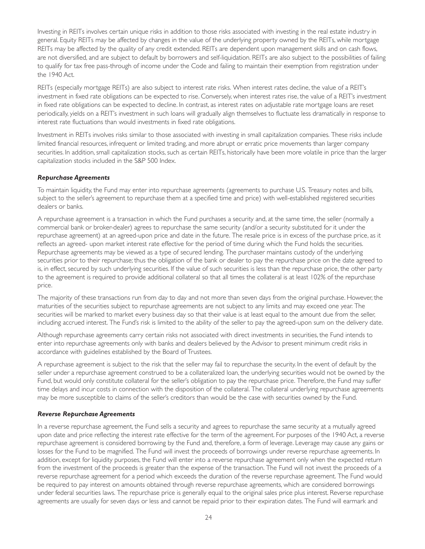Investing in REITs involves certain unique risks in addition to those risks associated with investing in the real estate industry in general. Equity REITs may be affected by changes in the value of the underlying property owned by the REITs, while mortgage REITs may be affected by the quality of any credit extended. REITs are dependent upon management skills and on cash flows, are not diversified, and are subject to default by borrowers and self-liquidation. REITs are also subject to the possibilities of failing to qualify for tax free pass-through of income under the Code and failing to maintain their exemption from registration under the 1940 Act.

REITs (especially mortgage REITs) are also subject to interest rate risks. When interest rates decline, the value of a REIT's investment in fixed rate obligations can be expected to rise. Conversely, when interest rates rise, the value of a REIT's investment in fixed rate obligations can be expected to decline. In contrast, as interest rates on adjustable rate mortgage loans are reset periodically, yields on a REIT's investment in such loans will gradually align themselves to fluctuate less dramatically in response to interest rate fluctuations than would investments in fixed rate obligations.

Investment in REITs involves risks similar to those associated with investing in small capitalization companies. These risks include limited financial resources, infrequent or limited trading, and more abrupt or erratic price movements than larger company securities. In addition, small capitalization stocks, such as certain REITs, historically have been more volatile in price than the larger capitalization stocks included in the S&P 500 Index.

### *Repurchase Agreements*

To maintain liquidity, the Fund may enter into repurchase agreements (agreements to purchase U.S. Treasury notes and bills, subject to the seller's agreement to repurchase them at a specified time and price) with well-established registered securities dealers or banks.

A repurchase agreement is a transaction in which the Fund purchases a security and, at the same time, the seller (normally a commercial bank or broker-dealer) agrees to repurchase the same security (and/or a security substituted for it under the repurchase agreement) at an agreed-upon price and date in the future. The resale price is in excess of the purchase price, as it reflects an agreed- upon market interest rate effective for the period of time during which the Fund holds the securities. Repurchase agreements may be viewed as a type of secured lending. The purchaser maintains custody of the underlying securities prior to their repurchase; thus the obligation of the bank or dealer to pay the repurchase price on the date agreed to is, in effect, secured by such underlying securities. If the value of such securities is less than the repurchase price, the other party to the agreement is required to provide additional collateral so that all times the collateral is at least 102% of the repurchase price.

The majority of these transactions run from day to day and not more than seven days from the original purchase. However, the maturities of the securities subject to repurchase agreements are not subject to any limits and may exceed one year. The securities will be marked to market every business day so that their value is at least equal to the amount due from the seller, including accrued interest. The Fund's risk is limited to the ability of the seller to pay the agreed-upon sum on the delivery date.

Although repurchase agreements carry certain risks not associated with direct investments in securities, the Fund intends to enter into repurchase agreements only with banks and dealers believed by the Advisor to present minimum credit risks in accordance with guidelines established by the Board of Trustees.

A repurchase agreement is subject to the risk that the seller may fail to repurchase the security. In the event of default by the seller under a repurchase agreement construed to be a collateralized loan, the underlying securities would not be owned by the Fund, but would only constitute collateral for the seller's obligation to pay the repurchase price. Therefore, the Fund may suffer time delays and incur costs in connection with the disposition of the collateral. The collateral underlying repurchase agreements may be more susceptible to claims of the seller's creditors than would be the case with securities owned by the Fund.

### *Reverse Repurchase Agreements*

In a reverse repurchase agreement, the Fund sells a security and agrees to repurchase the same security at a mutually agreed upon date and price reflecting the interest rate effective for the term of the agreement. For purposes of the 1940 Act, a reverse repurchase agreement is considered borrowing by the Fund and, therefore, a form of leverage. Leverage may cause any gains or losses for the Fund to be magnified. The Fund will invest the proceeds of borrowings under reverse repurchase agreements. In addition, except for liquidity purposes, the Fund will enter into a reverse repurchase agreement only when the expected return from the investment of the proceeds is greater than the expense of the transaction. The Fund will not invest the proceeds of a reverse repurchase agreement for a period which exceeds the duration of the reverse repurchase agreement. The Fund would be required to pay interest on amounts obtained through reverse repurchase agreements, which are considered borrowings under federal securities laws. The repurchase price is generally equal to the original sales price plus interest. Reverse repurchase agreements are usually for seven days or less and cannot be repaid prior to their expiration dates. The Fund will earmark and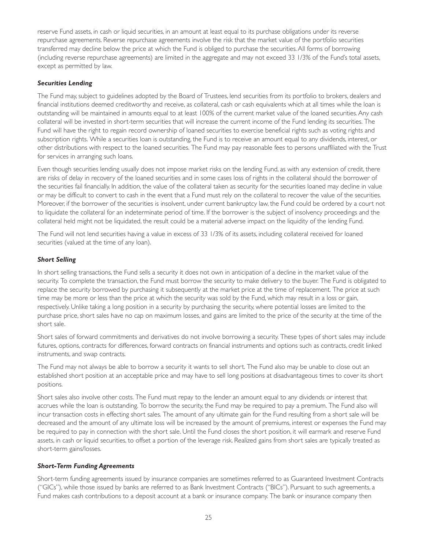reserve Fund assets, in cash or liquid securities, in an amount at least equal to its purchase obligations under its reverse repurchase agreements. Reverse repurchase agreements involve the risk that the market value of the portfolio securities transferred may decline below the price at which the Fund is obliged to purchase the securities. All forms of borrowing (including reverse repurchase agreements) are limited in the aggregate and may not exceed 33 1/3% of the Fund's total assets, except as permitted by law.

### *Securities Lending*

The Fund may, subject to guidelines adopted by the Board of Trustees, lend securities from its portfolio to brokers, dealers and financial institutions deemed creditworthy and receive, as collateral, cash or cash equivalents which at all times while the loan is outstanding will be maintained in amounts equal to at least 100% of the current market value of the loaned securities. Any cash collateral will be invested in short-term securities that will increase the current income of the Fund lending its securities. The Fund will have the right to regain record ownership of loaned securities to exercise beneficial rights such as voting rights and subscription rights. While a securities loan is outstanding, the Fund is to receive an amount equal to any dividends, interest, or other distributions with respect to the loaned securities. The Fund may pay reasonable fees to persons unaffiliated with the Trust for services in arranging such loans.

Even though securities lending usually does not impose market risks on the lending Fund, as with any extension of credit, there are risks of delay in recovery of the loaned securities and in some cases loss of rights in the collateral should the borrower of the securities fail financially. In addition, the value of the collateral taken as security for the securities loaned may decline in value or may be difficult to convert to cash in the event that a Fund must rely on the collateral to recover the value of the securities. Moreover, if the borrower of the securities is insolvent, under current bankruptcy law, the Fund could be ordered by a court not to liquidate the collateral for an indeterminate period of time. If the borrower is the subject of insolvency proceedings and the collateral held might not be liquidated, the result could be a material adverse impact on the liquidity of the lending Fund.

The Fund will not lend securities having a value in excess of 33 1/3% of its assets, including collateral received for loaned securities (valued at the time of any loan).

### *Short Selling*

In short selling transactions, the Fund sells a security it does not own in anticipation of a decline in the market value of the security. To complete the transaction, the Fund must borrow the security to make delivery to the buyer. The Fund is obligated to replace the security borrowed by purchasing it subsequently at the market price at the time of replacement. The price at such time may be more or less than the price at which the security was sold by the Fund, which may result in a loss or gain, respectively. Unlike taking a long position in a security by purchasing the security, where potential losses are limited to the purchase price, short sales have no cap on maximum losses, and gains are limited to the price of the security at the time of the short sale.

Short sales of forward commitments and derivatives do not involve borrowing a security. These types of short sales may include futures, options, contracts for differences, forward contracts on financial instruments and options such as contracts, credit linked instruments, and swap contracts.

The Fund may not always be able to borrow a security it wants to sell short. The Fund also may be unable to close out an established short position at an acceptable price and may have to sell long positions at disadvantageous times to cover its short positions.

Short sales also involve other costs. The Fund must repay to the lender an amount equal to any dividends or interest that accrues while the loan is outstanding. To borrow the security, the Fund may be required to pay a premium. The Fund also will incur transaction costs in effecting short sales. The amount of any ultimate gain for the Fund resulting from a short sale will be decreased and the amount of any ultimate loss will be increased by the amount of premiums, interest or expenses the Fund may be required to pay in connection with the short sale. Until the Fund closes the short position, it will earmark and reserve Fund assets, in cash or liquid securities, to offset a portion of the leverage risk. Realized gains from short sales are typically treated as short-term gains/losses.

### *Short-Term Funding Agreements*

Short-term funding agreements issued by insurance companies are sometimes referred to as Guaranteed Investment Contracts ("GICs"), while those issued by banks are referred to as Bank Investment Contracts ("BICs"). Pursuant to such agreements, a Fund makes cash contributions to a deposit account at a bank or insurance company. The bank or insurance company then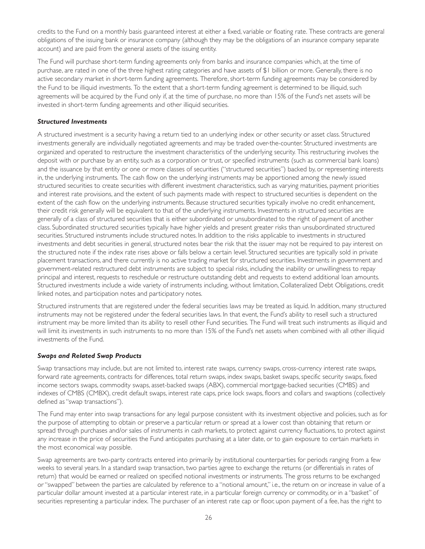credits to the Fund on a monthly basis guaranteed interest at either a fixed, variable or floating rate. These contracts are general obligations of the issuing bank or insurance company (although they may be the obligations of an insurance company separate account) and are paid from the general assets of the issuing entity.

The Fund will purchase short-term funding agreements only from banks and insurance companies which, at the time of purchase, are rated in one of the three highest rating categories and have assets of \$1 billion or more. Generally, there is no active secondary market in short-term funding agreements. Therefore, short-term funding agreements may be considered by the Fund to be illiquid investments. To the extent that a short-term funding agreement is determined to be illiquid, such agreements will be acquired by the Fund only if, at the time of purchase, no more than 15% of the Fund's net assets will be invested in short-term funding agreements and other illiquid securities.

### *Structured Investments*

A structured investment is a security having a return tied to an underlying index or other security or asset class. Structured investments generally are individually negotiated agreements and may be traded over-the-counter. Structured investments are organized and operated to restructure the investment characteristics of the underlying security. This restructuring involves the deposit with or purchase by an entity, such as a corporation or trust, or specified instruments (such as commercial bank loans) and the issuance by that entity or one or more classes of securities ("structured securities") backed by, or representing interests in, the underlying instruments. The cash flow on the underlying instruments may be apportioned among the newly issued structured securities to create securities with different investment characteristics, such as varying maturities, payment priorities and interest rate provisions, and the extent of such payments made with respect to structured securities is dependent on the extent of the cash flow on the underlying instruments. Because structured securities typically involve no credit enhancement, their credit risk generally will be equivalent to that of the underlying instruments. Investments in structured securities are generally of a class of structured securities that is either subordinated or unsubordinated to the right of payment of another class. Subordinated structured securities typically have higher yields and present greater risks than unsubordinated structured securities. Structured instruments include structured notes. In addition to the risks applicable to investments in structured investments and debt securities in general, structured notes bear the risk that the issuer may not be required to pay interest on the structured note if the index rate rises above or falls below a certain level. Structured securities are typically sold in private placement transactions, and there currently is no active trading market for structured securities. Investments in government and government-related restructured debt instruments are subject to special risks, including the inability or unwillingness to repay principal and interest, requests to reschedule or restructure outstanding debt and requests to extend additional loan amounts. Structured investments include a wide variety of instruments including, without limitation, Collateralized Debt Obligations, credit linked notes, and participation notes and participatory notes.

Structured instruments that are registered under the federal securities laws may be treated as liquid. In addition, many structured instruments may not be registered under the federal securities laws. In that event, the Fund's ability to resell such a structured instrument may be more limited than its ability to resell other Fund securities. The Fund will treat such instruments as illiquid and will limit its investments in such instruments to no more than 15% of the Fund's net assets when combined with all other illiquid investments of the Fund.

### *Swaps and Related Swap Products*

Swap transactions may include, but are not limited to, interest rate swaps, currency swaps, cross-currency interest rate swaps, forward rate agreements, contracts for differences, total return swaps, index swaps, basket swaps, specific security swaps, fixed income sectors swaps, commodity swaps, asset-backed swaps (ABX), commercial mor tgage-backed securities (CMBS) and indexes of CMBS (CMBX), credit default swaps, interest rate caps, price lock swaps, floors and collars and swaptions (collectively defined as "swap transactions").

The Fund may enter into swap transactions for any legal purpose consistent with its investment objective and policies, such as for the purpose of attempting to obtain or preserve a particular return or spread at a lower cost than obtaining that return or spread through purchases and/or sales of instruments in cash markets, to protect against currency fluctuations, to protect against any increase in the price of securities the Fund anticipates purchasing at a later date, or to gain exposure to certain markets in the most economical way possible.

Swap agreements are two-party contracts entered into primarily by institutional counterparties for periods ranging from a few weeks to several years. In a standard swap transaction, two parties agree to exchange the returns (or differentials in rates of return) that would be earned or realized on specified notional investments or instruments. The gross returns to be exchanged or "swapped" between the parties are calculated by reference to a "notional amount," i.e., the return on or increase in value of a particular dollar amount invested at a particular interest rate, in a particular foreign currency or commodity, or in a "basket" of securities representing a particular index. The purchaser of an interest rate cap or floor, upon payment of a fee, has the right to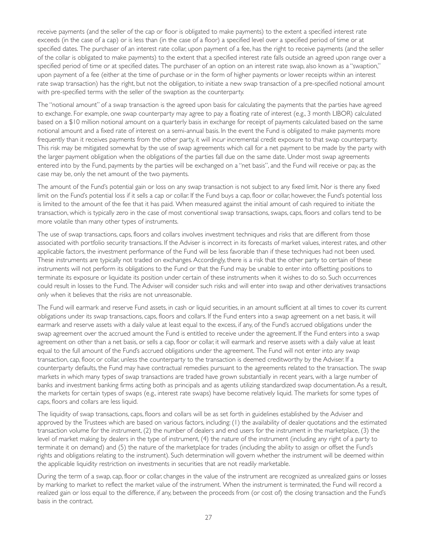receive payments (and the seller of the cap or floor is obligated to make payments) to the extent a specified interest rate exceeds (in the case of a cap) or is less than (in the case of a floor) a specified level over a specified period of time or at specified dates. The purchaser of an interest rate collar, upon payment of a fee, has the right to receive payments (and the seller of the collar is obligated to make payments) to the extent that a specified interest rate falls outside an agreed upon range over a specified period of time or at specified dates. The purchaser of an option on an interest rate swap, also known as a "swaption," upon payment of a fee (either at the time of purchase or in the form of higher payments or lower receipts within an interest rate swap transaction) has the right, but not the obligation, to initiate a new swap transaction of a pre-specified notional amount with pre-specified terms with the seller of the swaption as the counterparty.

The "notional amount" of a swap transaction is the agreed upon basis for calculating the payments that the parties have agreed to exchange. For example, one swap counterparty may agree to pay a floating rate of interest (e.g., 3 month LIBOR) calculated based on a \$10 million notional amount on a quarterly basis in exchange for receipt of payments calculated based on the same notional amount and a fixed rate of interest on a semi-annual basis. In the event the Fund is obligated to make payments more frequently than it receives payments from the other party, it will incur incremental credit exposure to that swap counterparty. This risk may be mitigated somewhat by the use of swap agreements which call for a net payment to be made by the party with the larger payment obligation when the obligations of the parties fall due on the same date. Under most swap agreements entered into by the Fund, payments by the parties will be exchanged on a "net basis", and the Fund will receive or pay, as the case may be, only the net amount of the two payments.

The amount of the Fund's potential gain or loss on any swap transaction is not subject to any fixed limit. Nor is there any fixed limit on the Fund's potential loss if it sells a cap or collar. If the Fund buys a cap, floor or collar, however, the Fund's potential loss is limited to the amount of the fee that it has paid. When measured against the initial amount of cash required to initiate the transaction, which is typically zero in the case of most conventional swap transactions, swaps, caps, floors and collars tend to be more volatile than many other types of instruments.

The use of swap transactions, caps, floors and collars involves investment techniques and risks that are different from those associated with portfolio security transactions. If the Adviser is incorrect in its forecasts of market values, interest rates, and other applicable factors, the investment performance of the Fund will be less favorable than if these techniques had not been used. These instruments are typically not traded on exchanges. Accordingly, there is a risk that the other party to certain of these instruments will not perform its obligations to the Fund or that the Fund may be unable to enter into offsetting positions to terminate its exposure or liquidate its position under certain of these instruments when it wishes to do so. Such occurrences could result in losses to the Fund. The Adviser will consider such risks and will enter into swap and other derivatives transactions only when it believes that the risks are not unreasonable.

The Fund will earmark and reserve Fund assets, in cash or liquid securities, in an amount sufficient at all times to cover its current obligations under its swap transactions, caps, floors and collars. If the Fund enters into a swap agreement on a net basis, it will earmark and reserve assets with a daily value at least equal to the excess, if any, of the Fund's accrued obligations under the swap agreement over the accrued amount the Fund is entitled to receive under the agreement. If the Fund enters into a swap agreement on other than a net basis, or sells a cap, floor or collar, it will earmark and reserve assets with a daily value at least equal to the full amount of the Fund's accrued obligations under the agreement. The Fund will not enter into any swap transaction, cap, floor, or collar, unless the counterparty to the transaction is deemed creditworthy by the Adviser. If a counterparty defaults, the Fund may have contractual remedies pursuant to the agreements related to the transaction. The swap markets in which many types of swap transactions are traded have grown substantially in recent years, with a large number of banks and investment banking firms acting both as principals and as agents utilizing standardized swap documentation. As a result, the markets for certain types of swaps (e.g., interest rate swaps) have become relatively liquid. The markets for some types of caps, floors and collars are less liquid.

The liquidity of swap transactions, caps, floors and collars will be as set forth in guidelines established by the Adviser and approved by the Trustees which are based on various factors, including: (1) the availability of dealer quotations and the estimated transaction volume for the instrument, (2) the number of dealers and end users for the instrument in the marketplace, (3) the level of market making by dealers in the type of instrument, (4) the nature of the instrument (including any right of a party to terminate it on demand) and (5) the nature of the marketplace for trades (including the ability to assign or offset the Fund's rights and obligations relating to the instrument). Such determination will govern whether the instrument will be deemed within the applicable liquidity restriction on investments in securities that are not readily marketable.

During the term of a swap, cap, floor or collar, changes in the value of the instrument are recognized as unrealized gains or losses by marking to market to reflect the market value of the instrument. When the instrument is terminated, the Fund will record a realized gain or loss equal to the difference, if any, between the proceeds from (or cost of) the closing transaction and the Fund's basis in the contract.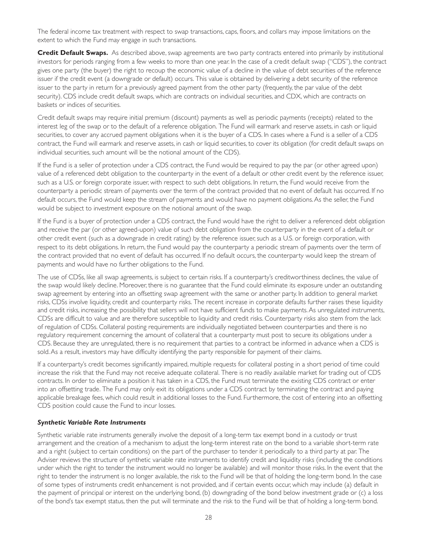The federal income tax treatment with respect to swap transactions, caps, floors, and collars may impose limitations on the extent to which the Fund may engage in such transactions.

**Credit Default Swaps.** As described above, swap agreements are two party contracts entered into primarily by institutional investors for periods ranging from a few weeks to more than one year. In the case of a credit default swap ("CDS"), the contract gives one party (the buyer) the right to recoup the economic value of a decline in the value of debt securities of the reference issuer if the credit event (a downgrade or default) occurs. This value is obtained by delivering a debt security of the reference issuer to the party in return for a previously agreed payment from the other party (frequently, the par value of the debt security). CDS include credit default swaps, which are contracts on individual securities, and CDX, which are contracts on baskets or indices of securities.

Credit default swaps may require initial premium (discount) payments as well as periodic payments (receipts) related to the interest leg of the swap or to the default of a reference obligation. The Fund will earmark and reserve assets, in cash or liquid securities, to cover any accrued payment obligations when it is the buyer of a CDS. In cases where a Fund is a seller of a CDS contract, the Fund will earmark and reserve assets, in cash or liquid securities, to cover its obligation (for credit default swaps on individual securities, such amount will be the notional amount of the CDS).

If the Fund is a seller of protection under a CDS contract, the Fund would be required to pay the par (or other agreed upon) value of a referenced debt obligation to the counterparty in the event of a default or other credit event by the reference issuer, such as a U.S. or foreign corporate issuer, with respect to such debt obligations. In return, the Fund would receive from the counterparty a periodic stream of payments over the term of the contract provided that no event of default has occurred. If no default occurs, the Fund would keep the stream of payments and would have no payment obligations. As the seller, the Fund would be subject to investment exposure on the notional amount of the swap.

If the Fund is a buyer of protection under a CDS contract, the Fund would have the right to deliver a referenced debt obligation and receive the par (or other agreed-upon) value of such debt obligation from the counterparty in the event of a default or other credit event (such as a downgrade in credit rating) by the reference issuer, such as a U.S. or foreign corporation, with respect to its debt obligations. In return, the Fund would pay the counterparty a periodic stream of payments over the term of the contract provided that no event of default has occurred. If no default occurs, the counterparty would keep the stream of payments and would have no further obligations to the Fund.

The use of CDSs, like all swap agreements, is subject to certain risks. If a counterparty's creditworthiness declines, the value of the swap would likely decline. Moreover, there is no guarantee that the Fund could eliminate its exposure under an outstanding swap agreement by entering into an offsetting swap agreement with the same or another party. In addition to general market risks, CDSs involve liquidity, credit and counterparty risks. The recent increase in corporate defaults further raises these liquidity and credit risks, increasing the possibility that sellers will not have sufficient funds to make payments. As unregulated instruments, CDSs are difficult to value and are therefore susceptible to liquidity and credit risks. Counterparty risks also stem from the lack of regulation of CDSs. Collateral posting requirements are individually negotiated between counterparties and there is no regulatory requirement concerning the amount of collateral that a counterparty must post to secure its obligations under a CDS. Because they are unregulated, there is no requirement that parties to a contract be informed in advance when a CDS is sold. As a result, investors may have difficulty identifying the party responsible for payment of their claims.

If a counterparty's credit becomes significantly impaired, multiple requests for collateral posting in a short period of time could increase the risk that the Fund may not receive adequate collateral. There is no readily available market for trading out of CDS contracts. In order to eliminate a position it has taken in a CDS, the Fund must terminate the existing CDS contract or enter into an offsetting trade. The Fund may only exit its obligations under a CDS contract by terminating the contract and paying applicable breakage fees, which could result in additional losses to the Fund. Fur thermore, the cost of entering into an offsetting CDS position could cause the Fund to incur losses.

### *Synthetic Variable Rate Instruments*

Synthetic variable rate instruments generally involve the deposit of a long-term tax exempt bond in a custody or trust arrangement and the creation of a mechanism to adjust the long-term interest rate on the bond to a variable short-term rate and a right (subject to certain conditions) on the part of the purchaser to tender it periodically to a third party at par. The Adviser reviews the structure of synthetic variable rate instruments to identify credit and liquidity risks (including the conditions under which the right to tender the instrument would no longer be available) and will monitor those risks. In the event that the right to tender the instrument is no longer available, the risk to the Fund will be that of holding the long-term bond. In the case of some types of instruments credit enhancement is not provided, and if cer tain events occur, which may include (a) default in the payment of principal or interest on the underlying bond, (b) downgrading of the bond below investment grade or (c) a loss of the bond's tax exempt status, then the put will terminate and the risk to the Fund will be that of holding a long-term bond.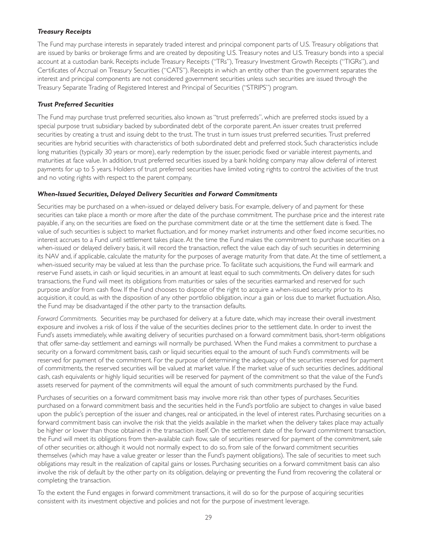### *Treasury Receipts*

The Fund may purchase interests in separately traded interest and principal component parts of U.S. Treasury obligations that are issued by banks or brokerage firms and are created by depositing U.S. Treasury notes and U.S. Treasury bonds into a special account at a custodian bank. Receipts include Treasury Receipts ("TRs"), Treasury Investment Growth Receipts ("TIGRs"), and Cer tificates of Accrual on Treasury Securities ("CATS"). Receipts in which an entity other than the government separates the interest and principal components are not considered government securities unless such securities are issued through the Treasury Separate Trading of Registered Interest and Principal of Securities ("STRIPS") program.

### *Trust Preferred Securities*

The Fund may purchase trust preferred securities, also known as "trust preferreds", which are preferred stocks issued by a special purpose trust subsidiary backed by subordinated debt of the corporate parent. An issuer creates trust preferred securities by creating a trust and issuing debt to the trust. The trust in turn issues trust preferred securities. Trust preferred securities are hybrid securities with characteristics of both subordinated debt and preferred stock. Such characteristics include long maturities (typically 30 years or more), early redemption by the issuer, periodic fixed or variable interest payments, and maturities at face value. In addition, trust preferred securities issued by a bank holding company may allow deferral of interest payments for up to 5 years. Holders of trust preferred securities have limited voting rights to control the activities of the trust and no voting rights with respect to the parent company.

### *When-Issued Securities, Delayed Delivery Securities and Forward Commitments*

Securities may be purchased on a when-issued or delayed delivery basis. For example, delivery of and payment for these securities can take place a month or more after the date of the purchase commitment. The purchase price and the interest rate payable, if any, on the securities are fixed on the purchase commitment date or at the time the settlement date is fixed. The value of such securities is subject to market fluctuation, and for money market instruments and other fixed income securities, no interest accrues to a Fund until settlement takes place. At the time the Fund makes the commitment to purchase securities on a when-issued or delayed delivery basis, it will record the transaction, reflect the value each day of such securities in determining its NAV and, if applicable, calculate the maturity for the purposes of average maturity from that date. At the time of settlement, a when-issued security may be valued at less than the purchase price. To facilitate such acquisitions, the Fund will earmark and reserve Fund assets, in cash or liquid securities, in an amount at least equal to such commitments. On delivery dates for such transactions, the Fund will meet its obligations from maturities or sales of the securities earmarked and reserved for such purpose and/or from cash flow. If the Fund chooses to dispose of the right to acquire a when-issued security prior to its acquisition, it could, as with the disposition of any other portfolio obligation, incur a gain or loss due to market fluctuation. Also, the Fund may be disadvantaged if the other party to the transaction defaults.

*Forward Commitments.* Securities may be purchased for delivery at a future date, which may increase their overall investment exposure and involves a risk of loss if the value of the securities declines prior to the settlement date. In order to invest the Fund's assets immediately, while awaiting delivery of securities purchased on a forward commitment basis, short-term obligations that offer same-day settlement and earnings will normally be purchased. When the Fund makes a commitment to purchase a security on a forward commitment basis, cash or liquid securities equal to the amount of such Fund's commitments will be reserved for payment of the commitment. For the purpose of determining the adequacy of the securities reserved for payment of commitments, the reserved securities will be valued at market value. If the market value of such securities declines, additional cash, cash equivalents or highly liquid securities will be reserved for payment of the commitment so that the value of the Fund's assets reserved for payment of the commitments will equal the amount of such commitments purchased by the Fund.

Purchases of securities on a forward commitment basis may involve more risk than other types of purchases. Securities purchased on a forward commitment basis and the securities held in the Fund's por tfolio are subject to changes in value based upon the public's perception of the issuer and changes, real or anticipated, in the level of interest rates. Purchasing securities on a forward commitment basis can involve the risk that the yields available in the market when the delivery takes place may actually be higher or lower than those obtained in the transaction itself. On the settlement date of the forward commitment transaction, the Fund will meet its obligations from then-available cash flow, sale of securities reserved for payment of the commitment, sale of other securities or, although it would not normally expect to do so, from sale of the forward commitment securities themselves (which may have a value greater or lesser than the Fund's payment obligations). The sale of securities to meet such obligations may result in the realization of capital gains or losses. Purchasing securities on a forward commitment basis can also involve the risk of default by the other party on its obligation, delaying or preventing the Fund from recovering the collateral or completing the transaction.

To the extent the Fund engages in forward commitment transactions, it will do so for the purpose of acquiring securities consistent with its investment objective and policies and not for the purpose of investment leverage.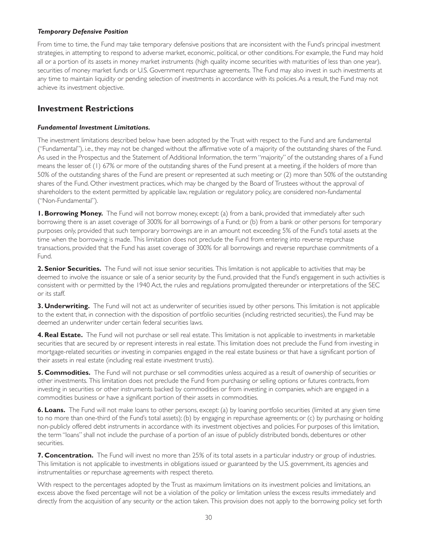### <span id="page-35-0"></span>*Temporary Defensive Position*

From time to time, the Fund may take temporary defensive positions that are inconsistent with the Fund's principal investment strategies, in attempting to respond to adverse market, economic, political, or other conditions. For example, the Fund may hold all or a portion of its assets in money market instruments (high quality income securities with maturities of less than one year), securities of money market funds or U.S. Government repurchase agreements. The Fund may also invest in such investments at any time to maintain liquidity or pending selection of investments in accordance with its policies. As a result, the Fund may not achieve its investment objective.

## **Investment Restrictions**

### *Fundamental Investment Limitations.*

The investment limitations described below have been adopted by the Trust with respect to the Fund and are fundamental ("Fundamental"), i.e., they may not be changed without the affirmative vote of a majority of the outstanding shares of the Fund. As used in the Prospectus and the Statement of Additional Information, the term "majority" of the outstanding shares of a Fund means the lesser of: (1) 67% or more of the outstanding shares of the Fund present at a meeting, if the holders of more than 50% of the outstanding shares of the Fund are present or represented at such meeting; or (2) more than 50% of the outstanding shares of the Fund. Other investment practices, which may be changed by the Board of Trustees without the approval of shareholders to the extent permitted by applicable law, regulation or regulatory policy, are considered non-fundamental ("Non-Fundamental").

**1. Borrowing Money.** The Fund will not borrow money, except: (a) from a bank, provided that immediately after such borrowing there is an asset coverage of 300% for all borrowings of a Fund; or (b) from a bank or other persons for temporary purposes only, provided that such temporary borrowings are in an amount not exceeding 5% of the Fund's total assets at the time when the borrowing is made. This limitation does not preclude the Fund from entering into reverse repurchase transactions, provided that the Fund has asset coverage of 300% for all borrowings and reverse repurchase commitments of a Fund.

**2. Senior Securities.** The Fund will not issue senior securities. This limitation is not applicable to activities that may be deemed to involve the issuance or sale of a senior security by the Fund, provided that the Fund's engagement in such activities is consistent with or permitted by the 1940 Act, the rules and regulations promulgated thereunder or interpretations of the SEC or its staff.

**3. Underwriting.** The Fund will not act as underwriter of securities issued by other persons. This limitation is not applicable to the extent that, in connection with the disposition of por tfolio securities (including restricted securities), the Fund may be deemed an underwriter under certain federal securities laws.

**4. Real Estate.** The Fund will not purchase or sell real estate. This limitation is not applicable to investments in marketable securities that are secured by or represent interests in real estate. This limitation does not preclude the Fund from investing in mortgage-related securities or investing in companies engaged in the real estate business or that have a significant portion of their assets in real estate (including real estate investment trusts).

**5. Commodities.** The Fund will not purchase or sell commodities unless acquired as a result of ownership of securities or other investments. This limitation does not preclude the Fund from purchasing or selling options or futures contracts, from investing in securities or other instruments backed by commodities or from investing in companies, which are engaged in a commodities business or have a significant portion of their assets in commodities.

**6. Loans.** The Fund will not make loans to other persons, except: (a) by loaning portfolio securities (limited at any given time to no more than one-third of the Fund's total assets); (b) by engaging in repurchase agreements; or (c) by purchasing or holding non-publicly offered debt instruments in accordance with its investment objectives and policies. For purposes of this limitation, the term "loans" shall not include the purchase of a portion of an issue of publicly distributed bonds, debentures or other securities.

**7. Concentration.** The Fund will invest no more than 25% of its total assets in a particular industry or group of industries. This limitation is not applicable to investments in obligations issued or guaranteed by the U.S. government, its agencies and instrumentalities or repurchase agreements with respect thereto.

With respect to the percentages adopted by the Trust as maximum limitations on its investment policies and limitations, an excess above the fixed percentage will not be a violation of the policy or limitation unless the excess results immediately and directly from the acquisition of any security or the action taken. This provision does not apply to the borrowing policy set forth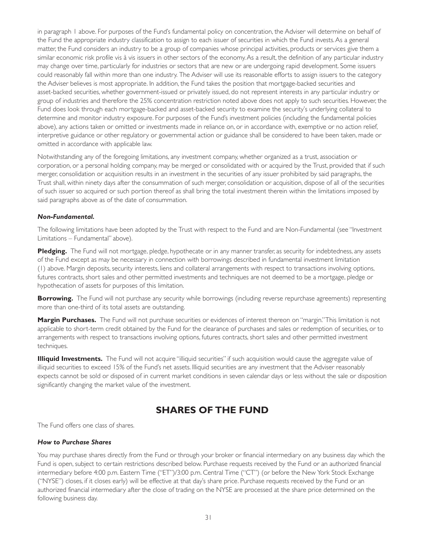<span id="page-36-0"></span>in paragraph 1 above. For purposes of the Fund's fundamental policy on concentration, the Adviser will determine on behalf of the Fund the appropriate industry classification to assign to each issuer of securities in which the Fund invests. As a general matter, the Fund considers an industry to be a group of companies whose principal activities, products or services give them a similar economic risk profile vis à vis issuers in other sectors of the economy. As a result, the definition of any particular industry may change over time, particularly for industries or sectors that are new or are undergoing rapid development. Some issuers could reasonably fall within more than one industry. The Adviser will use its reasonable efforts to assign issuers to the category the Adviser believes is most appropriate. In addition, the Fund takes the position that mortgage-backed securities and asset-backed securities, whether government-issued or privately issued, do not represent interests in any particular industry or group of industries and therefore the 25% concentration restriction noted above does not apply to such securities. However, the Fund does look through each mortgage-backed and asset-backed security to examine the security's underlying collateral to determine and monitor industry exposure. For purposes of the Fund's investment policies (including the fundamental policies above), any actions taken or omitted or investments made in reliance on, or in accordance with, exemptive or no action relief, interpretive guidance or other regulatory or governmental action or guidance shall be considered to have been taken, made or omitted in accordance with applicable law.

Notwithstanding any of the foregoing limitations, any investment company, whether organized as a trust, association or corporation, or a personal holding company, may be merged or consolidated with or acquired by the Trust, provided that if such merger, consolidation or acquisition results in an investment in the securities of any issuer prohibited by said paragraphs, the Trust shall, within ninety days after the consummation of such merger, consolidation or acquisition, dispose of all of the securities of such issuer so acquired or such portion thereof as shall bring the total investment therein within the limitations imposed by said paragraphs above as of the date of consummation.

### *Non-Fundamental.*

The following limitations have been adopted by the Trust with respect to the Fund and are Non-Fundamental (see "Investment Limitations – Fundamental" above).

Pledging. The Fund will not mortgage, pledge, hypothecate or in any manner transfer, as security for indebtedness, any assets of the Fund except as may be necessary in connection with borrowings described in fundamental investment limitation (1) above. Margin deposits, security interests, liens and collateral arrangements with respect to transactions involving options, futures contracts, short sales and other permitted investments and techniques are not deemed to be a mortgage, pledge or hypothecation of assets for purposes of this limitation.

**Borrowing.** The Fund will not purchase any security while borrowings (including reverse repurchase agreements) representing more than one-third of its total assets are outstanding.

**Margin Purchases.** The Fund will not purchase securities or evidences of interest thereon on "margin."This limitation is not applicable to short-term credit obtained by the Fund for the clearance of purchases and sales or redemption of securities, or to arrangements with respect to transactions involving options, futures contracts, shor t sales and other permitted investment techniques.

**Illiquid Investments.** The Fund will not acquire "illiquid securities" if such acquisition would cause the aggregate value of illiquid securities to exceed 15% of the Fund's net assets. Illiquid securities are any investment that the Adviser reasonably expects cannot be sold or disposed of in current market conditions in seven calendar days or less without the sale or disposition significantly changing the market value of the investment.

# **SHARES OF THE FUND**

The Fund offers one class of shares.

### *How to Purchase Shares*

You may purchase shares directly from the Fund or through your broker or financial intermediary on any business day which the Fund is open, subject to certain restrictions described below. Purchase requests received by the Fund or an authorized financial intermediary before 4:00 p.m. Eastern Time ("ET")/3:00 p.m. Central Time ("CT") (or before the New York Stock Exchange ("NYSE") closes, if it closes early) will be effective at that day's share price. Purchase requests received by the Fund or an authorized financial intermediary after the close of trading on the NYSE are processed at the share price determined on the following business day.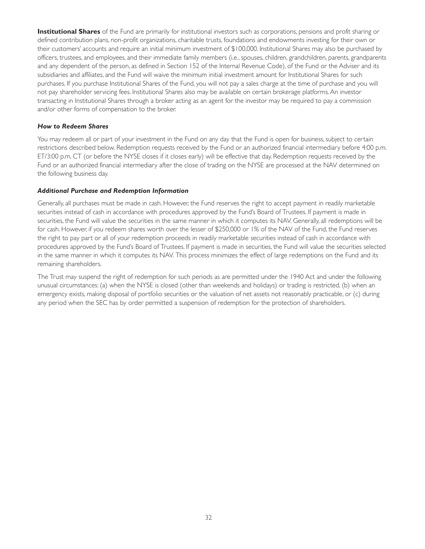**Institutional Shares** of the Fund are primarily for institutional investors such as corporations, pensions and profit sharing or defined contribution plans, non-profit organizations, charitable trusts, foundations and endowments investing for their own or their customers' accounts and require an initial minimum investment of \$100,000. Institutional Shares may also be purchased by officers, trustees, and employees, and their immediate family members (i.e., spouses, children, grandchildren, parents, grandparents and any dependent of the person, as defined in Section 152 of the Internal Revenue Code), of the Fund or the Adviser and its subsidiaries and affiliates, and the Fund will waive the minimum initial investment amount for Institutional Shares for such purchases. If you purchase Institutional Shares of the Fund, you will not pay a sales charge at the time of purchase and you will not pay shareholder servicing fees. Institutional Shares also may be available on cer tain brokerage platforms. An investor transacting in Institutional Shares through a broker acting as an agent for the investor may be required to pay a commission and/or other forms of compensation to the broker.

### *How to Redeem Shares*

You may redeem all or part of your investment in the Fund on any day that the Fund is open for business, subject to certain restrictions described below. Redemption requests received by the Fund or an authorized financial intermediary before 4:00 p.m. ET/3:00 p.m. CT (or before the NYSE closes if it closes early) will be effective that day. Redemption requests received by the Fund or an authorized financial intermediary after the close of trading on the NYSE are processed at the NAV determined on the following business day.

### *Additional Purchase and Redemption Information*

Generally, all purchases must be made in cash. However, the Fund reserves the right to accept payment in readily marketable securities instead of cash in accordance with procedures approved by the Fund's Board of Trustees. If payment is made in securities, the Fund will value the securities in the same manner in which it computes its NAV. Generally, all redemptions will be for cash. However, if you redeem shares worth over the lesser of \$250,000 or 1% of the NAV of the Fund, the Fund reserves the right to pay part or all of your redemption proceeds in readily marketable securities instead of cash in accordance with procedures approved by the Fund's Board of Trustees. If payment is made in securities, the Fund will value the securities selected in the same manner in which it computes its NAV. This process minimizes the effect of large redemptions on the Fund and its remaining shareholders.

The Trust may suspend the right of redemption for such periods as are permitted under the 1940 Act and under the following unusual circumstances: (a) when the NYSE is closed (other than weekends and holidays) or trading is restricted, (b) when an emergency exists, making disposal of portfolio securities or the valuation of net assets not reasonably practicable, or (c) during any period when the SEC has by order permitted a suspension of redemption for the protection of shareholders.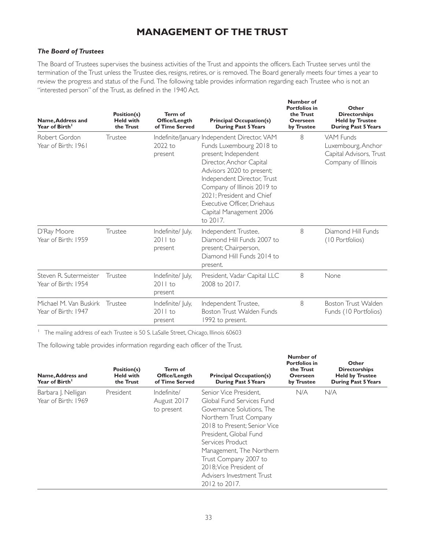# **MANAGEMENT OF THE TRUST**

### <span id="page-38-0"></span>*The Board of Trustees*

The Board of Trustees supervises the business activities of the Trust and appoints the officers. Each Trustee serves until the termination of the Trust unless the Trustee dies, resigns, retires, or is removed. The Board generally meets four times a year to review the progress and status of the Fund. The following table provides information regarding each Trustee who is not an "interested person" of the Trust, as defined in the 1940 Act.

| Name, Address and<br>Year of Birth <sup>1</sup> | Position(s)<br><b>Held with</b><br>the Trust | Term of<br><b>Office/Length</b><br>of Time Served | <b>Principal Occupation(s)</b><br><b>During Past 5 Years</b>                                                                                                                                                                                                                                                               | Number of<br><b>Portfolios in</b><br>the Trust<br><b>Overseen</b><br>by Trustee | Other<br><b>Directorships</b><br><b>Held by Trustee</b><br><b>During Past 5 Years</b> |
|-------------------------------------------------|----------------------------------------------|---------------------------------------------------|----------------------------------------------------------------------------------------------------------------------------------------------------------------------------------------------------------------------------------------------------------------------------------------------------------------------------|---------------------------------------------------------------------------------|---------------------------------------------------------------------------------------|
| Robert Gordon<br>Year of Birth: 1961            | Trustee                                      | 2022 to<br>present                                | Indefinite/January Independent Director, VAM<br>Funds Luxembourg 2018 to<br>present; Independent<br>Director, Anchor Capital<br>Advisors 2020 to present;<br>Independent Director, Trust<br>Company of Illinois 2019 to<br>2021: President and Chief<br>Executive Officer. Driehaus<br>Capital Management 2006<br>to 2017. | 8                                                                               | VAM Funds<br>Luxembourg, Anchor<br>Capital Advisors, Trust<br>Company of Illinois     |
| D'Ray Moore<br>Year of Birth: 1959              | Trustee                                      | Indefinite/ July,<br>2011 to<br>present           | Independent Trustee,<br>Diamond Hill Funds 2007 to<br>present; Chairperson,<br>Diamond Hill Funds 2014 to<br>present.                                                                                                                                                                                                      | 8                                                                               | Diamond Hill Funds<br>(10 Portfolios)                                                 |
| Steven R. Sutermeister<br>Year of Birth: 1954   | Trustee                                      | Indefinite/ July,<br>$2011$ to<br>present         | President, Vadar Capital LLC<br>2008 to 2017.                                                                                                                                                                                                                                                                              | 8                                                                               | None                                                                                  |
| Michael M. Van Buskirk<br>Year of Birth: 1947   | Trustee                                      | Indefinite/ July,<br>$2011$ to<br>present         | Independent Trustee,<br>Boston Trust Walden Funds<br>1992 to present.                                                                                                                                                                                                                                                      | 8                                                                               | Boston Trust Walden<br>Funds (10 Portfolios)                                          |

<sup>1</sup> The mailing address of each Trustee is 50 S. LaSalle Street, Chicago, Illinois 60603

The following table provides information regarding each officer of the Trust.

| Name, Address and<br>Year of Birth <sup>1</sup> | Position(s)<br><b>Held with</b><br>the Trust | Term of<br>Office/Length<br>of Time Served | <b>Principal Occupation(s)</b><br><b>During Past 5 Years</b>                                                                                                                                                                                                                                                           | Number of<br><b>Portfolios in</b><br>the Trust<br>Overseen<br>by Trustee | Other<br><b>Directorships</b><br><b>Held by Trustee</b><br><b>During Past 5 Years</b> |
|-------------------------------------------------|----------------------------------------------|--------------------------------------------|------------------------------------------------------------------------------------------------------------------------------------------------------------------------------------------------------------------------------------------------------------------------------------------------------------------------|--------------------------------------------------------------------------|---------------------------------------------------------------------------------------|
| Barbara J. Nelligan<br>Year of Birth: 1969      | President                                    | Indefinite/<br>August 2017<br>to present   | Senior Vice President.<br>Global Fund Services Fund<br>Governance Solutions. The<br>Northern Trust Company<br>2018 to Present: Senior Vice<br>President, Global Fund<br>Services Product<br>Management, The Northern<br>Trust Company 2007 to<br>2018: Vice President of<br>Advisers Investment Trust<br>2012 to 2017. | N/A                                                                      | N/A                                                                                   |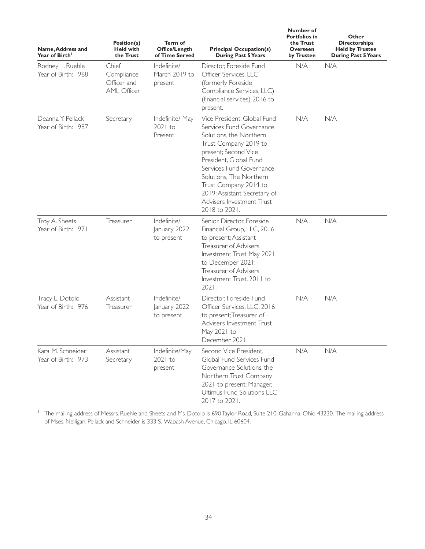| Name, Address and<br>Year of Birth <sup>1</sup> | Position(s)<br><b>Held with</b><br>the Trust             | Term of<br>Office/Length<br>of Time Served | <b>Principal Occupation(s)</b><br><b>During Past 5 Years</b>                                                                                                                                                                                                                                                                | Number of<br><b>Portfolios in</b><br>the Trust<br>Overseen<br>by Trustee | Other<br><b>Directorships</b><br><b>Held by Trustee</b><br><b>During Past 5 Years</b> |
|-------------------------------------------------|----------------------------------------------------------|--------------------------------------------|-----------------------------------------------------------------------------------------------------------------------------------------------------------------------------------------------------------------------------------------------------------------------------------------------------------------------------|--------------------------------------------------------------------------|---------------------------------------------------------------------------------------|
| Rodney L. Ruehle<br>Year of Birth: 1968         | Chief<br>Compliance<br>Officer and<br><b>AML Officer</b> | Indefinite/<br>March 2019 to<br>present    | Director, Foreside Fund<br>Officer Services, LLC<br>(formerly Foreside<br>Compliance Services, LLC)<br>(financial services) 2016 to<br>present.                                                                                                                                                                             | N/A                                                                      | N/A                                                                                   |
| Deanna Y. Pellack<br>Year of Birth: 1987        | Secretary                                                | Indefinite/ May<br>$2021$ to<br>Present    | Vice President, Global Fund<br>Services Fund Governance<br>Solutions, the Northern<br>Trust Company 2019 to<br>present; Second Vice<br>President, Global Fund<br>Services Fund Governance<br>Solutions, The Northern<br>Trust Company 2014 to<br>2019; Assistant Secretary of<br>Advisers Investment Trust<br>2018 to 2021. | N/A                                                                      | N/A                                                                                   |
| Troy A. Sheets<br>Year of Birth: 1971           | Treasurer                                                | Indefinite/<br>January 2022<br>to present  | Senior Director, Foreside<br>Financial Group, LLC, 2016<br>to present; Assistant<br>Treasurer of Advisers<br>Investment Trust May 2021<br>to December 2021:<br><b>Treasurer of Advisers</b><br>Investment Trust, 2011 to<br>2021.                                                                                           | N/A                                                                      | N/A                                                                                   |
| Tracy L. Dotolo<br>Year of Birth: 1976          | Assistant<br>Treasurer                                   | Indefinite/<br>January 2022<br>to present  | Director, Foreside Fund<br>Officer Services, LLC, 2016<br>to present; Treasurer of<br>Advisers Investment Trust<br>May 2021 to<br>December 2021.                                                                                                                                                                            | N/A                                                                      | N/A                                                                                   |
| Kara M. Schneider<br>Year of Birth: 1973        | Assistant<br>Secretary                                   | Indefinite/May<br>$2021$ to<br>present     | Second Vice President,<br>Global Fund Services Fund<br>Governance Solutions, the<br>Northern Trust Company<br>2021 to present; Manager,<br>Ultimus Fund Solutions LLC<br>2017 to 2021.                                                                                                                                      | N/A                                                                      | N/A                                                                                   |

<sup>1</sup> The mailing address of Messrs. Ruehle and Sheets and Ms. Dotolo is 690 Taylor Road, Suite 210, Gahanna, Ohio 43230. The mailing address of Mses. Nelligan, Pellack and Schneider is 333 S. Wabash Avenue, Chicago, IL 60604.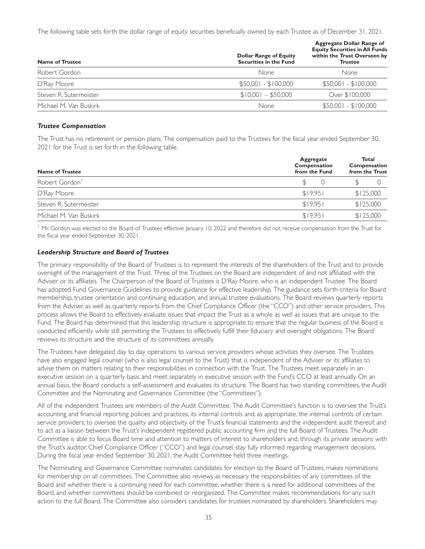The following table sets forth the dollar range of equity securities beneficially owned by each Trustee as of December 31, 2021.

| <b>Name of Trustee</b> | <b>Dollar Range of Equity</b><br><b>Securities in the Fund</b> | <b>Aggregate Dollar Range of</b><br><b>Equity Securities in All Funds</b><br>within the Trust Overseen by<br><b>Trustee</b> |
|------------------------|----------------------------------------------------------------|-----------------------------------------------------------------------------------------------------------------------------|
| Robert Gordon          | None                                                           | None                                                                                                                        |
| D'Ray Moore            | $$50,001 - $100,000$                                           | $$50,001 - $100,000$                                                                                                        |
| Steven R. Sutermeister | $$10.001 - $50.000$                                            | Over \$100,000                                                                                                              |
| Michael M. Van Buskirk | None                                                           | $$50,001 - $100,000$                                                                                                        |

### *Trustee Compensation*

The Trust has no retirement or pension plans. The compensation paid to the Trustees for the fiscal year ended September 30, 2021 for the Trust is set forth in the following table.

| <b>Name of Trustee</b>     | Aggregate<br>Compensation<br>from the Fund | Total<br>Compensation<br>from the Trust |  |
|----------------------------|--------------------------------------------|-----------------------------------------|--|
| Robert Gordon <sup>1</sup> |                                            |                                         |  |
| D'Ray Moore                | \$19.951                                   | \$125,000                               |  |
| Steven R. Sutermeister     | \$19.95                                    | \$125,000                               |  |
| Michael M. Van Buskirk     | \$19.951                                   | \$125,000                               |  |

<sup>1</sup> Mr. Gordon was elected to the Board of Trustees effective January 10, 2022 and therefore did not receive compensation from the Trust for the fiscal year ended September 30, 2021.

### *Leadership Structure and Board of Trustees*

The primary responsibility of the Board of Trustees is to represent the interests of the shareholders of the Trust and to provide oversight of the management of the Trust. Three of the Trustees on the Board are independent of and not affiliated with the Adviser or its affiliates. The Chairperson of the Board of Trustees is D'Ray Moore, who is an independent Trustee. The Board has adopted Fund Governance Guidelines to provide guidance for effective leadership. The guidance sets forth criteria for Board membership, trustee orientation and continuing education, and annual trustee evaluations. The Board reviews quarterly reports from the Adviser, as well as quarterly reports from the Chief Compliance Officer (the "CCO") and other service providers. This process allows the Board to effectively evaluate issues that impact the Trust as a whole as well as issues that are unique to the Fund. The Board has determined that this leadership structure is appropriate to ensure that the regular business of the Board is conducted efficiently while still permitting the Trustees to effectively fulfill their fiduciary and oversight obligations. The Board reviews its structure and the structure of its committees annually.

The Trustees have delegated day to day operations to various service providers whose activities they oversee. The Trustees have also engaged legal counsel (who is also legal counsel to the Trust) that is independent of the Adviser or its affiliates to advise them on matters relating to their responsibilities in connection with the Trust. The Trustees meet separately in an executive session on a quarterly basis and meet separately in executive session with the Fund's CCO at least annually. On an annual basis, the Board conducts a self-assessment and evaluates its structure. The Board has two standing committees, the Audit Committee and the Nominating and Governance Committee (the "Committees").

All of the independent Trustees are members of the Audit Committee. The Audit Committee's function is to oversee the Trust's accounting and financial reporting policies and practices, its internal controls and, as appropriate, the internal controls of certain service providers; to oversee the quality and objectivity of the Trust's financial statements and the independent audit thereof; and to act as a liaison between the Trust's independent registered public accounting firm and the full Board of Trustees. The Audit Committee is able to focus Board time and attention to matters of interest to shareholders and, through its private sessions with the Trust's auditor, Chief Compliance Officer ("CCO") and legal counsel, stay fully informed regarding management decisions. During the fiscal year ended September 30, 2021, the Audit Committee held three meetings.

The Nominating and Governance Committee nominates candidates for election to the Board of Trustees, makes nominations for membership on all committees. The Committee also reviews as necessary the responsibilities of any committees of the Board and whether there is a continuing need for each committee, whether there is a need for additional committees of the Board, and whether committees should be combined or reorganized. The Committee makes recommendations for any such action to the full Board. The Committee also considers candidates for trustees nominated by shareholders. Shareholders may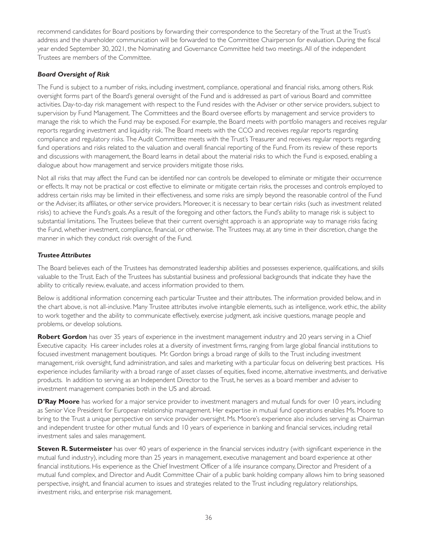recommend candidates for Board positions by forwarding their correspondence to the Secretary of the Trust at the Trust's address and the shareholder communication will be forwarded to the Committee Chairperson for evaluation. During the fiscal year ended September 30, 2021, the Nominating and Governance Committee held two meetings. All of the independent Trustees are members of the Committee.

### *Board Oversight of Risk*

The Fund is subject to a number of risks, including investment, compliance, operational and financial risks, among others. Risk oversight forms part of the Board's general oversight of the Fund and is addressed as part of various Board and committee activities. Day-to-day risk management with respect to the Fund resides with the Adviser or other service providers, subject to supervision by Fund Management. The Committees and the Board oversee efforts by management and service providers to manage the risk to which the Fund may be exposed. For example, the Board meets with por tfolio managers and receives regular reports regarding investment and liquidity risk. The Board meets with the CCO and receives regular reports regarding compliance and regulatory risks. The Audit Committee meets with the Trust's Treasurer and receives regular reports regarding fund operations and risks related to the valuation and overall financial reporting of the Fund. From its review of these reports and discussions with management, the Board learns in detail about the material risks to which the Fund is exposed, enabling a dialogue about how management and service providers mitigate those risks.

Not all risks that may affect the Fund can be identified nor can controls be developed to eliminate or mitigate their occurrence or effects. It may not be practical or cost effective to eliminate or mitigate cer tain risks, the processes and controls employed to address certain risks may be limited in their effectiveness, and some risks are simply beyond the reasonable control of the Fund or the Adviser, its affiliates, or other service providers. Moreover, it is necessary to bear cer tain risks (such as investment related risks) to achieve the Fund's goals. As a result of the foregoing and other factors, the Fund's ability to manage risk is subject to substantial limitations. The Trustees believe that their current oversight approach is an appropriate way to manage risks facing the Fund, whether investment, compliance, financial, or otherwise. The Trustees may, at any time in their discretion, change the manner in which they conduct risk oversight of the Fund.

### *Trustee Attributes*

The Board believes each of the Trustees has demonstrated leadership abilities and possesses experience, qualifications, and skills valuable to the Trust. Each of the Trustees has substantial business and professional backgrounds that indicate they have the ability to critically review, evaluate, and access information provided to them.

Below is additional information concerning each particular Trustee and their attributes. The information provided below, and in the chart above, is not all-inclusive. Many Trustee attributes involve intangible elements, such as intelligence, work ethic, the ability to work together and the ability to communicate effectively, exercise judgment, ask incisive questions, manage people and problems, or develop solutions.

**Robert Gordon** has over 35 years of experience in the investment management industry and 20 years serving in a Chief Executive capacity. His career includes roles at a diversity of investment firms, ranging from large global financial institutions to focused investment management boutiques. Mr. Gordon brings a broad range of skills to the Trust including investment management, risk oversight, fund administration, and sales and marketing with a particular focus on delivering best practices. His experience includes familiarity with a broad range of asset classes of equities, fixed income, alternative investments, and derivative products. In addition to serving as an Independent Director to the Trust, he serves as a board member and adviser to investment management companies both in the US and abroad.

**D'Ray Moore** has worked for a major service provider to investment managers and mutual funds for over 10 years, including as Senior Vice President for European relationship management. Her expertise in mutual fund operations enables Ms. Moore to bring to the Trust a unique perspective on service provider oversight. Ms. Moore's experience also includes serving as Chairman and independent trustee for other mutual funds and 10 years of experience in banking and financial services, including retail investment sales and sales management.

**Steven R. Sutermeister** has over 40 years of experience in the financial services industry (with significant experience in the mutual fund industry), including more than 25 years in management, executive management and board experience at other financial institutions. His experience as the Chief Investment Officer of a life insurance company, Director and President of a mutual fund complex, and Director and Audit Committee Chair of a public bank holding company allows him to bring seasoned perspective, insight, and financial acumen to issues and strategies related to the Trust including regulatory relationships, investment risks, and enterprise risk management.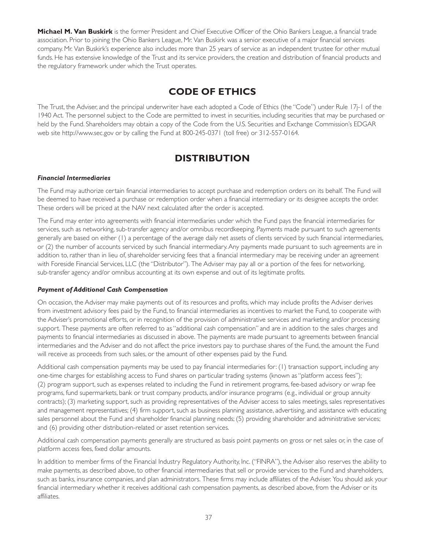<span id="page-42-0"></span>**Michael M. Van Buskirk** is the former President and Chief Executive Officer of the Ohio Bankers League, a financial trade association. Prior to joining the Ohio Bankers League, Mr. Van Buskirk was a senior executive of a major financial services company. Mr. Van Buskirk's experience also includes more than 25 years of service as an independent trustee for other mutual funds. He has extensive knowledge of the Trust and its service providers, the creation and distribution of financial products and the regulatory framework under which the Trust operates.

# **CODE OF ETHICS**

The Trust, the Adviser, and the principal underwriter have each adopted a Code of Ethics (the "Code") under Rule 17j-1 of the 1940 Act. The personnel subject to the Code are permitted to invest in securities, including securities that may be purchased or held by the Fund. Shareholders may obtain a copy of the Code from the U.S. Securities and Exchange Commission's EDGAR web site http://www.sec.gov or by calling the Fund at 800-245-0371 (toll free) or 312-557-0164.

# **DISTRIBUTION**

### *Financial Intermediaries*

The Fund may authorize certain financial intermediaries to accept purchase and redemption orders on its behalf. The Fund will be deemed to have received a purchase or redemption order when a financial intermediary or its designee accepts the order. These orders will be priced at the NAV next calculated after the order is accepted.

The Fund may enter into agreements with financial intermediaries under which the Fund pays the financial intermediaries for services, such as networking, sub-transfer agency and/or omnibus recordkeeping. Payments made pursuant to such agreements generally are based on either (1) a percentage of the average daily net assets of clients serviced by such financial intermediaries, or (2) the number of accounts serviced by such financial intermediary. Any payments made pursuant to such agreements are in addition to, rather than in lieu of, shareholder servicing fees that a financial intermediary may be receiving under an agreement with Foreside Financial Services, LLC (the "Distributor"). The Adviser may pay all or a portion of the fees for networking, sub-transfer agency and/or omnibus accounting at its own expense and out of its legitimate profits.

### *Payment of Additional Cash Compensation*

On occasion, the Adviser may make payments out of its resources and profits, which may include profits the Adviser derives from investment advisory fees paid by the Fund, to financial intermediaries as incentives to market the Fund, to cooperate with the Adviser's promotional efforts, or in recognition of the provision of administrative services and marketing and/or processing support. These payments are often referred to as "additional cash compensation" and are in addition to the sales charges and payments to financial intermediaries as discussed in above. The payments are made pursuant to agreements between financial intermediaries and the Adviser and do not affect the price investors pay to purchase shares of the Fund, the amount the Fund will receive as proceeds from such sales, or the amount of other expenses paid by the Fund.

Additional cash compensation payments may be used to pay financial intermediaries for: (1) transaction support, including any one-time charges for establishing access to Fund shares on particular trading systems (known as "platform access fees"); (2) program support, such as expenses related to including the Fund in retirement programs, fee-based advisory or wrap fee programs, fund supermarkets, bank or trust company products, and/or insurance programs (e.g., individual or group annuity contracts); (3) marketing support, such as providing representatives of the Adviser access to sales meetings, sales representatives and management representatives; (4) firm support, such as business planning assistance, advertising, and assistance with educating sales personnel about the Fund and shareholder financial planning needs; (5) providing shareholder and administrative services; and (6) providing other distribution-related or asset retention services.

Additional cash compensation payments generally are structured as basis point payments on gross or net sales or, in the case of platform access fees, fixed dollar amounts.

In addition to member firms of the Financial Industry Regulatory Authority, Inc. ("FINRA"), the Adviser also reserves the ability to make payments, as described above, to other financial intermediaries that sell or provide services to the Fund and shareholders, such as banks, insurance companies, and plan administrators. These firms may include affiliates of the Adviser. You should ask your financial intermediary whether it receives additional cash compensation payments, as described above, from the Adviser or its affiliates.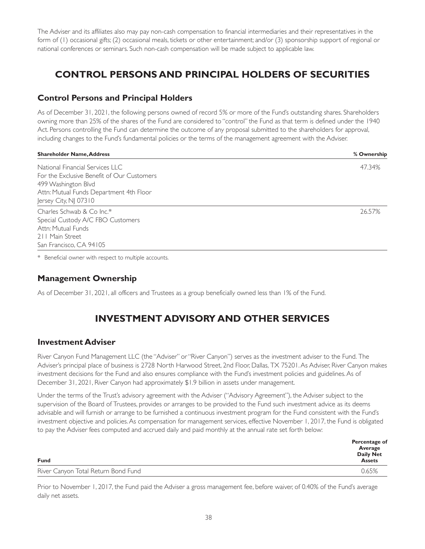<span id="page-43-0"></span>The Adviser and its affiliates also may pay non-cash compensation to financial intermediaries and their representatives in the form of (1) occasional gifts; (2) occasional meals, tickets or other enter tainment; and/or (3) sponsorship support of regional or national conferences or seminars. Such non-cash compensation will be made subject to applicable law.

# **CONTROL PERSONS AND PRINCIPAL HOLDERS OF SECURITIES**

## **Control Persons and Principal Holders**

As of December 31, 2021, the following persons owned of record 5% or more of the Fund's outstanding shares. Shareholders owning more than 25% of the shares of the Fund are considered to "control" the Fund as that term is defined under the 1940 Act. Persons controlling the Fund can determine the outcome of any proposal submitted to the shareholders for approval, including changes to the Fund's fundamental policies or the terms of the management agreement with the Adviser.

| <b>Shareholder Name, Address</b>           | % Ownership |
|--------------------------------------------|-------------|
| National Financial Services LLC            | 47.34%      |
| For the Exclusive Benefit of Our Customers |             |
| 499 Washington Blvd                        |             |
| Attn: Mutual Funds Department 4th Floor    |             |
| Jersey City, NJ 07310                      |             |
| Charles Schwab & Co Inc.*                  | 26.57%      |
| Special Custody A/C FBO Customers          |             |
| Attn: Mutual Funds                         |             |
| 211 Main Street                            |             |
| San Francisco, CA 94105                    |             |

\* Beneficial owner with respect to multiple accounts.

## **Management Ownership**

As of December 31, 2021, all officers and Trustees as a group beneficially owned less than 1% of the Fund.

# **INVESTMENT ADVISORY AND OTHER SERVICES**

### **Investment Adviser**

River Canyon Fund Management LLC (the "Adviser" or "River Canyon") serves as the investment adviser to the Fund. The Adviser's principal place of business is 2728 North Harwood Street, 2nd Floor, Dallas, TX 75201. As Adviser, River Canyon makes investment decisions for the Fund and also ensures compliance with the Fund's investment policies and guidelines. As of December 31, 2021, River Canyon had approximately \$1.9 billion in assets under management.

Under the terms of the Trust's advisory agreement with the Adviser ("Advisory Agreement"), the Adviser subject to the supervision of the Board of Trustees, provides or arranges to be provided to the Fund such investment advice as its deems advisable and will furnish or arrange to be furnished a continuous investment program for the Fund consistent with the Fund's investment objective and policies. As compensation for management services, effective November 1, 2017, the Fund is obligated to pay the Adviser fees computed and accrued daily and paid monthly at the annual rate set forth below:

|                                     | Percentage of<br>Average          |
|-------------------------------------|-----------------------------------|
| <b>Fund</b>                         | <b>Daily Net</b><br><b>Assets</b> |
| River Canyon Total Return Bond Fund | 0.65%                             |

Prior to November 1, 2017, the Fund paid the Adviser a gross management fee, before waiver, of 0.40% of the Fund's average daily net assets.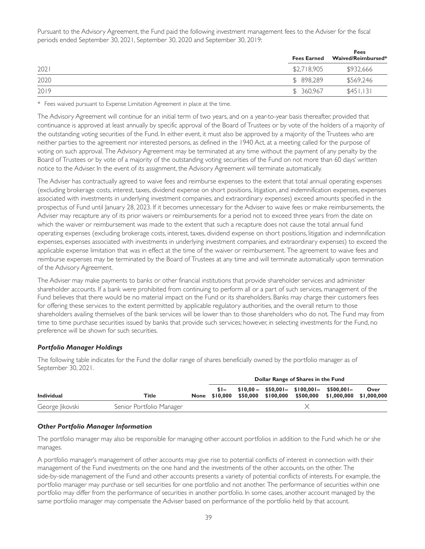Pursuant to the Advisory Agreement, the Fund paid the following investment management fees to the Adviser for the fiscal periods ended September 30, 2021, September 30, 2020 and September 30, 2019:

|      |             | <b>Fees</b><br>Fees Earned Waived/Reimbursed* |
|------|-------------|-----------------------------------------------|
| 2021 | \$2,718,905 | \$932,666                                     |
| 2020 | \$898.289   | \$569.246                                     |
| 2019 | \$ 360,967  | \$451.131                                     |

\* Fees waived pursuant to Expense Limitation Agreement in place at the time.

The Advisory Agreement will continue for an initial term of two years, and on a year-to-year basis thereafter, provided that continuance is approved at least annually by specific approval of the Board of Trustees or by vote of the holders of a majority of the outstanding voting securities of the Fund. In either event, it must also be approved by a majority of the Trustees who are neither parties to the agreement nor interested persons, as defined in the 1940 Act, at a meeting called for the purpose of voting on such approval. The Advisory Agreement may be terminated at any time without the payment of any penalty by the Board of Trustees or by vote of a majority of the outstanding voting securities of the Fund on not more than 60 days' written notice to the Adviser. In the event of its assignment, the Advisory Agreement will terminate automatically.

The Adviser has contractually agreed to waive fees and reimburse expenses to the extent that total annual operating expenses (excluding brokerage costs, interest, taxes, dividend expense on short positions, litigation, and indemnification expenses, expenses associated with investments in underlying investment companies, and extraordinary expenses) exceed amounts specified in the prospectus of Fund until January 28, 2023. If it becomes unnecessary for the Adviser to waive fees or make reimbursements, the Adviser may recapture any of its prior waivers or reimbursements for a period not to exceed three years from the date on which the waiver or reimbursement was made to the extent that such a recapture does not cause the total annual fund operating expenses (excluding brokerage costs, interest, taxes, dividend expense on shor t positions, litigation and indemnification expenses, expenses associated with investments in underlying investment companies, and extraordinary expenses) to exceed the applicable expense limitation that was in effect at the time of the waiver or reimbursement. The agreement to waive fees and reimburse expenses may be terminated by the Board of Trustees at any time and will terminate automatically upon termination of the Advisory Agreement.

The Adviser may make payments to banks or other financial institutions that provide shareholder services and administer shareholder accounts. If a bank were prohibited from continuing to perform all or a part of such services, management of the Fund believes that there would be no material impact on the Fund or its shareholders. Banks may charge their customers fees for offering these services to the extent permitted by applicable regulatory authorities, and the overall return to those shareholders availing themselves of the bank services will be lower than to those shareholders who do not. The Fund may from time to time purchase securities issued by banks that provide such services; however, in selecting investments for the Fund, no preference will be shown for such securities.

### *Portfolio Manager Holdings*

The following table indicates for the Fund the dollar range of shares beneficially owned by the portfolio manager as of September 30, 2021.

| Title<br><b>Individual</b> | Dollar Range of Shares in the Fund |                        |  |  |  |                                                                                                    |      |
|----------------------------|------------------------------------|------------------------|--|--|--|----------------------------------------------------------------------------------------------------|------|
|                            |                                    | $s -$<br>None \$10,000 |  |  |  | $$10,00 - $50,001 - $100,001 - $500,001 -$<br>\$50,000 \$100,000 \$500,000 \$1,000,000 \$1,000,000 | Over |
| George Jikovski            | Senior Portfolio Manager           |                        |  |  |  |                                                                                                    |      |

### *Other Portfolio Manager Information*

The portfolio manager may also be responsible for managing other account portfolios in addition to the Fund which he or she manages.

A portfolio manager's management of other accounts may give rise to potential conflicts of interest in connection with their management of the Fund investments on the one hand and the investments of the other accounts, on the other. The side-by-side management of the Fund and other accounts presents a variety of potential conflicts of interests. For example, the portfolio manager may purchase or sell securities for one portfolio and not another. The performance of securities within one portfolio may differ from the performance of securities in another portfolio. In some cases, another account managed by the same portfolio manager may compensate the Adviser based on performance of the portfolio held by that account.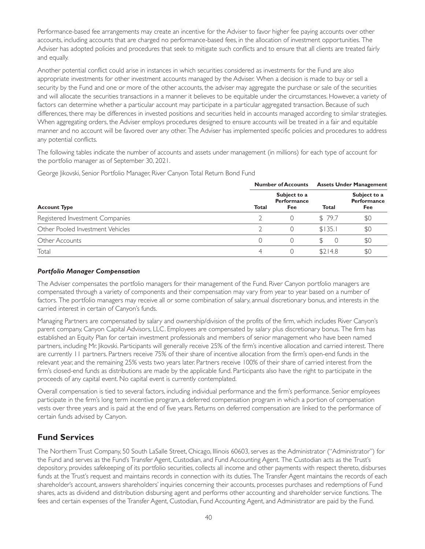<span id="page-45-0"></span>Performance-based fee arrangements may create an incentive for the Adviser to favor higher fee paying accounts over other accounts, including accounts that are charged no performance-based fees, in the allocation of investment opportunities. The Adviser has adopted policies and procedures that seek to mitigate such conflicts and to ensure that all clients are treated fairly and equally.

Another potential conflict could arise in instances in which securities considered as investments for the Fund are also appropriate investments for other investment accounts managed by the Adviser. When a decision is made to buy or sell a security by the Fund and one or more of the other accounts, the adviser may aggregate the purchase or sale of the securities and will allocate the securities transactions in a manner it believes to be equitable under the circumstances. However, a variety of factors can determine whether a particular account may participate in a particular aggregated transaction. Because of such differences, there may be differences in invested positions and securities held in accounts managed according to similar strategies. When aggregating orders, the Adviser employs procedures designed to ensure accounts will be treated in a fair and equitable manner and no account will be favored over any other. The Adviser has implemented specific policies and procedures to address any potential conflicts.

The following tables indicate the number of accounts and assets under management (in millions) for each type of account for the portfolio manager as of September 30, 2021.

George Jikovski, Senior Por tfolio Manager, River Canyon Total Return Bond Fund

|                                  |       | <b>Number of Accounts</b>                 |              | <b>Assets Under Management</b>            |
|----------------------------------|-------|-------------------------------------------|--------------|-------------------------------------------|
| <b>Account Type</b>              | Total | Subject to a<br><b>Performance</b><br>Fee | <b>Total</b> | Subject to a<br><b>Performance</b><br>Fee |
| Registered Investment Companies  |       |                                           | \$79.7       | \$C                                       |
| Other Pooled Investment Vehicles |       |                                           | \$135.1      | \$0                                       |
| Other Accounts                   |       |                                           | $\cup$       | \$C                                       |
| Total                            |       |                                           | \$214.8      | \$C                                       |

#### *Portfolio Manager Compensation*

The Adviser compensates the portfolio managers for their management of the Fund. River Canyon portfolio managers are compensated through a variety of components and their compensation may vary from year to year based on a number of factors. The portfolio managers may receive all or some combination of salary, annual discretionary bonus, and interests in the carried interest in certain of Canyon's funds.

Managing Partners are compensated by salary and ownership/division of the profits of the firm, which includes River Canyon's parent company, Canyon Capital Advisors, LLC. Employees are compensated by salary plus discretionary bonus. The firm has established an Equity Plan for certain investment professionals and members of senior management who have been named partners, including Mr. Jikovski. Participants will generally receive 25% of the firm's incentive allocation and carried interest. There are currently 11 partners. Partners receive 75% of their share of incentive allocation from the firm's open-end funds in the relevant year, and the remaining 25% vests two years later. Partners receive 100% of their share of carried interest from the firm's closed-end funds as distributions are made by the applicable fund. Participants also have the right to participate in the proceeds of any capital event. No capital event is currently contemplated.

Overall compensation is tied to several factors, including individual performance and the firm's performance. Senior employees participate in the firm's long term incentive program, a deferred compensation program in which a portion of compensation vests over three years and is paid at the end of five years. Returns on deferred compensation are linked to the performance of certain funds advised by Canyon.

### **Fund Services**

The Nor thern Trust Company, 50 South LaSalle Street, Chicago, Illinois 60603, serves as the Administrator ("Administrator") for the Fund and serves as the Fund's Transfer Agent, Custodian, and Fund Accounting Agent. The Custodian acts as the Trust's depository, provides safekeeping of its portfolio securities, collects all income and other payments with respect thereto, disburses funds at the Trust's request and maintains records in connection with its duties. The Transfer Agent maintains the records of each shareholder's account, answers shareholders' inquiries concerning their accounts, processes purchases and redemptions of Fund shares, acts as dividend and distribution disbursing agent and performs other accounting and shareholder service functions. The fees and certain expenses of the Transfer Agent, Custodian, Fund Accounting Agent, and Administrator are paid by the Fund.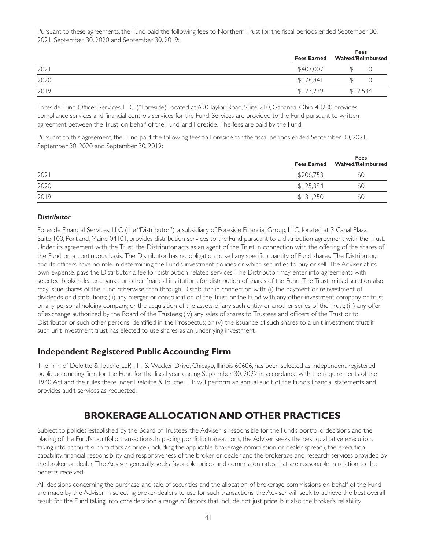<span id="page-46-0"></span>Pursuant to these agreements, the Fund paid the following fees to Northern Trust for the fiscal periods ended September 30, 2021, September 30, 2020 and September 30, 2019:

|      | <b>Fees Earned</b> | <b>Fees</b><br><b>Waived/Reimbursed</b> |  |  |
|------|--------------------|-----------------------------------------|--|--|
| 2021 | \$407,007          |                                         |  |  |
| 2020 | \$178.841          |                                         |  |  |
| 2019 | \$123,279          | \$12,534                                |  |  |

Foreside Fund Officer Services, LLC ("Foreside), located at 690 Taylor Road, Suite 210, Gahanna, Ohio 43230 provides compliance services and financial controls services for the Fund. Services are provided to the Fund pursuant to written agreement between the Trust, on behalf of the Fund, and Foreside. The fees are paid by the Fund.

Pursuant to this agreement, the Fund paid the following fees to Foreside for the fiscal periods ended September 30, 2021, September 30, 2020 and September 30, 2019:

|      | Fees Earned Waived/Reimbursed |     |  |
|------|-------------------------------|-----|--|
| 202  | \$206,753                     | \$0 |  |
| 2020 | \$125,394                     | \$0 |  |
| 2019 | \$131,250                     | \$0 |  |

### *Distributor*

Foreside Financial Services, LLC (the "Distributor"), a subsidiary of Foreside Financial Group, LLC, located at 3 Canal Plaza, Suite 100, Portland, Maine 04101, provides distribution services to the Fund pursuant to a distribution agreement with the Trust. Under its agreement with the Trust, the Distributor acts as an agent of the Trust in connection with the offering of the shares of the Fund on a continuous basis. The Distributor has no obligation to sell any specific quantity of Fund shares. The Distributor, and its officers have no role in determining the Fund's investment policies or which securities to buy or sell. The Adviser, at its own expense, pays the Distributor a fee for distribution-related services. The Distributor may enter into agreements with selected broker-dealers, banks, or other financial institutions for distribution of shares of the Fund. The Trust in its discretion also may issue shares of the Fund otherwise than through Distributor in connection with: (i) the payment or reinvestment of dividends or distributions; (ii) any merger or consolidation of the Trust or the Fund with any other investment company or trust or any personal holding company, or the acquisition of the assets of any such entity or another series of the Trust; (iii) any offer of exchange authorized by the Board of the Trustees; (iv) any sales of shares to Trustees and officers of the Trust or to Distributor or such other persons identified in the Prospectus; or (v) the issuance of such shares to a unit investment trust if such unit investment trust has elected to use shares as an underlying investment.

## **Independent Registered Public Accounting Firm**

The firm of Deloitte & Touche LLP, 111 S. Wacker Drive, Chicago, Illinois 60606, has been selected as independent registered public accounting firm for the Fund for the fiscal year ending September 30, 2022 in accordance with the requirements of the 1940 Act and the rules thereunder. Deloitte & Touche LLP will perform an annual audit of the Fund's financial statements and provides audit services as requested.

# **BROKERAGE ALLOCATION AND OTHER PRACTICES**

Subject to policies established by the Board of Trustees, the Adviser is responsible for the Fund's por tfolio decisions and the placing of the Fund's portfolio transactions. In placing portfolio transactions, the Adviser seeks the best qualitative execution, taking into account such factors as price (including the applicable brokerage commission or dealer spread), the execution capability, financial responsibility and responsiveness of the broker or dealer and the brokerage and research services provided by the broker or dealer. The Adviser generally seeks favorable prices and commission rates that are reasonable in relation to the benefits received.

All decisions concerning the purchase and sale of securities and the allocation of brokerage commissions on behalf of the Fund are made by the Adviser. In selecting broker-dealers to use for such transactions, the Adviser will seek to achieve the best overall result for the Fund taking into consideration a range of factors that include not just price, but also the broker's reliability,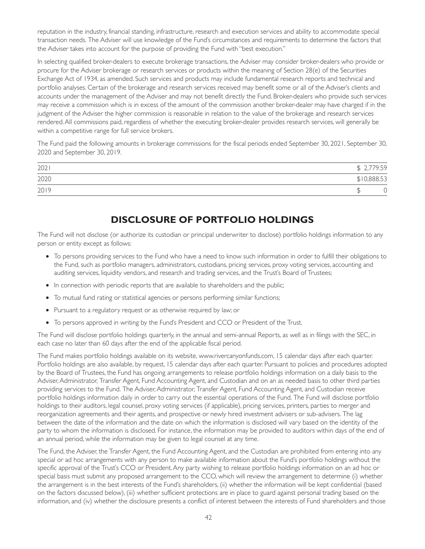<span id="page-47-0"></span>reputation in the industry, financial standing, infrastructure, research and execution services and ability to accommodate special transaction needs. The Adviser will use knowledge of the Fund's circumstances and requirements to determine the factors that the Adviser takes into account for the purpose of providing the Fund with "best execution."

In selecting qualified broker-dealers to execute brokerage transactions, the Adviser may consider broker-dealers who provide or procure for the Adviser brokerage or research services or products within the meaning of Section 28(e) of the Securities Exchange Act of 1934, as amended. Such services and products may include fundamental research reports and technical and portfolio analyses. Certain of the brokerage and research services received may benefit some or all of the Adviser's clients and accounts under the management of the Adviser and may not benefit directly the Fund. Broker-dealers who provide such services may receive a commission which is in excess of the amount of the commission another broker-dealer may have charged if in the judgment of the Adviser the higher commission is reasonable in relation to the value of the brokerage and research services rendered. All commissions paid, regardless of whether the executing broker-dealer provides research services, will generally be within a competitive range for full service brokers.

The Fund paid the following amounts in brokerage commissions for the fiscal periods ended September 30, 2021, September 30, 2020 and September 30, 2019.

| 2021 | ,779.59     |
|------|-------------|
| 2020 | \$10,888.53 |
| 2019 |             |

# **DISCLOSURE OF PORTFOLIO HOLDINGS**

The Fund will not disclose (or authorize its custodian or principal underwriter to disclose) portfolio holdings information to any person or entity except as follows:

- To persons providing services to the Fund who have a need to know such information in order to fulfill their obligations to the Fund, such as por tfolio managers, administrators, custodians, pricing services, proxy voting services, accounting and auditing services, liquidity vendors, and research and trading services, and the Trust's Board of Trustees;
- In connection with periodic reports that are available to shareholders and the public;
- To mutual fund rating or statistical agencies or persons performing similar functions;
- Pursuant to a regulatory request or as otherwise required by law; or
- To persons approved in writing by the Fund's President and CCO or President of the Trust.

The Fund will disclose portfolio holdings quarterly, in the annual and semi-annual Reports, as well as in filings with the SEC, in each case no later than 60 days after the end of the applicable fiscal period.

The Fund makes portfolio holdings available on its website, www.rivercanyonfunds.com, 15 calendar days after each quarter. Portfolio holdings are also available, by request, 15 calendar days after each quarter. Pursuant to policies and procedures adopted by the Board of Trustees, the Fund has ongoing arrangements to release portfolio holdings information on a daily basis to the Adviser, Administrator, Transfer Agent, Fund Accounting Agent, and Custodian and on an as needed basis to other third parties providing services to the Fund. The Adviser, Administrator, Transfer Agent, Fund Accounting Agent, and Custodian receive portfolio holdings information daily in order to carry out the essential operations of the Fund. The Fund will disclose portfolio holdings to their auditors, legal counsel, proxy voting services (if applicable), pricing services, printers, parties to merger and reorganization agreements and their agents, and prospective or newly hired investment advisers or sub-advisers. The lag between the date of the information and the date on which the information is disclosed will vary based on the identity of the party to whom the information is disclosed. For instance, the information may be provided to auditors within days of the end of an annual period, while the information may be given to legal counsel at any time.

The Fund, the Adviser, the Transfer Agent, the Fund Accounting Agent, and the Custodian are prohibited from entering into any special or ad hoc arrangements with any person to make available information about the Fund's por tfolio holdings without the specific approval of the Trust's CCO or President. Any party wishing to release portfolio holdings information on an ad hoc or special basis must submit any proposed arrangement to the CCO, which will review the arrangement to determine (i) whether the arrangement is in the best interests of the Fund's shareholders, (ii) whether the information will be kept confidential (based on the factors discussed below), (iii) whether sufficient protections are in place to guard against personal trading based on the information, and (iv) whether the disclosure presents a conflict of interest between the interests of Fund shareholders and those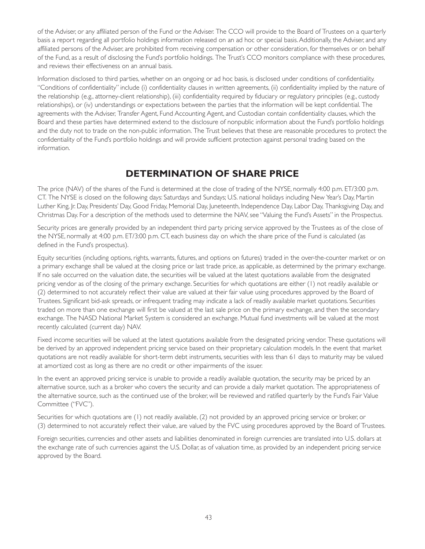<span id="page-48-0"></span>of the Adviser, or any affiliated person of the Fund or the Adviser. The CCO will provide to the Board of Trustees on a quarterly basis a report regarding all portfolio holdings information released on an ad hoc or special basis. Additionally, the Adviser, and any affiliated persons of the Adviser, are prohibited from receiving compensation or other consideration, for themselves or on behalf of the Fund, as a result of disclosing the Fund's por tfolio holdings. The Trust's CCO monitors compliance with these procedures, and reviews their effectiveness on an annual basis.

Information disclosed to third par ties, whether on an ongoing or ad hoc basis, is disclosed under conditions of confidentiality. "Conditions of confidentiality" include (i) confidentiality clauses in written agreements, (ii) confidentiality implied by the nature of the relationship (e.g., attorney-client relationship), (iii) confidentiality required by fiduciary or regulatory principles (e.g., custody relationships), or (iv) understandings or expectations between the parties that the information will be kept confidential. The agreements with the Adviser, Transfer Agent, Fund Accounting Agent, and Custodian contain confidentiality clauses, which the Board and these parties have determined extend to the disclosure of nonpublic information about the Fund's portfolio holdings and the duty not to trade on the non-public information. The Trust believes that these are reasonable procedures to protect the confidentiality of the Fund's por tfolio holdings and will provide sufficient protection against personal trading based on the information.

# **DETERMINATION OF SHARE PRICE**

The price (NAV) of the shares of the Fund is determined at the close of trading of the NYSE, normally 4:00 p.m. ET/3:00 p.m. CT. The NYSE is closed on the following days: Saturdays and Sundays; U.S. national holidays including New Year's Day, Martin Luther King, Jr. Day, Presidents' Day, Good Friday, Memorial Day, Juneteenth, Independence Day, Labor Day, Thanksgiving Day, and Christmas Day. For a description of the methods used to determine the NAV, see "Valuing the Fund's Assets" in the Prospectus.

Security prices are generally provided by an independent third party pricing service approved by the Trustees as of the close of the NYSE, normally at 4:00 p.m. ET/3:00 p.m. CT, each business day on which the share price of the Fund is calculated (as defined in the Fund's prospectus).

Equity securities (including options, rights, warrants, futures, and options on futures) traded in the over-the-counter market or on a primary exchange shall be valued at the closing price or last trade price, as applicable, as determined by the primary exchange. If no sale occurred on the valuation date, the securities will be valued at the latest quotations available from the designated pricing vendor as of the closing of the primary exchange. Securities for which quotations are either (1) not readily available or (2) determined to not accurately reflect their value are valued at their fair value using procedures approved by the Board of Trustees. Significant bid-ask spreads, or infrequent trading may indicate a lack of readily available market quotations. Securities traded on more than one exchange will first be valued at the last sale price on the primary exchange, and then the secondary exchange. The NASD National Market System is considered an exchange. Mutual fund investments will be valued at the most recently calculated (current day) NAV.

Fixed income securities will be valued at the latest quotations available from the designated pricing vendor. These quotations will be derived by an approved independent pricing service based on their proprietary calculation models. In the event that market quotations are not readily available for short-term debt instruments, securities with less than 61 days to maturity may be valued at amortized cost as long as there are no credit or other impairments of the issuer.

In the event an approved pricing service is unable to provide a readily available quotation, the security may be priced by an alternative source, such as a broker who covers the security and can provide a daily market quotation. The appropriateness of the alternative source, such as the continued use of the broker, will be reviewed and ratified quarterly by the Fund's Fair Value Committee ("FVC").

Securities for which quotations are (1) not readily available, (2) not provided by an approved pricing service or broker, or (3) determined to not accurately reflect their value, are valued by the FVC using procedures approved by the Board of Trustees.

Foreign securities, currencies and other assets and liabilities denominated in foreign currencies are translated into U.S. dollars at the exchange rate of such currencies against the U.S. Dollar, as of valuation time, as provided by an independent pricing service approved by the Board.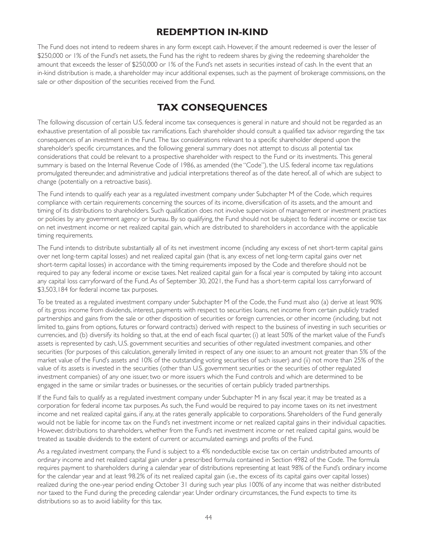# **REDEMPTION IN-KIND**

<span id="page-49-0"></span>The Fund does not intend to redeem shares in any form except cash. However, if the amount redeemed is over the lesser of \$250,000 or 1% of the Fund's net assets, the Fund has the right to redeem shares by giving the redeeming shareholder the amount that exceeds the lesser of \$250,000 or 1% of the Fund's net assets in securities instead of cash. In the event that an in-kind distribution is made, a shareholder may incur additional expenses, such as the payment of brokerage commissions, on the sale or other disposition of the securities received from the Fund.

# **TAX CONSEQUENCES**

The following discussion of certain U.S. federal income tax consequences is general in nature and should not be regarded as an exhaustive presentation of all possible tax ramifications. Each shareholder should consult a qualified tax advisor regarding the tax consequences of an investment in the Fund. The tax considerations relevant to a specific shareholder depend upon the shareholder's specific circumstances, and the following general summary does not attempt to discuss all potential tax considerations that could be relevant to a prospective shareholder with respect to the Fund or its investments. This general summary is based on the Internal Revenue Code of 1986, as amended (the "Code"), the U.S. federal income tax regulations promulgated thereunder, and administrative and judicial interpretations thereof as of the date hereof, all of which are subject to change (potentially on a retroactive basis).

The Fund intends to qualify each year as a regulated investment company under Subchapter M of the Code, which requires compliance with certain requirements concerning the sources of its income, diversification of its assets, and the amount and timing of its distributions to shareholders. Such qualification does not involve supervision of management or investment practices or policies by any government agency or bureau. By so qualifying, the Fund should not be subject to federal income or excise tax on net investment income or net realized capital gain, which are distributed to shareholders in accordance with the applicable timing requirements.

The Fund intends to distribute substantially all of its net investment income (including any excess of net short-term capital gains over net long-term capital losses) and net realized capital gain (that is, any excess of net long-term capital gains over net short-term capital losses) in accordance with the timing requirements imposed by the Code and therefore should not be required to pay any federal income or excise taxes. Net realized capital gain for a fiscal year is computed by taking into account any capital loss carryforward of the Fund. As of September 30, 2021, the Fund has a short-term capital loss carryforward of \$3,503,184 for federal income tax purposes.

To be treated as a regulated investment company under Subchapter M of the Code, the Fund must also (a) derive at least 90% of its gross income from dividends, interest, payments with respect to securities loans, net income from cer tain publicly traded partnerships and gains from the sale or other disposition of securities or foreign currencies, or other income (including, but not limited to, gains from options, futures or forward contracts) derived with respect to the business of investing in such securities or currencies, and (b) diversify its holding so that, at the end of each fiscal quarter, (i) at least 50% of the market value of the Fund's assets is represented by cash, U.S. government securities and securities of other regulated investment companies, and other securities (for purposes of this calculation, generally limited in respect of any one issuer, to an amount not greater than 5% of the market value of the Fund's assets and 10% of the outstanding voting securities of such issuer) and (ii) not more than 25% of the value of its assets is invested in the securities (other than U.S. government securities or the securities of other regulated investment companies) of any one issuer, two or more issuers which the Fund controls and which are determined to be engaged in the same or similar trades or businesses, or the securities of certain publicly traded partnerships.

If the Fund fails to qualify as a regulated investment company under Subchapter M in any fiscal year, it may be treated as a corporation for federal income tax purposes. As such, the Fund would be required to pay income taxes on its net investment income and net realized capital gains, if any, at the rates generally applicable to corporations. Shareholders of the Fund generally would not be liable for income tax on the Fund's net investment income or net realized capital gains in their individual capacities. However, distributions to shareholders, whether from the Fund's net investment income or net realized capital gains, would be treated as taxable dividends to the extent of current or accumulated earnings and profits of the Fund.

As a regulated investment company, the Fund is subject to a 4% nondeductible excise tax on certain undistributed amounts of ordinary income and net realized capital gain under a prescribed formula contained in Section 4982 of the Code. The formula requires payment to shareholders during a calendar year of distributions representing at least 98% of the Fund's ordinary income for the calendar year and at least 98.2% of its net realized capital gain (i.e., the excess of its capital gains over capital losses) realized during the one-year period ending October 31 during such year plus 100% of any income that was neither distributed nor taxed to the Fund during the preceding calendar year. Under ordinary circumstances, the Fund expects to time its distributions so as to avoid liability for this tax.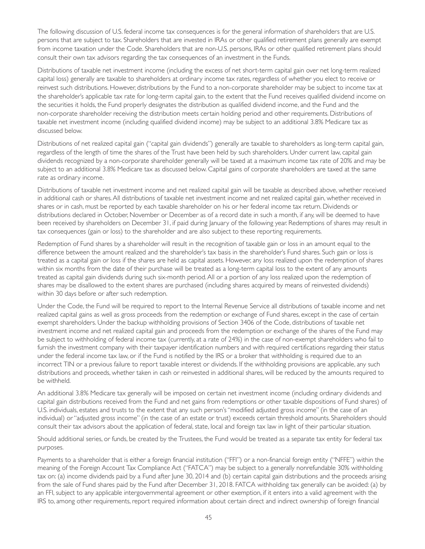The following discussion of U.S. federal income tax consequences is for the general information of shareholders that are U.S. persons that are subject to tax. Shareholders that are invested in IRAs or other qualified retirement plans generally are exempt from income taxation under the Code. Shareholders that are non-U.S. persons, IRAs or other qualified retirement plans should consult their own tax advisors regarding the tax consequences of an investment in the Funds.

Distributions of taxable net investment income (including the excess of net short-term capital gain over net long-term realized capital loss) generally are taxable to shareholders at ordinary income tax rates, regardless of whether you elect to receive or reinvest such distributions. However, distributions by the Fund to a non-corporate shareholder may be subject to income tax at the shareholder's applicable tax rate for long-term capital gain, to the extent that the Fund receives qualified dividend income on the securities it holds, the Fund properly designates the distribution as qualified dividend income, and the Fund and the non-corporate shareholder receiving the distribution meets cer tain holding period and other requirements. Distributions of taxable net investment income (including qualified dividend income) may be subject to an additional 3.8% Medicare tax as discussed below.

Distributions of net realized capital gain ("capital gain dividends") generally are taxable to shareholders as long-term capital gain, regardless of the length of time the shares of the Trust have been held by such shareholders. Under current law, capital gain dividends recognized by a non-corporate shareholder generally will be taxed at a maximum income tax rate of 20% and may be subject to an additional 3.8% Medicare tax as discussed below. Capital gains of corporate shareholders are taxed at the same rate as ordinary income.

Distributions of taxable net investment income and net realized capital gain will be taxable as described above, whether received in additional cash or shares. All distributions of taxable net investment income and net realized capital gain, whether received in shares or in cash, must be reported by each taxable shareholder on his or her federal income tax return. Dividends or distributions declared in October, November or December as of a record date in such a month, if any, will be deemed to have been received by shareholders on December 31, if paid during January of the following year. Redemptions of shares may result in tax consequences (gain or loss) to the shareholder and are also subject to these reporting requirements.

Redemption of Fund shares by a shareholder will result in the recognition of taxable gain or loss in an amount equal to the difference between the amount realized and the shareholder's tax basis in the shareholder's Fund shares. Such gain or loss is treated as a capital gain or loss if the shares are held as capital assets. However, any loss realized upon the redemption of shares within six months from the date of their purchase will be treated as a long-term capital loss to the extent of any amounts treated as capital gain dividends during such six-month period. All or a portion of any loss realized upon the redemption of shares may be disallowed to the extent shares are purchased (including shares acquired by means of reinvested dividends) within 30 days before or after such redemption.

Under the Code, the Fund will be required to report to the Internal Revenue Service all distributions of taxable income and net realized capital gains as well as gross proceeds from the redemption or exchange of Fund shares, except in the case of certain exempt shareholders. Under the backup withholding provisions of Section 3406 of the Code, distributions of taxable net investment income and net realized capital gain and proceeds from the redemption or exchange of the shares of the Fund may be subject to withholding of federal income tax (currently, at a rate of 24%) in the case of non-exempt shareholders who fail to furnish the investment company with their taxpayer identification numbers and with required certifications regarding their status under the federal income tax law, or if the Fund is notified by the IRS or a broker that withholding is required due to an incorrect TIN or a previous failure to report taxable interest or dividends. If the withholding provisions are applicable, any such distributions and proceeds, whether taken in cash or reinvested in additional shares, will be reduced by the amounts required to be withheld.

An additional 3.8% Medicare tax generally will be imposed on certain net investment income (including ordinary dividends and capital gain distributions received from the Fund and net gains from redemptions or other taxable dispositions of Fund shares) of U.S. individuals, estates and trusts to the extent that any such person's "modified adjusted gross income" (in the case of an individual) or "adjusted gross income" (in the case of an estate or trust) exceeds cer tain threshold amounts. Shareholders should consult their tax advisors about the application of federal, state, local and foreign tax law in light of their particular situation.

Should additional series, or funds, be created by the Trustees, the Fund would be treated as a separate tax entity for federal tax purposes.

Payments to a shareholder that is either a foreign financial institution ("FFI") or a non-financial foreign entity ("NFFE") within the meaning of the Foreign Account Tax Compliance Act ("FATCA") may be subject to a generally nonrefundable 30% withholding tax on: (a) income dividends paid by a Fund after June 30, 2014 and (b) cer tain capital gain distributions and the proceeds arising from the sale of Fund shares paid by the Fund after December 31, 2018. FATCA withholding tax generally can be avoided: (a) by an FFI, subject to any applicable intergovernmental agreement or other exemption, if it enters into a valid agreement with the IRS to, among other requirements, report required information about certain direct and indirect ownership of foreign financial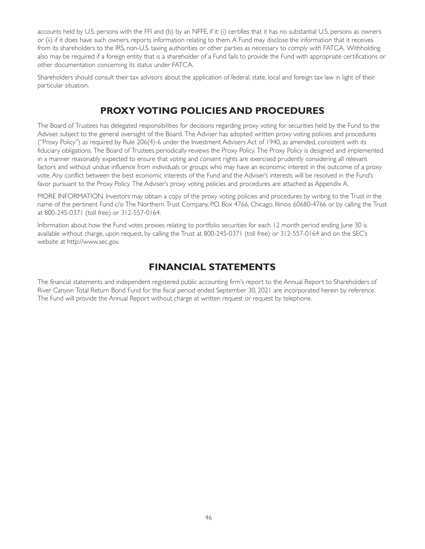<span id="page-51-0"></span>accounts held by U.S. persons with the FFI and (b) by an NFFE, if it: (i) certifies that it has no substantial U.S. persons as owners or (ii) if it does have such owners, reports information relating to them. A Fund may disclose the information that it receives from its shareholders to the IRS, non-U.S. taxing authorities or other parties as necessary to comply with FATCA. Withholding also may be required if a foreign entity that is a shareholder of a Fund fails to provide the Fund with appropriate certifications or other documentation concerning its status under FATCA.

Shareholders should consult their tax advisors about the application of federal, state, local and foreign tax law in light of their particular situation.

# **PROXY VOTING POLICIES AND PROCEDURES**

The Board of Trustees has delegated responsibilities for decisions regarding proxy voting for securities held by the Fund to the Adviser, subject to the general oversight of the Board. The Adviser has adopted written proxy voting policies and procedures ("Proxy Policy") as required by Rule 206(4)-6 under the Investment Advisers Act of 1940, as amended, consistent with its fiduciary obligations. The Board of Trustees periodically reviews the Proxy Policy. The Proxy Policy is designed and implemented in a manner reasonably expected to ensure that voting and consent rights are exercised prudently considering all relevant factors and without undue influence from individuals or groups who may have an economic interest in the outcome of a proxy vote. Any conflict between the best economic interests of the Fund and the Adviser's interests will be resolved in the Fund's favor pursuant to the Proxy Policy. The Adviser's proxy voting policies and procedures are attached as Appendix A.

MORE INFORMATION. Investors may obtain a copy of the proxy voting policies and procedures by writing to the Trust in the name of the pertinent Fund c/o The Northern Trust Company, P.O. Box 4766, Chicago, Illinois 60680-4766 or by calling the Trust at 800-245-0371 (toll free) or 312-557-0164.

Information about how the Fund votes proxies relating to portfolio securities for each 12 month period ending June 30 is available without charge, upon request, by calling the Trust at 800-245-0371 (toll free) or 312-557-0164 and on the SEC's website at http://www.sec.gov.

# **FINANCIAL STATEMENTS**

The financial statements and independent registered public accounting firm's report to the Annual Report to Shareholders of River Canyon Total Return Bond Fund for the fiscal period ended September 30, 2021 are incorporated herein by reference. The Fund will provide the Annual Report without charge at written request or request by telephone.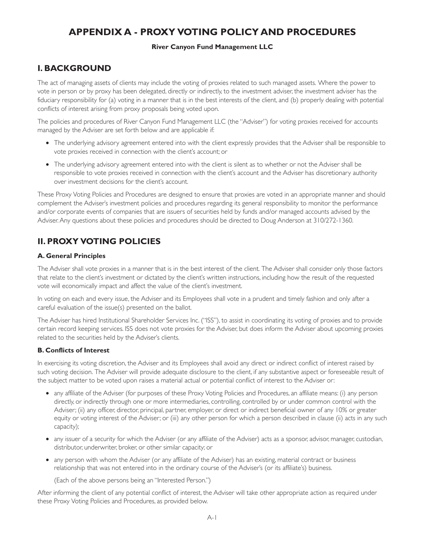# <span id="page-52-0"></span>**APPENDIX A - PROXY VOTING POLICY AND PROCEDURES**

### **River Canyon Fund Management LLC**

## **I. BACKGROUND**

The act of managing assets of clients may include the voting of proxies related to such managed assets. Where the power to vote in person or by proxy has been delegated, directly or indirectly, to the investment adviser, the investment adviser has the fiduciary responsibility for (a) voting in a manner that is in the best interests of the client, and (b) properly dealing with potential conflicts of interest arising from proxy proposals being voted upon.

The policies and procedures of River Canyon Fund Management LLC (the "Adviser") for voting proxies received for accounts managed by the Adviser are set forth below and are applicable if:

- The underlying advisory agreement entered into with the client expressly provides that the Adviser shall be responsible to vote proxies received in connection with the client's account; or
- The underlying advisory agreement entered into with the client is silent as to whether or not the Adviser shall be responsible to vote proxies received in connection with the client's account and the Adviser has discretionary authority over investment decisions for the client's account.

These Proxy Voting Policies and Procedures are designed to ensure that proxies are voted in an appropriate manner and should complement the Adviser's investment policies and procedures regarding its general responsibility to monitor the performance and/or corporate events of companies that are issuers of securities held by funds and/or managed accounts advised by the Adviser. Any questions about these policies and procedures should be directed to Doug Anderson at 310/272-1360.

# **II. PROXY VOTING POLICIES**

### **A. General Principles**

The Adviser shall vote proxies in a manner that is in the best interest of the client. The Adviser shall consider only those factors that relate to the client's investment or dictated by the client's written instructions, including how the result of the requested vote will economically impact and affect the value of the client's investment.

In voting on each and every issue, the Adviser and its Employees shall vote in a prudent and timely fashion and only after a careful evaluation of the issue(s) presented on the ballot.

The Adviser has hired Institutional Shareholder Services Inc. ("ISS"), to assist in coordinating its voting of proxies and to provide cer tain record keeping services. ISS does not vote proxies for the Adviser, but does inform the Adviser about upcoming proxies related to the securities held by the Adviser's clients.

### **B. Conflicts of Interest**

In exercising its voting discretion, the Adviser and its Employees shall avoid any direct or indirect conflict of interest raised by such voting decision. The Adviser will provide adequate disclosure to the client, if any substantive aspect or foreseeable result of the subject matter to be voted upon raises a material actual or potential conflict of interest to the Adviser or:

- any affiliate of the Adviser (for purposes of these Proxy Voting Policies and Procedures, an affiliate means: (i) any person directly, or indirectly through one or more intermediaries, controlling, controlled by or under common control with the Adviser; (ii) any officer, director, principal, partner, employer, or direct or indirect beneficial owner of any 10% or greater equity or voting interest of the Adviser; or (iii) any other person for which a person described in clause (ii) acts in any such capacity);
- any issuer of a security for which the Adviser (or any affiliate of the Adviser) acts as a sponsor, advisor, manager, custodian, distributor, underwriter, broker, or other similar capacity; or
- any person with whom the Adviser (or any affiliate of the Adviser) has an existing, material contract or business relationship that was not entered into in the ordinary course of the Adviser's (or its affiliate's) business.

(Each of the above persons being an "Interested Person.")

After informing the client of any potential conflict of interest, the Adviser will take other appropriate action as required under these Proxy Voting Policies and Procedures, as provided below.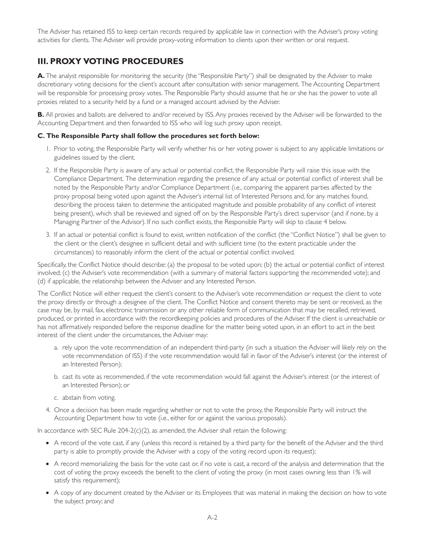The Adviser has retained ISS to keep certain records required by applicable law in connection with the Adviser's proxy voting activities for clients. The Adviser will provide proxy-voting information to clients upon their written or oral request.

## **III. PROXY VOTING PROCEDURES**

A. The analyst responsible for monitoring the security (the "Responsible Party") shall be designated by the Adviser to make discretionary voting decisions for the client's account after consultation with senior management. The Accounting Department will be responsible for processing proxy votes. The Responsible Party should assume that he or she has the power to vote all proxies related to a security held by a fund or a managed account advised by the Adviser.

**B.** All proxies and ballots are delivered to and/or received by ISS. Any proxies received by the Adviser will be forwarded to the Accounting Department and then forwarded to ISS who will log such proxy upon receipt.

### **C. The Responsible Party shall follow the procedures set forth below:**

- 1. Prior to voting, the Responsible Party will verify whether his or her voting power is subject to any applicable limitations or guidelines issued by the client.
- 2. If the Responsible Party is aware of any actual or potential conflict, the Responsible Party will raise this issue with the Compliance Department. The determination regarding the presence of any actual or potential conflict of interest shall be noted by the Responsible Party and/or Compliance Department (i.e., comparing the apparent parties affected by the proxy proposal being voted upon against the Adviser's internal list of Interested Persons and, for any matches found, describing the process taken to determine the anticipated magnitude and possible probability of any conflict of interest being present), which shall be reviewed and signed off on by the Responsible Party's direct supervisor (and if none, by a Managing Partner of the Advisor). If no such conflict exists, the Responsible Party will skip to clause 4 below.
- 3. If an actual or potential conflict is found to exist, written notification of the conflict (the "Conflict Notice") shall be given to the client or the client's designee in sufficient detail and with sufficient time (to the extent practicable under the circumstances) to reasonably inform the client of the actual or potential conflict involved.

Specifically, the Conflict Notice should describe: (a) the proposal to be voted upon; (b) the actual or potential conflict of interest involved; (c) the Adviser's vote recommendation (with a summary of material factors supporting the recommended vote); and (d) if applicable, the relationship between the Adviser and any Interested Person.

The Conflict Notice will either request the client's consent to the Adviser's vote recommendation or request the client to vote the proxy directly or through a designee of the client. The Conflict Notice and consent thereto may be sent or received, as the case may be, by mail, fax, electronic transmission or any other reliable form of communication that may be recalled, retrieved, produced, or printed in accordance with the recordkeeping policies and procedures of the Adviser. If the client is unreachable or has not affirmatively responded before the response deadline for the matter being voted upon, in an effort to act in the best interest of the client under the circumstances, the Adviser may:

- a. rely upon the vote recommendation of an independent third-party (in such a situation the Adviser will likely rely on the vote recommendation of ISS) if the vote recommendation would fall in favor of the Adviser's interest (or the interest of an Interested Person);
- b. cast its vote as recommended, if the vote recommendation would fall against the Adviser's interest (or the interest of an Interested Person); or
- c. abstain from voting.
- 4. Once a decision has been made regarding whether or not to vote the proxy, the Responsible Party will instruct the Accounting Department how to vote (i.e., either for or against the various proposals).

In accordance with SEC Rule 204-2(c)(2), as amended, the Adviser shall retain the following:

- A record of the vote cast, if any (unless this record is retained by a third party for the benefit of the Adviser and the third party is able to promptly provide the Adviser with a copy of the voting record upon its request);
- A record memorializing the basis for the vote cast or, if no vote is cast, a record of the analysis and determination that the cost of voting the proxy exceeds the benefit to the client of voting the proxy (in most cases owning less than 1% will satisfy this requirement);
- A copy of any document created by the Adviser or its Employees that was material in making the decision on how to vote the subject proxy; and